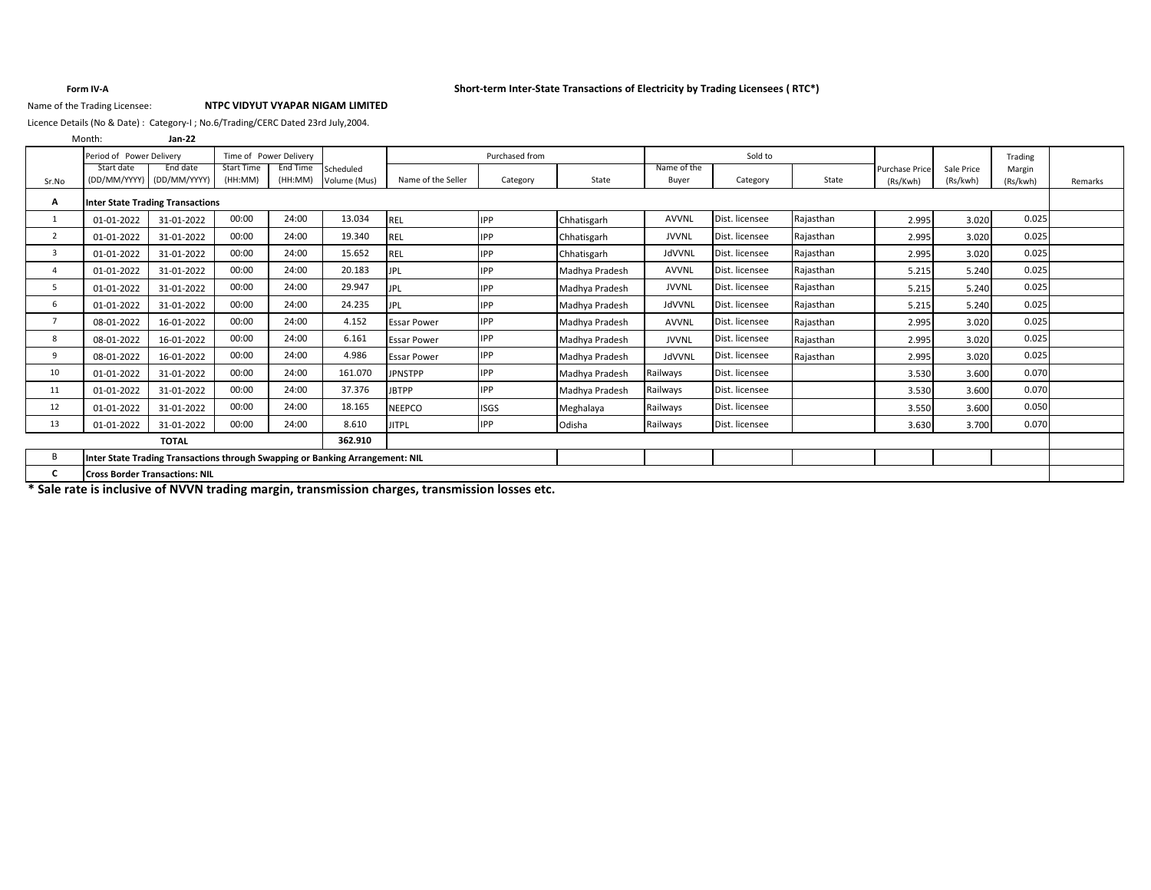### **Form IV-A Short-term Inter-State Transactions of Electricity by Trading Licensees ( RTC\*)**

## Name of the Trading Licensee: **NTPC VIDYUT VYAPAR NIGAM LIMITED**

Licence Details (No & Date) : Category-I ; No.6/Trading/CERC Dated 23rd July,2004.

|            | $Jan-22$               |                                                                                   |                                                    |                                   |                    |                                                                                                                   |                |              |                      |           |                       |            |          |          |
|------------|------------------------|-----------------------------------------------------------------------------------|----------------------------------------------------|-----------------------------------|--------------------|-------------------------------------------------------------------------------------------------------------------|----------------|--------------|----------------------|-----------|-----------------------|------------|----------|----------|
|            |                        |                                                                                   |                                                    |                                   |                    | Purchased from                                                                                                    |                |              | Sold to              |           |                       |            | Trading  |          |
| Start date | End date               | <b>Start Time</b>                                                                 | End Time                                           | Scheduled                         |                    |                                                                                                                   |                |              |                      |           | <b>Purchase Price</b> | Sale Price | Margin   |          |
|            |                        |                                                                                   |                                                    |                                   |                    |                                                                                                                   |                |              |                      |           |                       |            |          | Remarks  |
|            |                        |                                                                                   |                                                    |                                   |                    |                                                                                                                   |                |              |                      |           |                       |            |          |          |
| 01-01-2022 | 31-01-2022             | 00:00                                                                             | 24:00                                              | 13.034                            |                    | <b>IPP</b>                                                                                                        | Chhatisgarh    | <b>AVVNL</b> | Dist. licensee       | Rajasthan | 2.995                 | 3.020      | 0.025    |          |
| 01-01-2022 | 31-01-2022             | 00:00                                                                             | 24:00                                              | 19.340                            | REL                | <b>IPP</b>                                                                                                        | Chhatisgarh    | <b>JVVNL</b> | Dist. licensee       | Rajasthan | 2.995                 | 3.020      | 0.025    |          |
| 01-01-2022 | 31-01-2022             | 00:00                                                                             | 24:00                                              | 15.652                            |                    | <b>IPP</b>                                                                                                        | Chhatisgarh    | JdVVNL       | Dist. licensee       | Rajasthan | 2.995                 | 3.020      | 0.025    |          |
| 01-01-2022 | 31-01-2022             | 00:00                                                                             | 24:00                                              | 20.183                            | <b>JPL</b>         | <b>IPP</b>                                                                                                        | Madhya Pradesh | <b>AVVNL</b> | Dist. licensee       | Rajasthan | 5.215                 | 5.240      | 0.025    |          |
| 01-01-2022 | 31-01-2022             | 00:00                                                                             | 24:00                                              | 29.947                            | <b>JPL</b>         | IPP                                                                                                               | Madhya Pradesh | <b>JVVNL</b> | Dist. licensee       | Rajasthan | 5.215                 | 5.240      | 0.025    |          |
| 01-01-2022 | 31-01-2022             | 00:00                                                                             | 24:00                                              | 24.235                            | <b>JPL</b>         | IPP                                                                                                               | Madhya Pradesh | JdVVNL       | Dist. licensee       | Rajasthan | 5.215                 | 5.240      | 0.025    |          |
| 08-01-2022 | 16-01-2022             | 00:00                                                                             | 24:00                                              | 4.152                             | <b>Essar Power</b> | <b>IPP</b>                                                                                                        | Madhya Pradesh | <b>AVVNL</b> | Dist. licensee       | Rajasthan | 2.995                 | 3.020      | 0.025    |          |
| 08-01-2022 | 16-01-2022             | 00:00                                                                             | 24:00                                              | 6.161                             | <b>Essar Power</b> | <b>IPP</b>                                                                                                        | Madhya Pradesh | <b>JVVNL</b> | Dist. licensee       | Rajasthan | 2.995                 | 3.020      | 0.025    |          |
| 08-01-2022 | 16-01-2022             | 00:00                                                                             | 24:00                                              | 4.986                             | <b>Essar Power</b> | <b>IPP</b>                                                                                                        | Madhya Pradesh | JdVVNL       | Dist. licensee       | Rajasthan | 2.995                 | 3.020      | 0.025    |          |
| 01-01-2022 | 31-01-2022             | 00:00                                                                             | 24:00                                              | 161.070                           | <b>JPNSTPP</b>     | IPP                                                                                                               | Madhya Pradesh | Railways     | Dist. licensee       |           | 3.530                 | 3.600      | 0.070    |          |
| 01-01-2022 | 31-01-2022             | 00:00                                                                             | 24:00                                              | 37.376                            | <b>JBTPP</b>       | <b>IPP</b>                                                                                                        | Madhva Pradesh | Railways     | Dist. licensee       |           | 3.530                 | 3.600      | 0.070    |          |
| 01-01-2022 | 31-01-2022             | 00:00                                                                             | 24:00                                              | 18.165                            | <b>NEEPCO</b>      | <b>ISGS</b>                                                                                                       | Meghalaya      | Railways     | Dist. licensee       |           | 3.550                 | 3.600      | 0.050    |          |
| 01-01-2022 | 31-01-2022             | 00:00                                                                             | 24:00                                              | 8.610                             | <b>JITPL</b>       | IPP                                                                                                               | Odisha         | Railways     | Dist. licensee       |           | 3.630                 | 3.700      | 0.070    |          |
|            | <b>TOTAL</b>           |                                                                                   |                                                    | 362.910                           |                    |                                                                                                                   |                |              |                      |           |                       |            |          |          |
|            |                        |                                                                                   |                                                    |                                   |                    |                                                                                                                   |                |              |                      |           |                       |            |          |          |
|            |                        |                                                                                   |                                                    |                                   |                    |                                                                                                                   |                |              |                      |           |                       |            |          |          |
|            | Month:<br>(DD/MM/YYYY) | Period of Power Delivery<br>(DD/MM/YYYY)<br><b>Cross Border Transactions: NIL</b> | (HH:MM)<br><b>Inter State Trading Transactions</b> | Time of Power Delivery<br>(HH:MM) | Volume (Mus)       | Name of the Seller<br>REL<br>REL<br>Inter State Trading Transactions through Swapping or Banking Arrangement: NIL | Category       | State        | Name of the<br>Buyer | Category  | State                 | (Rs/Kwh)   | (Rs/kwh) | (Rs/kwh) |

**\* Sale rate is inclusive of NVVN trading margin, transmission charges, transmission losses etc.**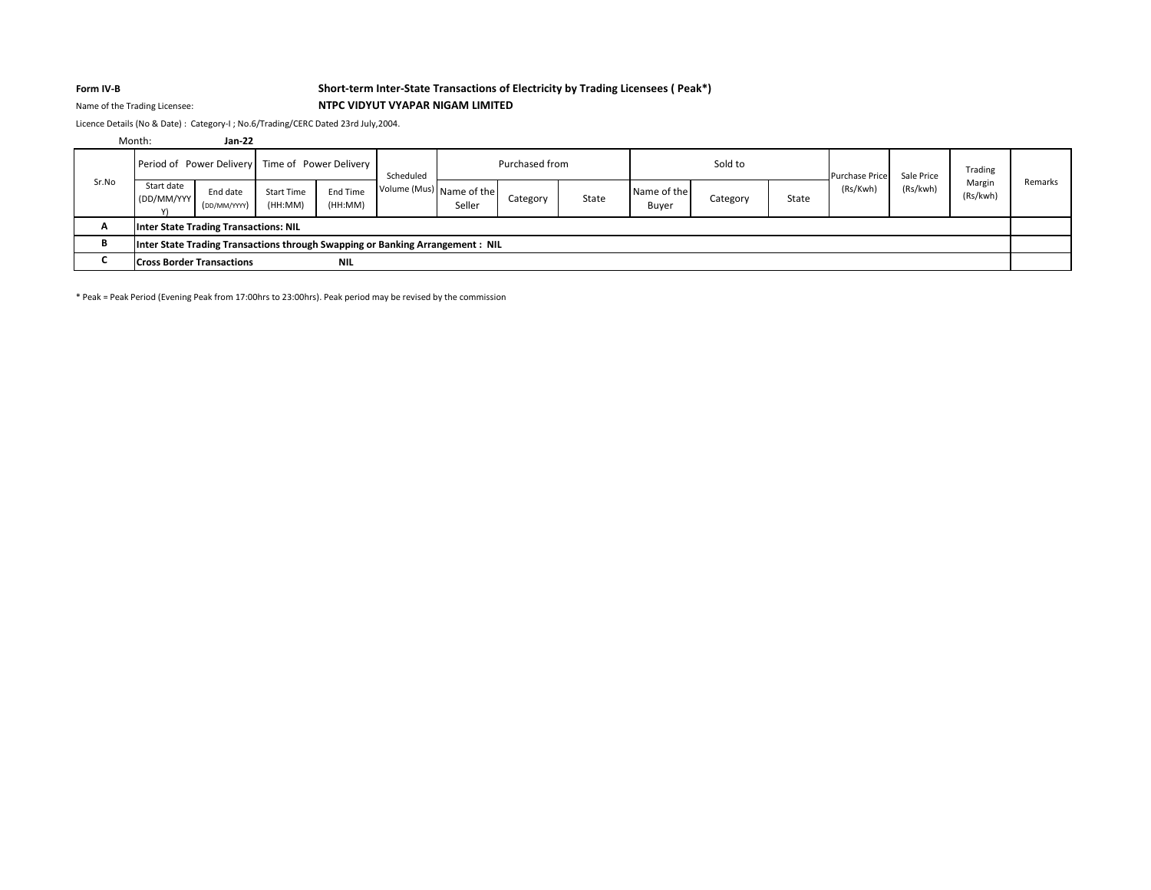# **Form IV-B Short-term Inter-State Transactions of Electricity by Trading Licensees ( Peak\*)** Name of the Trading Licensee: **NTPC VIDYUT VYAPAR NIGAM LIMITED**

Licence Details (No & Date) : Category-I ; No.6/Trading/CERC Dated 23rd July,2004.

|       | Month:                                                                         | $Jan-22$                 |                              |                     |                          |        |                |       |                      |          |       |                       |            |                    |         |
|-------|--------------------------------------------------------------------------------|--------------------------|------------------------------|---------------------|--------------------------|--------|----------------|-------|----------------------|----------|-------|-----------------------|------------|--------------------|---------|
|       | Period of Power Delivery Time of Power Delivery                                |                          |                              |                     | Scheduled                |        | Purchased from |       |                      | Sold to  |       | <b>Purchase Price</b> | Sale Price | Trading            |         |
| Sr.No | Start date<br>(DD/MM/YYY)                                                      | End date<br>(DD/MM/YYYY) | <b>Start Time</b><br>(HH:MM) | End Time<br>(HH:MM) | Volume (Mus) Name of the | Seller | Category       | State | Name of the<br>Buyer | Category | State | (Rs/Kwh)              | (Rs/kwh)   | Margin<br>(Rs/kwh) | Remarks |
| A     | Inter State Trading Transactions: NIL                                          |                          |                              |                     |                          |        |                |       |                      |          |       |                       |            |                    |         |
| в     | Inter State Trading Transactions through Swapping or Banking Arrangement : NIL |                          |                              |                     |                          |        |                |       |                      |          |       |                       |            |                    |         |
|       | <b>Cross Border Transactions</b>                                               |                          |                              | <b>NIL</b>          |                          |        |                |       |                      |          |       |                       |            |                    |         |

\* Peak = Peak Period (Evening Peak from 17:00hrs to 23:00hrs). Peak period may be revised by the commission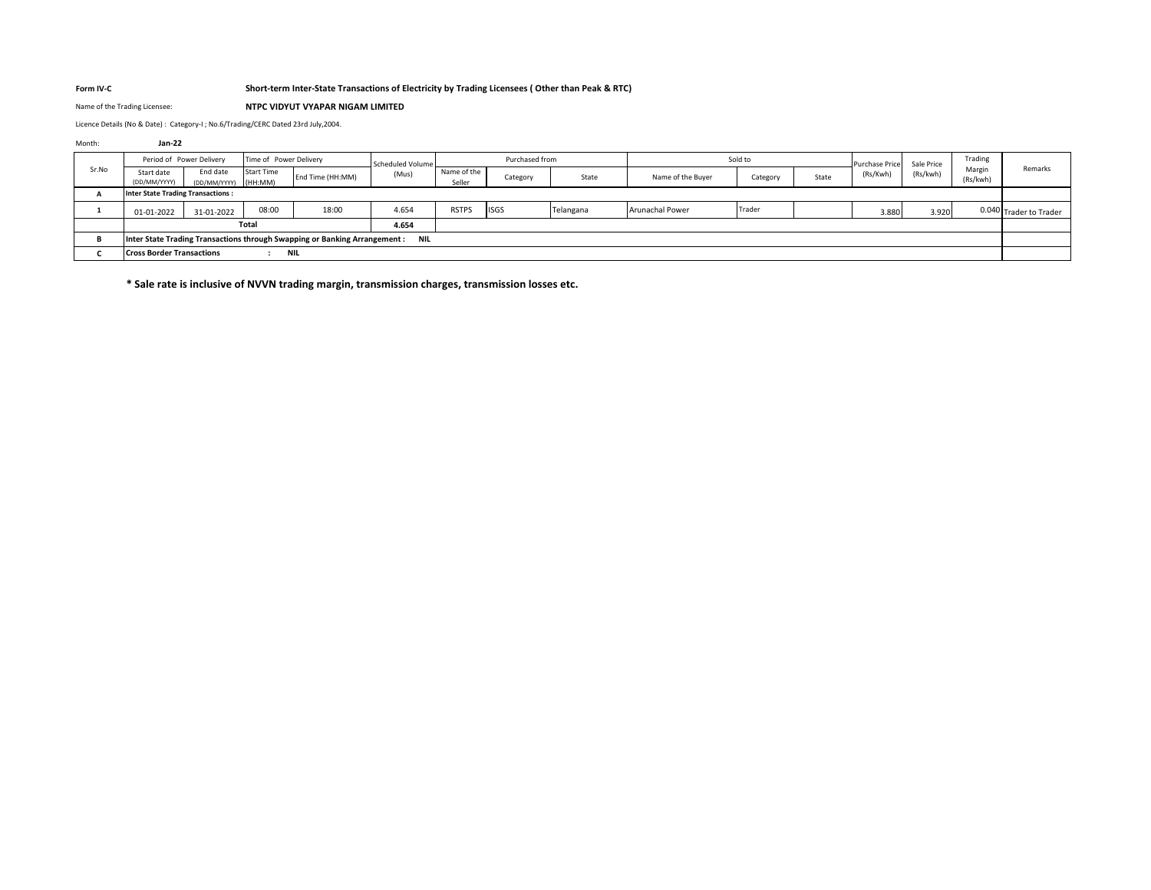### **Form IV-C Short-term Inter-State Transactions of Electricity by Trading Licensees ( Other than Peak & RTC)**

Name of the Trading Licensee: **NTPC VIDYUT VYAPAR NIGAM LIMITED**

Licence Details (No & Date) : Category-I ; No.6/Trading/CERC Dated 23rd July,2004.

### Month: **Jan-22**

|       |                                          | Period of Power Delivery<br>Time of Power Delivery |                   | Scheduled Volume                                                          |            | Purchased from        |             | Sold to   |                        |          | <b>Purchase Price</b> | Sale Price | Trading  |                    |                        |
|-------|------------------------------------------|----------------------------------------------------|-------------------|---------------------------------------------------------------------------|------------|-----------------------|-------------|-----------|------------------------|----------|-----------------------|------------|----------|--------------------|------------------------|
| Sr.No | Start date<br>(DD/MM/YYYY)               | End date<br>(DD/MM/YYYY) (HH:MM)                   | <b>Start Time</b> | End Time (HH:MM)                                                          | (Mus       | Name of the<br>Seller | Category    | State     | Name of the Buyer      | Category | State                 | (Rs/Kwh)   | (Rs/kwh) | Margin<br>(Rs/kwh) | Remarks                |
|       | <b>Inter State Trading Transactions:</b> |                                                    |                   |                                                                           |            |                       |             |           |                        |          |                       |            |          |                    |                        |
|       | 01-01-2022                               | 31-01-2022                                         | 08:00             | 18:00                                                                     | 4.654      | <b>RSTPS</b>          | <b>ISGS</b> | Telangana | <b>Arunachal Power</b> | Trader   |                       | 3.880      | 3.920    |                    | 0.040 Trader to Trader |
|       |                                          |                                                    | Total             |                                                                           | 4.654      |                       |             |           |                        |          |                       |            |          |                    |                        |
|       |                                          |                                                    |                   | Inter State Trading Transactions through Swapping or Banking Arrangement: | <b>NIL</b> |                       |             |           |                        |          |                       |            |          |                    |                        |
|       | <b>Cross Border Transactions</b><br>NIL  |                                                    |                   |                                                                           |            |                       |             |           |                        |          |                       |            |          |                    |                        |

**\* Sale rate is inclusive of NVVN trading margin, transmission charges, transmission losses etc.**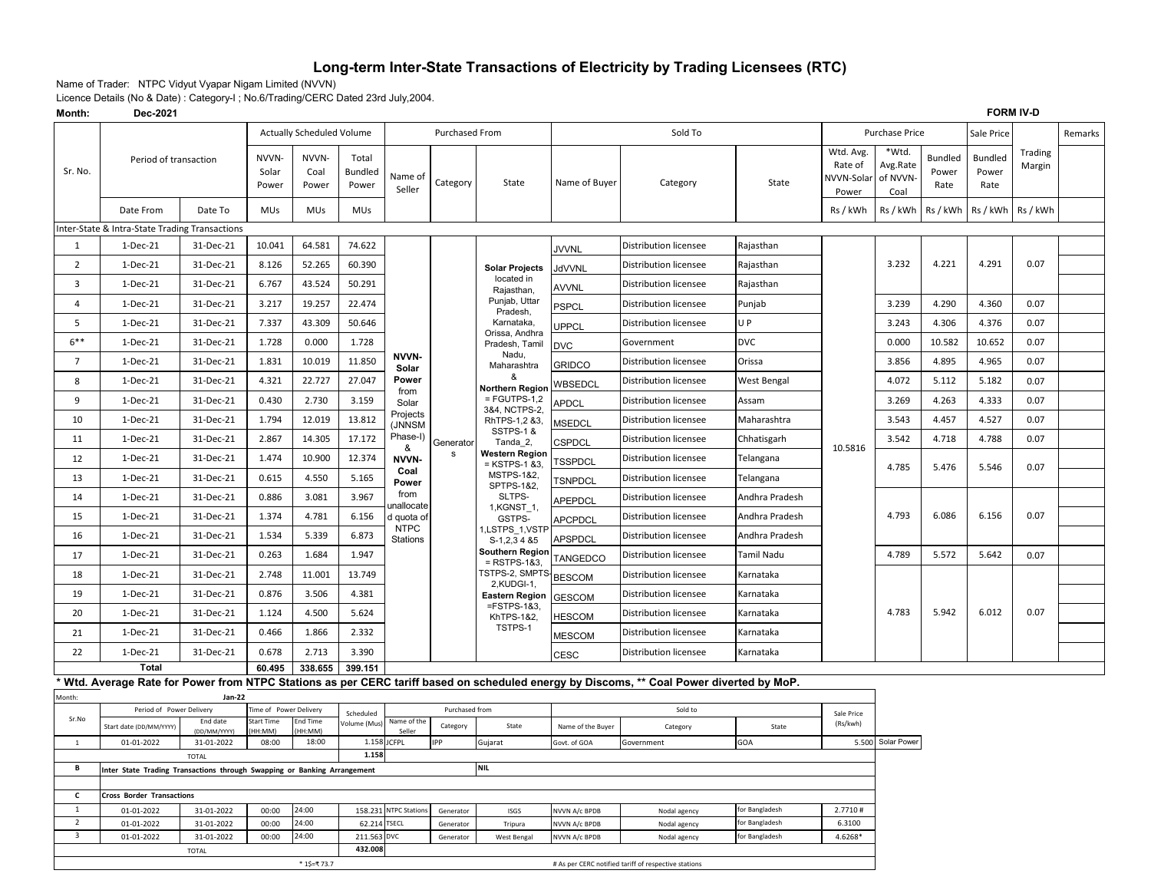# **Long-term Inter-State Transactions of Electricity by Trading Licensees (RTC)**

Name of Trader: NTPC Vidyut Vyapar Nigam Limited (NVVN)

Licence Details (No & Date) : Category-I ; No.6/Trading/CERC Dated 23rd July,2004.

| Month:<br>Dec-2021      |                                                                          |                          |                         |                           |                                  |                                       |                        |                                          |                                | <b>FORM IV-D</b>                                                                                                                         |                                  |                                             |                                       |                                 |                                 |                   |         |
|-------------------------|--------------------------------------------------------------------------|--------------------------|-------------------------|---------------------------|----------------------------------|---------------------------------------|------------------------|------------------------------------------|--------------------------------|------------------------------------------------------------------------------------------------------------------------------------------|----------------------------------|---------------------------------------------|---------------------------------------|---------------------------------|---------------------------------|-------------------|---------|
|                         |                                                                          |                          |                         | Actually Scheduled Volume |                                  |                                       | Purchased From         |                                          |                                | Sold To                                                                                                                                  |                                  |                                             | <b>Purchase Price</b>                 |                                 | Sale Price                      |                   | Remarks |
| Sr. No.                 | Period of transaction                                                    |                          | NVVN-<br>Solar<br>Power | NVVN-<br>Coal<br>Power    | Total<br><b>Bundled</b><br>Power | Name of<br>Seller                     | Category               | State                                    | Name of Buyer                  | Category                                                                                                                                 | State                            | Wtd. Avg.<br>Rate of<br>NVVN-Solar<br>Power | *Wtd.<br>Avg.Rate<br>of NVVN-<br>Coal | <b>Bundled</b><br>Power<br>Rate | <b>Bundled</b><br>Power<br>Rate | Trading<br>Margin |         |
|                         | Date From                                                                | Date To                  | <b>MUs</b>              | <b>MUs</b>                | <b>MUs</b>                       |                                       |                        |                                          |                                |                                                                                                                                          |                                  | Rs / kWh                                    | Rs / kWh                              | Rs / kWh                        | Rs / kWh                        | Rs / kWh          |         |
|                         | nter-State & Intra-State Trading Transactions                            |                          |                         |                           |                                  |                                       |                        |                                          |                                |                                                                                                                                          |                                  |                                             |                                       |                                 |                                 |                   |         |
| 1                       | 1-Dec-21                                                                 | 31-Dec-21                | 10.041                  | 64.581                    | 74.622                           |                                       |                        |                                          | <b>JVVNL</b>                   | Distribution licensee                                                                                                                    | Rajasthan                        |                                             |                                       |                                 |                                 |                   |         |
| $\overline{2}$          | 1-Dec-21                                                                 | 31-Dec-21                | 8.126                   | 52.265                    | 60.390                           |                                       |                        | <b>Solar Projects</b>                    | <b>JdVVNL</b>                  | <b>Distribution licensee</b>                                                                                                             | Rajasthan                        |                                             | 3.232                                 | 4.221                           | 4.291                           | 0.07              |         |
| $\overline{3}$          | 1-Dec-21                                                                 | 31-Dec-21                | 6.767                   | 43.524                    | 50.291                           |                                       |                        | located in<br>Rajasthan,                 | <b>AVVNL</b>                   | Distribution licensee                                                                                                                    | Rajasthan                        |                                             |                                       |                                 |                                 |                   |         |
| 4                       | 1-Dec-21                                                                 | 31-Dec-21                | 3.217                   | 19.257                    | 22.474                           |                                       |                        | Punjab, Uttar<br>Pradesh,                | <b>PSPCL</b>                   | <b>Distribution licensee</b>                                                                                                             | Punjab                           |                                             | 3.239                                 | 4.290                           | 4.360                           | 0.07              |         |
| 5                       | $1-Dec-21$                                                               | 31-Dec-21                | 7.337                   | 43.309                    | 50.646                           |                                       |                        | Karnataka,                               | <b>UPPCL</b>                   | Distribution licensee                                                                                                                    | U P                              |                                             | 3.243                                 | 4.306                           | 4.376                           | 0.07              |         |
| $6***$                  | $1-Dec-21$                                                               | 31-Dec-21                | 1.728                   | 0.000                     | 1.728                            |                                       |                        | Orissa, Andhra<br>Pradesh, Tamil         | <b>DVC</b>                     | Government                                                                                                                               | <b>DVC</b>                       |                                             | 0.000                                 | 10.582                          | 10.652                          | 0.07              |         |
| $\overline{7}$          | 1-Dec-21                                                                 | 31-Dec-21                | 1.831                   | 10.019                    | 11.850                           | NVVN-<br>Solar                        |                        | Nadu,<br>Maharashtra                     | <b>GRIDCO</b>                  | Distribution licensee                                                                                                                    | Orissa                           |                                             | 3.856                                 | 4.895                           | 4.965                           | 0.07              |         |
| 8                       | $1-Dec-21$                                                               | 31-Dec-21                | 4.321                   | 22.727                    | 27.047                           | Power                                 |                        | &<br>Northern Region                     | WBSEDCL                        | Distribution licensee                                                                                                                    | West Bengal                      |                                             | 4.072                                 | 5.112                           | 5.182                           | 0.07              |         |
| 9                       | 1-Dec-21                                                                 | 31-Dec-21                | 0.430                   | 2.730                     | 3.159                            | from<br>Solar                         |                        | $=$ FGUTPS-1,2                           | APDCL                          | Distribution licensee                                                                                                                    | Assam                            |                                             | 3.269                                 | 4.263                           | 4.333                           | 0.07              |         |
| 10                      | 1-Dec-21                                                                 | 31-Dec-21                | 1.794                   | 12.019                    | 13.812                           | Projects<br>(JNNSM                    |                        | 3&4, NCTPS-2,<br>RhTPS-1,2 &3,           | <b>MSEDCL</b>                  | Distribution licensee                                                                                                                    | Maharashtra                      |                                             | 3.543                                 | 4.457                           | 4.527                           | 0.07              |         |
| 11                      | $1-Dec-21$                                                               | 31-Dec-21                | 2.867                   | 14.305                    | 17.172                           | Phase-I)                              | Generator              | SSTPS-1&<br>Tanda_2,                     | CSPDCL                         | Distribution licensee                                                                                                                    | Chhatisgarh                      |                                             | 3.542                                 | 4.718                           | 4.788                           | 0.07              |         |
| 12                      | $1-Dec-21$                                                               | 31-Dec-21                | 1.474                   | 10.900                    | 12.374                           | &<br>NVVN-                            | s                      | <b>Western Region</b><br>$=$ KSTPS-1 &3, | TSSPDCL                        | Distribution licensee                                                                                                                    | Telangana                        | 10.5816                                     |                                       |                                 |                                 |                   |         |
| 13                      | 1-Dec-21                                                                 | 31-Dec-21                | 0.615                   | 4.550                     | 5.165                            | Coal<br>Power                         |                        | MSTPS-1&2,                               | TSNPDCL                        | <b>Distribution licensee</b>                                                                                                             | Telangana                        |                                             | 4.785                                 | 5.476                           | 5.546                           | 0.07              |         |
| 14                      | 1-Dec-21                                                                 | 31-Dec-21                | 0.886                   | 3.081                     | 3.967                            | from                                  |                        | SPTPS-1&2,<br>SLTPS-                     | <b>APEPDCL</b>                 | Distribution licensee                                                                                                                    | Andhra Pradesh                   |                                             |                                       |                                 |                                 |                   |         |
| 15                      | 1-Dec-21                                                                 | 31-Dec-21                | 1.374                   | 4.781                     | 6.156                            | ınallocate<br>d quota of              |                        | 1, KGNST 1,<br>GSTPS-                    | <b>APCPDCL</b>                 | Distribution licensee                                                                                                                    | Andhra Pradesh                   |                                             | 4.793                                 | 6.086                           | 6.156                           | 0.07              |         |
| 16                      | 1-Dec-21                                                                 | 31-Dec-21                | 1.534                   | 5.339                     | 6.873                            | <b>NTPC</b><br>Stations               |                        | LSTPS_1,VSTF<br>S-1,2,3 4 &5             | <b>APSPDCL</b>                 | Distribution licensee                                                                                                                    | Andhra Pradesh                   |                                             |                                       |                                 |                                 |                   |         |
| 17                      | 1-Dec-21                                                                 | 31-Dec-21                | 0.263                   | 1.684                     | 1.947                            |                                       |                        | Southern Region<br>$=$ RSTPS-1&3.        | TANGEDCO                       | Distribution licensee                                                                                                                    | Tamil Nadu                       |                                             | 4.789                                 | 5.572                           | 5.642                           | 0.07              |         |
| 18                      | 1-Dec-21                                                                 | 31-Dec-21                | 2.748                   | 11.001                    | 13.749                           |                                       |                        | TSTPS-2, SMPTS BESCOM                    |                                | Distribution licensee                                                                                                                    | Karnataka                        |                                             |                                       |                                 |                                 |                   |         |
| 19                      | 1-Dec-21                                                                 | 31-Dec-21                | 0.876                   | 3.506                     | 4.381                            |                                       |                        | 2,KUDGI-1,<br><b>Eastern Region</b>      | <b>GESCOM</b>                  | Distribution licensee                                                                                                                    | Karnataka                        |                                             |                                       |                                 |                                 |                   |         |
| 20                      | 1-Dec-21                                                                 | 31-Dec-21                | 1.124                   | 4.500                     | 5.624                            |                                       |                        | $=$ FSTPS-1&3,<br>KhTPS-1&2,             | <b>HESCOM</b>                  | Distribution licensee                                                                                                                    | Karnataka                        |                                             | 4.783                                 | 5.942                           | 6.012                           | 0.07              |         |
| 21                      | 1-Dec-21                                                                 | 31-Dec-21                | 0.466                   | 1.866                     | 2.332                            |                                       |                        | TSTPS-1                                  | MESCOM                         | <b>Distribution licensee</b>                                                                                                             | Karnataka                        |                                             |                                       |                                 |                                 |                   |         |
| 22                      | 1-Dec-21                                                                 | 31-Dec-21                | 0.678                   | 2.713                     | 3.390                            |                                       |                        |                                          | <b>CESC</b>                    | <b>Distribution licensee</b>                                                                                                             | Karnataka                        |                                             |                                       |                                 |                                 |                   |         |
|                         | <b>Total</b>                                                             |                          | 60.495                  | 338.655                   | 399.151                          |                                       |                        |                                          |                                |                                                                                                                                          |                                  |                                             |                                       |                                 |                                 |                   |         |
| Month:                  |                                                                          | Jan-22                   |                         |                           |                                  |                                       |                        |                                          |                                | * Wtd. Average Rate for Power from NTPC Stations as per CERC tariff based on scheduled energy by Discoms, ** Coal Power diverted by MoP. |                                  |                                             |                                       |                                 |                                 |                   |         |
|                         | Period of Power Delivery                                                 |                          | Time of Power Delivery  |                           | Scheduled                        |                                       | Purchased from         |                                          |                                | Sold to                                                                                                                                  |                                  | Sale Price                                  |                                       |                                 |                                 |                   |         |
| Sr.No                   | Start date (DD/MM/YYYY)                                                  | End date<br>DD/MM/YYYY)  | Start Time<br>(MM:HH    | End Time<br>(MM:HH        | Volume (Mus)                     | Name of the<br>Seller                 | Category               | State                                    | Name of the Buyer              | Category                                                                                                                                 | State                            | (Rs/kwh)                                    |                                       |                                 |                                 |                   |         |
| $\mathbf{1}$            | 01-01-2022                                                               | 31-01-2022               | 08:00                   | 18:00                     | 1.158                            | <b>JCFPL</b>                          | IPP                    | Gujarat                                  | Govt. of GOA                   | Government                                                                                                                               | GOA                              | 5.500                                       | Solar Power                           |                                 |                                 |                   |         |
| В                       | Inter State Trading Transactions through Swapping or Banking Arrangement | <b>TOTAL</b>             |                         |                           | 1.158                            |                                       |                        | <b>NIL</b>                               |                                |                                                                                                                                          |                                  |                                             |                                       |                                 |                                 |                   |         |
|                         |                                                                          |                          |                         |                           |                                  |                                       |                        |                                          |                                |                                                                                                                                          |                                  |                                             |                                       |                                 |                                 |                   |         |
| c<br>$\mathbf{1}$       | <b>Cross Border Transactions</b>                                         |                          |                         | 24:00                     |                                  |                                       |                        |                                          |                                |                                                                                                                                          |                                  | 2.7710#                                     |                                       |                                 |                                 |                   |         |
| $\overline{2}$          | 01-01-2022<br>01-01-2022                                                 | 31-01-2022<br>31-01-2022 | 00:00<br>00:00          | 24:00                     | 62.214                           | 158.231 NTPC Stations<br><b>TSECL</b> | Generator<br>Generator | ISGS<br>Tripura                          | NVVN A/c BPDB<br>NVVN A/c BPDB | Nodal agency<br>Nodal agency                                                                                                             | for Bangladesh<br>for Bangladesh | 6.3100                                      |                                       |                                 |                                 |                   |         |
| $\overline{\mathbf{3}}$ | 01-01-2022                                                               | 31-01-2022               | 00:00                   | 24:00                     | 211.563 DVC                      |                                       | Generator              | West Bengal                              | NVVN A/c BPDB                  | Nodal agency                                                                                                                             | for Bangladesh                   | 4.6268*                                     |                                       |                                 |                                 |                   |         |
| 432.008<br>TOTAL        |                                                                          |                          |                         |                           |                                  |                                       |                        |                                          |                                |                                                                                                                                          |                                  |                                             |                                       |                                 |                                 |                   |         |
|                         |                                                                          |                          |                         | * 1\$=₹ 73.7              |                                  |                                       |                        |                                          |                                | # As per CERC notified tariff of respective stations                                                                                     |                                  |                                             |                                       |                                 |                                 |                   |         |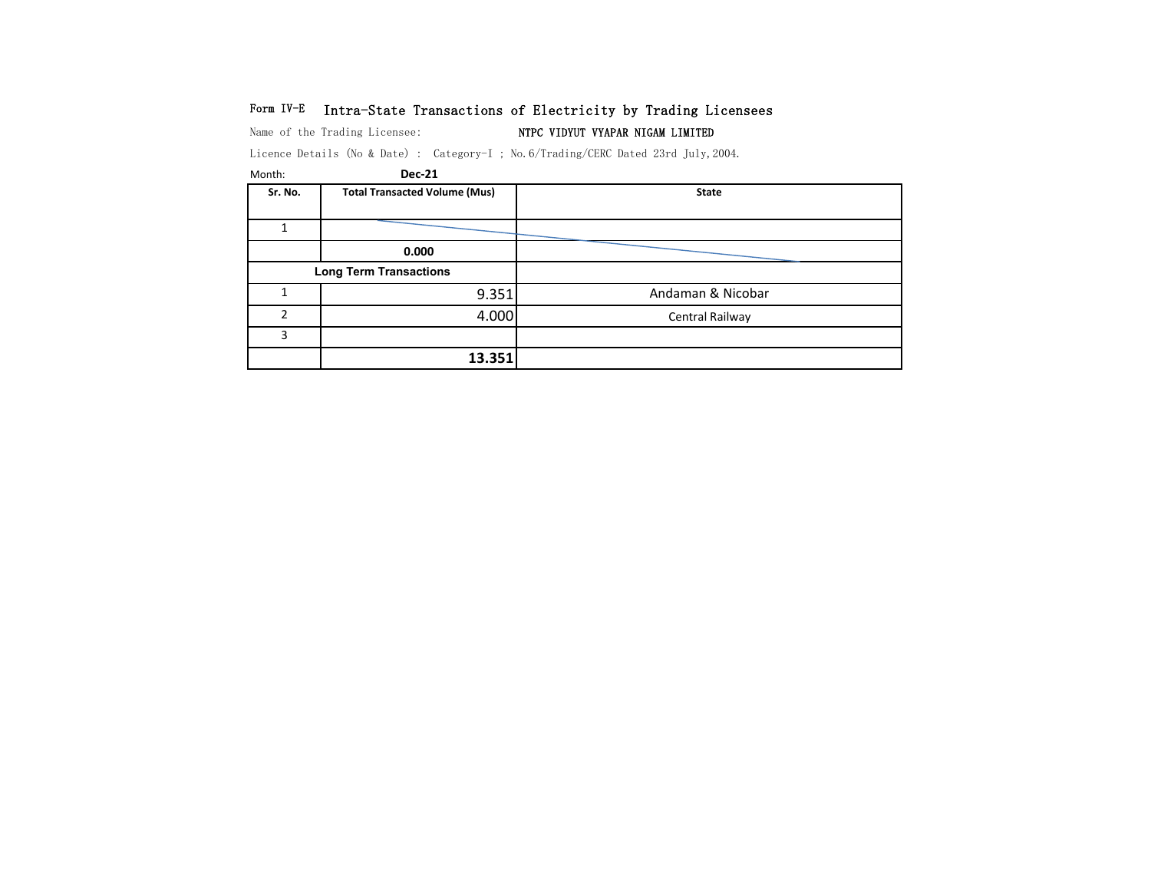# Form IV-E Intra-State Transactions of Electricity by Trading Licensees

Name of the Trading Licensee: NTPC VIDYUT VYAPAR NIGAM LIMITED

Licence Details (No & Date) : Category-I ; No.6/Trading/CERC Dated 23rd July,2004.

| Month:  | <b>Dec-21</b>                        |                   |
|---------|--------------------------------------|-------------------|
| Sr. No. | <b>Total Transacted Volume (Mus)</b> | <b>State</b>      |
|         |                                      |                   |
|         |                                      |                   |
|         | 0.000                                |                   |
|         | <b>Long Term Transactions</b>        |                   |
|         | 9.351                                | Andaman & Nicobar |
| 2       | 4.000                                | Central Railway   |
| 3       |                                      |                   |
|         | 13.351                               |                   |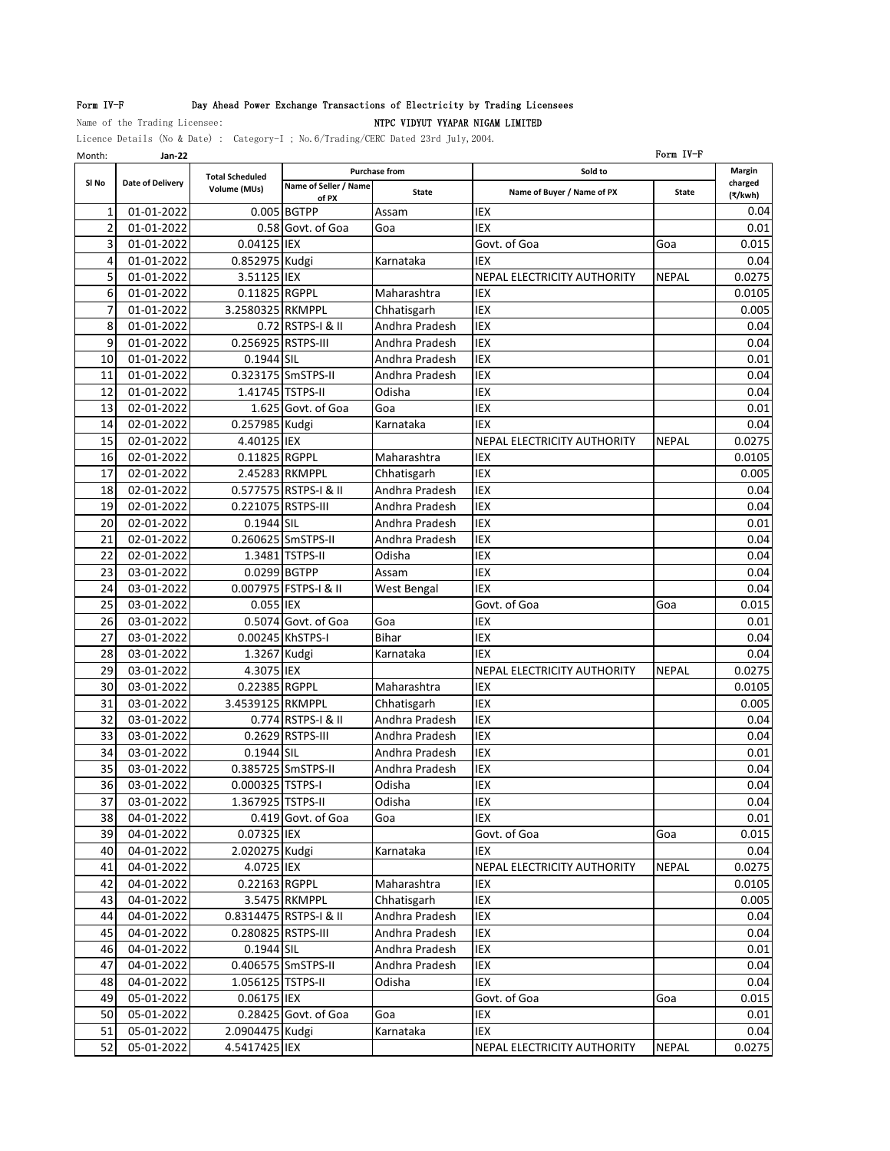## Form IV-F **Day Ahead Power Exchange Transactions of Electricity by Trading Licensees**

## Name of the Trading Licensee: NTPC VIDYUT VYAPAR NIGAM LIMITED

Licence Details (No & Date) : Category-I ; No.6/Trading/CERC Dated 23rd July,2004.

Month: **Jan-22** Form IV-F **Name of Seller / Name of PX State Name of Buyer / Name of PX State** 01-01-2022 0.005 BGTPP Assam IEX 0.04 2 01-01-2022 0.58 Govt. of Goa Goa IEX 1 0.01 01-01-2022 0.04125 IEX Govt. of Goa Goa 0.015 01-01-2022 0.852975 Kudgi Karnataka IEX 0.04 01-01-2022 3.51125 IEX NEPAL ELECTRICITY AUTHORITY NEPAL 0.0275 01-01-2022 0.11825 RGPPL Maharashtra IEX 0.0105 01-01-2022 3.2580325 RKMPPL Chhatisgarh IEX 0.005 8 01-01-2022 0.72 RSTPS-I & II Andhra Pradesh IEX 0.04 01-01-2022 0.256925 RSTPS-III Andhra Pradesh IEX 0.04 01-01-2022 0.1944 SIL Andhra Pradesh IEX 0.01 01-01-2022 0.323175 SmSTPS-II Andhra Pradesh IEX 0.04 01-01-2022 1.41745 TSTPS-II Odisha IEX 0.04 13 02-01-2022 1.625 Govt. of Goa Goa IEX 102-01-2022 1.625 Govt. of Goa IGoa 02-01-2022 0.257985 Kudgi Karnataka IEX 0.04 02-01-2022 4.40125 IEX NEPAL ELECTRICITY AUTHORITY NEPAL 0.0275 02-01-2022 0.11825 RGPPL Maharashtra IEX 0.0105 17 02-01-2022 2.45283 RKMPPL Chhatisgarh IEX 10005 02-01-2022 0.577575 RSTPS-I & II Andhra Pradesh IEX 0.04 02-01-2022 0.221075 RSTPS-III Andhra Pradesh IEX 0.04 02-01-2022 0.1944 SIL Andhra Pradesh IEX 0.01 02-01-2022 0.260625 SmSTPS-II Andhra Pradesh IEX 0.04 02-01-2022 1.3481 TSTPS-II Odisha IEX 0.04 03-01-2022 0.0299 BGTPP Assam IEX 0.04 24 03-01-2022 0.007975 FSTPS-I & II West Bengal IEX COMPUTER COMPUTER ON THE OLD ON 03-01-2022 0.055 IEX Govt. of Goa Goa 0.015 26 03-01-2022 0.5074 Govt. of Goa Goa IEX 12.001 0.01 27 03-01-2022 0.00245 KhSTPS-I Bihar IEX 0.04 03-01-2022 1.3267 Kudgi Karnataka IEX 0.04 03-01-2022 4.3075 IEX NEPAL ELECTRICITY AUTHORITY NEPAL 0.0275 03-01-2022 0.22385 RGPPL Maharashtra IEX 0.0105 03-01-2022 3.4539125 RKMPPL Chhatisgarh IEX 0.005 32 03-01-2022 0.774 RSTPS-I & II Andhra Pradesh IEX 0.04 03-01-2022 0.2629 RSTPS-III Andhra Pradesh IEX 0.04 03-01-2022 0.1944 SIL Andhra Pradesh IEX 0.01 03-01-2022 0.385725 SmSTPS-II Andhra Pradesh IEX 0.04 03-01-2022 0.000325 TSTPS-I Odisha IEX 0.04 03-01-2022 1.367925 TSTPS-II Odisha IEX 0.04 38 04-01-2022 0.419 Govt. of Goa 0.01 04-01-2022 0.07325 IEX Govt. of Goa Goa 0.015 04-01-2022 2.020275 Kudgi Karnataka IEX 0.04 04-01-2022 4.0725 IEX NEPAL ELECTRICITY AUTHORITY NEPAL 0.0275 04-01-2022 0.22163 RGPPL Maharashtra IEX 0.0105 43 04-01-2022 3.5475 RKMPPL Chhatisgarh IEX 10.005 04-01-2022 0.8314475 RSTPS-I & II Andhra Pradesh IEX 0.04 04-01-2022 0.280825 RSTPS-III Andhra Pradesh IEX 0.04 04-01-2022 0.1944 SIL Andhra Pradesh IEX 0.01 04-01-2022 0.406575 SmSTPS-II Andhra Pradesh IEX 0.04 04-01-2022 1.056125 TSTPS-II Odisha IEX 0.04 05-01-2022 0.06175 IEX Govt. of Goa Goa 0.015 05-01-2022 0.28425 Govt. of Goa Goa IEX 0.01 05-01-2022 2.0904475 Kudgi Karnataka IEX 0.04 05-01-2022 4.5417425 IEX NEPAL ELECTRICITY AUTHORITY NEPAL 0.0275 **Margin charged (₹/kwh) Sl No Date of Delivery Total Scheduled Volume (MUs) Purchase from Sold to**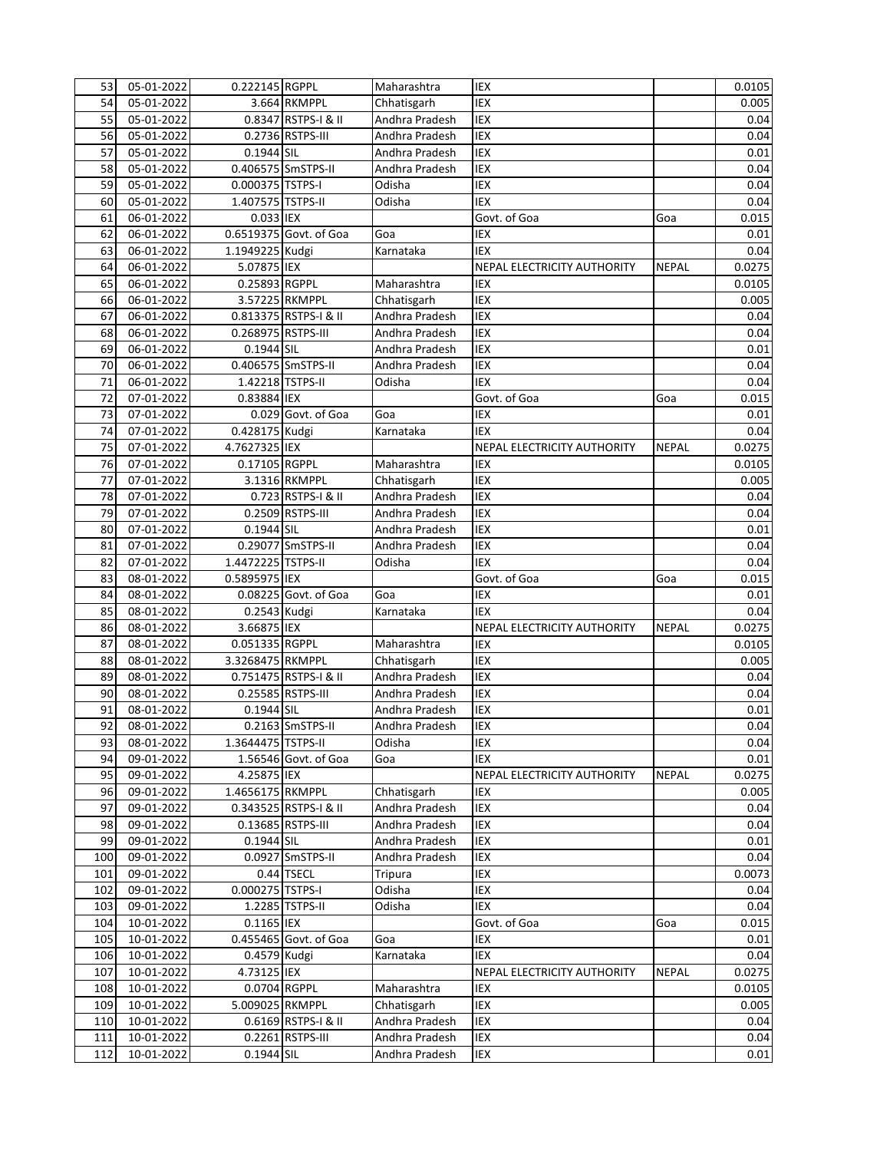| 53  | 05-01-2022   | 0.222145 RGPPL          |                        | Maharashtra    | IEX                         |              | 0.0105 |
|-----|--------------|-------------------------|------------------------|----------------|-----------------------------|--------------|--------|
| 54  | 05-01-2022   |                         | 3.664 RKMPPL           | Chhatisgarh    | <b>IEX</b>                  |              | 0.005  |
| 55  | 05-01-2022   |                         | 0.8347 RSTPS-I & II    | Andhra Pradesh | IEX                         |              | 0.04   |
| 56  | 05-01-2022   |                         | 0.2736 RSTPS-III       | Andhra Pradesh | <b>IEX</b>                  |              | 0.04   |
| 57  | 05-01-2022   | 0.1944 SIL              |                        | Andhra Pradesh | <b>IEX</b>                  |              | 0.01   |
| 58  | 05-01-2022   |                         | 0.406575 SmSTPS-II     | Andhra Pradesh | <b>IEX</b>                  |              | 0.04   |
| 59  | 05-01-2022   | 0.000375 TSTPS-I        |                        | Odisha         | IEX                         |              | 0.04   |
| 60  | 05-01-2022   | 1.407575 TSTPS-II       |                        | Odisha         | IEX                         |              | 0.04   |
| 61  | 06-01-2022   | 0.033 IEX               |                        |                | Govt. of Goa                | Goa          | 0.015  |
| 62  | 06-01-2022   |                         | 0.6519375 Govt. of Goa | Goa            | IEX                         |              | 0.01   |
| 63  | 06-01-2022   | 1.1949225 Kudgi         |                        | Karnataka      | <b>IEX</b>                  |              | 0.04   |
| 64  | 06-01-2022   | 5.07875 IEX             |                        |                | NEPAL ELECTRICITY AUTHORITY | <b>NEPAL</b> | 0.0275 |
| 65  | 06-01-2022   | 0.25893 RGPPL           |                        | Maharashtra    | <b>IEX</b>                  |              | 0.0105 |
| 66  | 06-01-2022   |                         | 3.57225 RKMPPL         | Chhatisgarh    | IEX                         |              | 0.005  |
| 67  | 06-01-2022   |                         | 0.813375 RSTPS-I & II  | Andhra Pradesh | <b>IEX</b>                  |              | 0.04   |
| 68  | 06-01-2022   | 0.268975 RSTPS-III      |                        | Andhra Pradesh | IEX                         |              | 0.04   |
| 69  | 06-01-2022   | 0.1944 SIL              |                        | Andhra Pradesh | IEX                         |              | 0.01   |
| 70  | 06-01-2022   |                         | 0.406575 SmSTPS-II     | Andhra Pradesh | IEX                         |              | 0.04   |
| 71  | 06-01-2022   |                         | 1.42218 TSTPS-II       | Odisha         | <b>IEX</b>                  |              | 0.04   |
|     |              |                         |                        |                |                             |              |        |
| 72  | 07-01-2022   | 0.83884 IEX             |                        |                | Govt. of Goa                | Goa          | 0.015  |
| 73  | 07-01-2022   |                         | 0.029 Govt. of Goa     | Goa            | <b>IEX</b>                  |              | 0.01   |
| 74  | 07-01-2022   | 0.428175 Kudgi          |                        | Karnataka      | <b>IEX</b>                  |              | 0.04   |
| 75  | 07-01-2022   | 4.7627325 IEX           |                        |                | NEPAL ELECTRICITY AUTHORITY | <b>NEPAL</b> | 0.0275 |
| 76  | 07-01-2022   | 0.17105 RGPPL           |                        | Maharashtra    | IEX                         |              | 0.0105 |
| 77  | $07-01-2022$ |                         | 3.1316 RKMPPL          | Chhatisgarh    | IEX                         |              | 0.005  |
| 78  | 07-01-2022   |                         | 0.723 RSTPS-I & II     | Andhra Pradesh | IEX                         |              | 0.04   |
| 79  | 07-01-2022   |                         | 0.2509 RSTPS-III       | Andhra Pradesh | IEX                         |              | 0.04   |
| 80  | 07-01-2022   | 0.1944 SIL              |                        | Andhra Pradesh | <b>IEX</b>                  |              | 0.01   |
| 81  | 07-01-2022   |                         | 0.29077 SmSTPS-II      | Andhra Pradesh | <b>IEX</b>                  |              | 0.04   |
| 82  | 07-01-2022   | 1.4472225 TSTPS-II      |                        | Odisha         | <b>IEX</b>                  |              | 0.04   |
| 83  | 08-01-2022   | 0.5895975 IEX           |                        |                | Govt. of Goa                | Goa          | 0.015  |
| 84  | 08-01-2022   |                         | 0.08225 Govt. of Goa   | Goa            | IEX                         |              | 0.01   |
| 85  | 08-01-2022   | 0.2543 Kudgi            |                        | Karnataka      | IEX                         |              | 0.04   |
| 86  | 08-01-2022   | 3.66875 IEX             |                        |                | NEPAL ELECTRICITY AUTHORITY | <b>NEPAL</b> | 0.0275 |
| 87  | 08-01-2022   | 0.051335 RGPPL          |                        | Maharashtra    | IEX                         |              | 0.0105 |
| 88  | 08-01-2022   | 3.3268475 RKMPPL        |                        | Chhatisgarh    | <b>IEX</b>                  |              | 0.005  |
| 89  | 08-01-2022   |                         | 0.751475 RSTPS-I & II  | Andhra Pradesh | IEX                         |              | 0.04   |
| 90  | 08-01-2022   |                         | 0.25585 RSTPS-III      | Andhra Pradesh | <b>IEX</b>                  |              | 0.04   |
| 91  | 08-01-2022   | $\overline{0.1944}$ SIL |                        | Andhra Pradesh | IEX                         |              | 0.01   |
| 92  | 08-01-2022   |                         | 0.2163 SmSTPS-II       | Andhra Pradesh | <b>IEX</b>                  |              | 0.04   |
| 93  | 08-01-2022   | 1.3644475 TSTPS-II      |                        | Odisha         | IEX                         |              | 0.04   |
| 94  | 09-01-2022   |                         | 1.56546 Govt. of Goa   | Goa            | IEX                         |              | 0.01   |
| 95  | 09-01-2022   | 4.25875 IEX             |                        |                | NEPAL ELECTRICITY AUTHORITY | <b>NEPAL</b> | 0.0275 |
| 96  | 09-01-2022   | 1.4656175 RKMPPL        |                        | Chhatisgarh    | IEX                         |              | 0.005  |
| 97  | 09-01-2022   |                         | 0.343525 RSTPS-I & II  | Andhra Pradesh | IEX                         |              | 0.04   |
| 98  | 09-01-2022   |                         | 0.13685 RSTPS-III      | Andhra Pradesh | IEX                         |              | 0.04   |
| 99  | 09-01-2022   | 0.1944 SIL              |                        | Andhra Pradesh | IEX                         |              | 0.01   |
| 100 | 09-01-2022   |                         | 0.0927 SmSTPS-II       | Andhra Pradesh | IEX                         |              | 0.04   |
| 101 | 09-01-2022   |                         | 0.44 TSECL             | Tripura        | IEX                         |              | 0.0073 |
| 102 | 09-01-2022   | 0.000275 TSTPS-I        |                        | Odisha         | IEX                         |              | 0.04   |
| 103 | $09-01-2022$ |                         | 1.2285 TSTPS-II        | Odisha         | IEX                         |              | 0.04   |
| 104 | 10-01-2022   | $0.1165$ IEX            |                        |                | Govt. of Goa                | Goa          | 0.015  |
| 105 | 10-01-2022   |                         | 0.455465 Govt. of Goa  | Goa            | IEX                         |              | 0.01   |
| 106 | 10-01-2022   | 0.4579 Kudgi            |                        | Karnataka      | <b>IEX</b>                  |              | 0.04   |
| 107 | 10-01-2022   | 4.73125 IEX             |                        |                | NEPAL ELECTRICITY AUTHORITY | <b>NEPAL</b> | 0.0275 |
| 108 | 10-01-2022   |                         | 0.0704 RGPPL           | Maharashtra    | IEX                         |              | 0.0105 |
| 109 | 10-01-2022   | 5.009025 RKMPPL         |                        | Chhatisgarh    | IEX                         |              | 0.005  |
| 110 | 10-01-2022   |                         | 0.6169 RSTPS-I & II    | Andhra Pradesh | IEX                         |              | 0.04   |
| 111 | 10-01-2022   |                         | 0.2261 RSTPS-III       | Andhra Pradesh | IEX                         |              | 0.04   |
| 112 | 10-01-2022   | 0.1944 SIL              |                        | Andhra Pradesh | IEX                         |              | 0.01   |
|     |              |                         |                        |                |                             |              |        |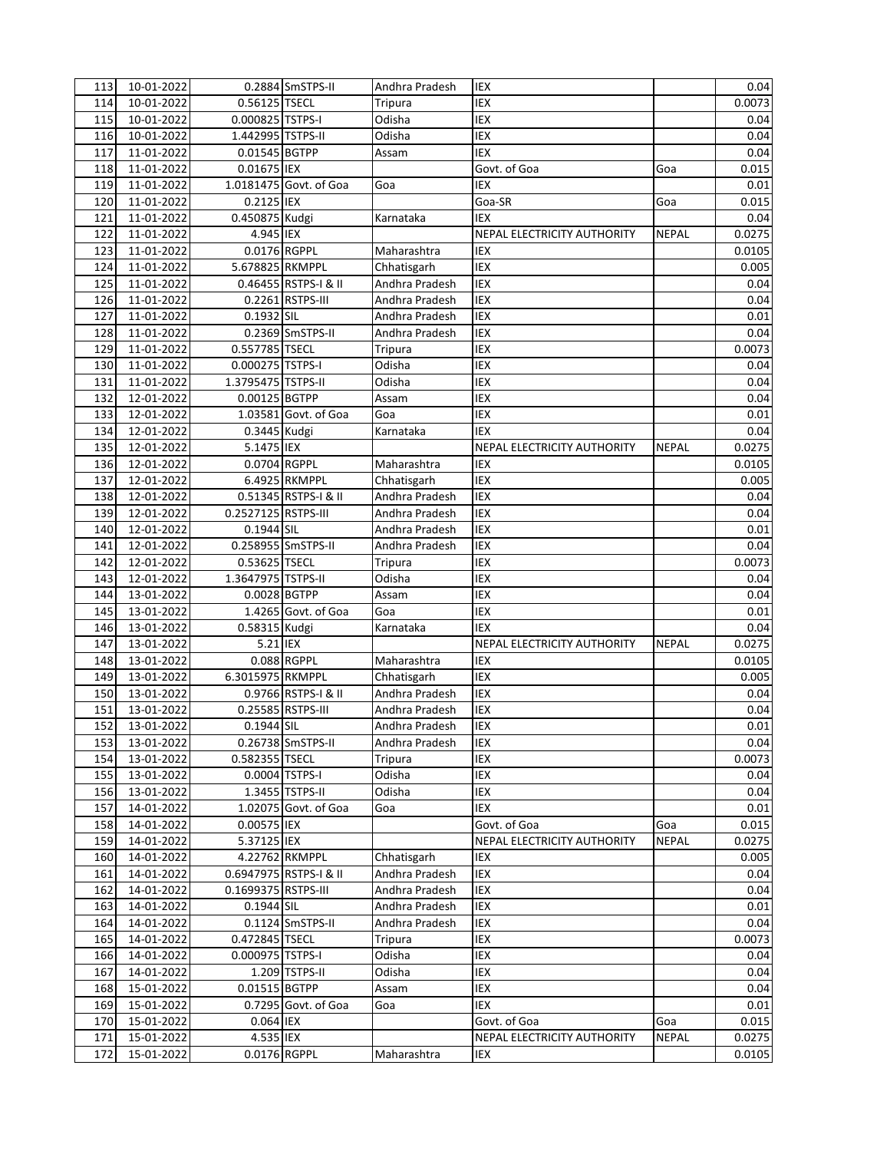| 113        | 10-01-2022               |                     | 0.2884 SmSTPS-II       | Andhra Pradesh | IEX                         |                     | 0.04            |
|------------|--------------------------|---------------------|------------------------|----------------|-----------------------------|---------------------|-----------------|
| 114        | 10-01-2022               | 0.56125 TSECL       |                        | <b>Tripura</b> | IEX                         |                     | 0.0073          |
| 115        | 10-01-2022               | 0.000825 TSTPS-I    |                        | Odisha         | IEX                         |                     | 0.04            |
| 116        | 10-01-2022               | 1.442995 TSTPS-II   |                        | Odisha         | <b>IEX</b>                  |                     | 0.04            |
| 117        | 11-01-2022               | 0.01545 BGTPP       |                        | Assam          | <b>IEX</b>                  |                     | 0.04            |
| 118        | 11-01-2022               | 0.01675 IEX         |                        |                | Govt. of Goa                | Goa                 | 0.015           |
| 119        | 11-01-2022               |                     | 1.0181475 Govt. of Goa | Goa            | IEX                         |                     | 0.01            |
| 120        | 11-01-2022               | 0.2125 IEX          |                        |                | Goa-SR                      | Goa                 | 0.015           |
| 121        | 11-01-2022               | 0.450875 Kudgi      |                        | Karnataka      | <b>IEX</b>                  |                     | 0.04            |
| 122        | 11-01-2022               | 4.945 IEX           |                        |                | NEPAL ELECTRICITY AUTHORITY | <b>NEPAL</b>        | 0.0275          |
| 123        | 11-01-2022               | 0.0176 RGPPL        |                        | Maharashtra    | IEX                         |                     | 0.0105          |
| 124        | 11-01-2022               | 5.678825 RKMPPL     |                        | Chhatisgarh    | IEX                         |                     | 0.005           |
| 125        | 11-01-2022               |                     | 0.46455 RSTPS-I & II   | Andhra Pradesh | <b>IEX</b>                  |                     | 0.04            |
| 126        | 11-01-2022               |                     | 0.2261 RSTPS-III       | Andhra Pradesh | IEX                         |                     | 0.04            |
| 127        | 11-01-2022               | 0.1932 SIL          |                        | Andhra Pradesh | IEX                         |                     | 0.01            |
| 128        | 11-01-2022               |                     | 0.2369 SmSTPS-II       | Andhra Pradesh | IEX                         |                     | 0.04            |
| 129        | $11 - 01 - 2022$         | 0.557785 TSECL      |                        | <b>Tripura</b> | IEX                         |                     | 0.0073          |
| 130        | 11-01-2022               | 0.000275 TSTPS-I    |                        | Odisha         | IEX                         |                     | 0.04            |
|            |                          |                     |                        | Odisha         | IEX                         |                     | 0.04            |
| 131        | 11-01-2022               | 1.3795475 TSTPS-II  |                        |                |                             |                     |                 |
| 132        | 12-01-2022               | 0.00125 BGTPP       |                        | Assam          | IEX                         |                     | 0.04            |
| 133        | 12-01-2022               |                     | 1.03581 Govt. of Goa   | Goa            | IEX                         |                     | 0.01            |
| 134        | 12-01-2022               | 0.3445 Kudgi        |                        | Karnataka      | <b>IEX</b>                  |                     | 0.04            |
| 135        | 12-01-2022               | 5.1475 IEX          |                        |                | NEPAL ELECTRICITY AUTHORITY | <b>NEPAL</b>        | 0.0275          |
| 136        | 12-01-2022               | 0.0704 RGPPL        |                        | Maharashtra    | IEX                         |                     | 0.0105          |
| 137        | $\overline{12}$ -01-2022 |                     | 6.4925 RKMPPL          | Chhatisgarh    | IEX                         |                     | 0.005           |
| 138        | 12-01-2022               |                     | 0.51345 RSTPS-I & II   | Andhra Pradesh | IEX                         |                     | 0.04            |
| 139        | 12-01-2022               | 0.2527125 RSTPS-III |                        | Andhra Pradesh | IEX                         |                     | 0.04            |
| 140        | 12-01-2022               | 0.1944 SIL          |                        | Andhra Pradesh | IEX                         |                     | 0.01            |
| 141        | 12-01-2022               |                     | 0.258955 SmSTPS-II     | Andhra Pradesh | <b>IEX</b>                  |                     | 0.04            |
| 142        | 12-01-2022               | 0.53625 TSECL       |                        | <b>Tripura</b> | IEX                         |                     | 0.0073          |
| 143        | 12-01-2022               | 1.3647975 TSTPS-II  |                        | Odisha         | IEX                         |                     | 0.04            |
| 144        | 13-01-2022               |                     | 0.0028 BGTPP           | Assam          | IEX                         |                     | 0.04            |
| 145        | 13-01-2022               |                     | 1.4265 Govt. of Goa    | Goa            | IEX                         |                     | 0.01            |
| 146        | 13-01-2022               | 0.58315 Kudgi       |                        | Karnataka      | <b>IEX</b>                  |                     | 0.04            |
| 147        | 13-01-2022               | 5.21 IEX            |                        |                | NEPAL ELECTRICITY AUTHORITY | <b>NEPAL</b>        | 0.0275          |
| 148        | 13-01-2022               |                     | 0.088 RGPPL            | Maharashtra    | IEX                         |                     | 0.0105          |
| 149        | 13-01-2022               | 6.3015975 RKMPPL    |                        | Chhatisgarh    | IEX                         |                     | 0.005           |
| 150        | 13-01-2022               |                     | 0.9766 RSTPS-I & II    | Andhra Pradesh | <b>IEX</b>                  |                     | 0.04            |
| 151        | 13-01-2022               |                     | 0.25585 RSTPS-III      | Andhra Pradesh | IEX                         |                     | 0.04            |
| 152        | 13-01-2022               | 0.1944 SIL          |                        | Andhra Pradesh | <b>IEX</b>                  |                     | 0.01            |
| 153        | 13-01-2022               |                     | 0.26738 SmSTPS-II      | Andhra Pradesh | IEX                         |                     | 0.04            |
| 154        | 13-01-2022               | 0.582355 TSECL      |                        | Tripura        | IEX                         |                     | 0.0073          |
| 155        | 13-01-2022               |                     | 0.0004 TSTPS-I         | Odisha         | IEX                         |                     | 0.04            |
| 156        | 13-01-2022               |                     | 1.3455 TSTPS-II        | Odisha         | IEX                         |                     | 0.04            |
| 157        | 14-01-2022               |                     | 1.02075 Govt. of Goa   | Goa            | IEX                         |                     | 0.01            |
| 158        | 14-01-2022               | 0.00575 IEX         |                        |                | Govt. of Goa                | Goa                 | 0.015           |
| 159        | 14-01-2022               | 5.37125 IEX         |                        |                | NEPAL ELECTRICITY AUTHORITY | <b>NEPAL</b>        | 0.0275          |
| 160        | 14-01-2022               |                     | 4.22762 RKMPPL         | Chhatisgarh    | IEX                         |                     | 0.005           |
| 161        | 14-01-2022               |                     | 0.6947975 RSTPS-I & II | Andhra Pradesh | IEX                         |                     | 0.04            |
| 162        | 14-01-2022               | 0.1699375 RSTPS-III |                        | Andhra Pradesh | IEX                         |                     | 0.04            |
| 163        | 14-01-2022               | 0.1944 SIL          |                        | Andhra Pradesh | IEX                         |                     | 0.01            |
| 164        | 14-01-2022               |                     | 0.1124 SmSTPS-II       | Andhra Pradesh | IEX                         |                     | 0.04            |
| 165        | 14-01-2022               | 0.472845 TSECL      |                        | Tripura        | IEX                         |                     | 0.0073          |
| 166        | 14-01-2022               | 0.000975 TSTPS-I    |                        | Odisha         | IEX                         |                     | 0.04            |
| 167        | $14 - 01 - 2022$         |                     | 1.209 TSTPS-II         | Odisha         | IEX                         |                     | 0.04            |
| 168        | 15-01-2022               | 0.01515 BGTPP       |                        | Assam          | IEX                         |                     | 0.04            |
| 169        | 15-01-2022               |                     | 0.7295 Govt. of Goa    | Goa            | IEX                         |                     | 0.01            |
|            | 15-01-2022               | 0.064 IEX           |                        |                | Govt. of Goa                |                     |                 |
| 170<br>171 | 15-01-2022               | 4.535 IEX           |                        |                | NEPAL ELECTRICITY AUTHORITY | Goa<br><b>NEPAL</b> | 0.015<br>0.0275 |
|            |                          |                     |                        |                |                             |                     |                 |
| 172        | 15-01-2022               |                     | 0.0176 RGPPL           | Maharashtra    | IEX                         |                     | 0.0105          |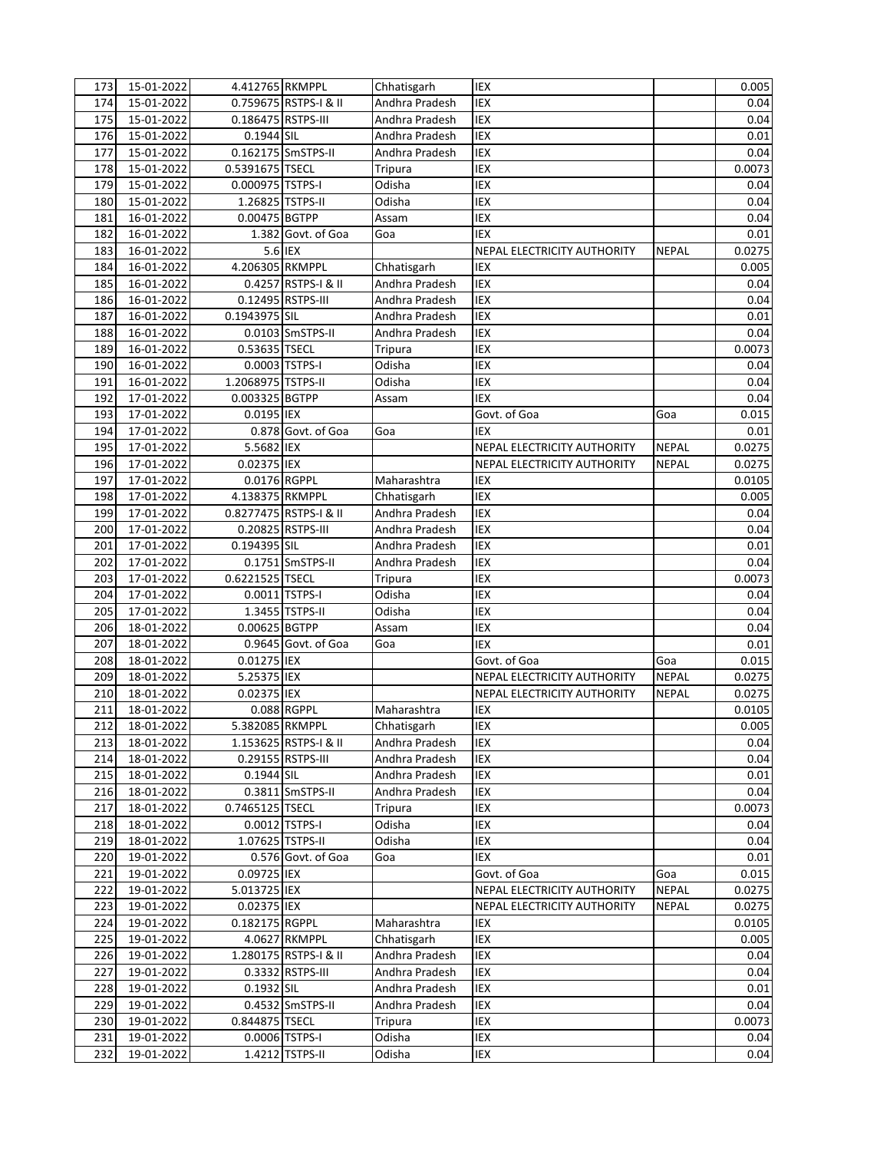| 173 | 15-01-2022       | 4.412765 RKMPPL    |                        | Chhatisgarh           | IEX                         |              | 0.005  |
|-----|------------------|--------------------|------------------------|-----------------------|-----------------------------|--------------|--------|
| 174 | 15-01-2022       |                    | 0.759675 RSTPS-I & II  | Andhra Pradesh<br>IEX |                             |              | 0.04   |
| 175 | 15-01-2022       | 0.186475 RSTPS-III |                        | Andhra Pradesh        | <b>IEX</b>                  |              | 0.04   |
| 176 | 15-01-2022       | 0.1944 SIL         |                        | Andhra Pradesh        | IEX                         |              | 0.01   |
| 177 | 15-01-2022       |                    | 0.162175 SmSTPS-II     | Andhra Pradesh        | IEX                         |              | 0.04   |
| 178 | 15-01-2022       | 0.5391675 TSECL    |                        | Tripura               | <b>IEX</b>                  |              | 0.0073 |
| 179 | 15-01-2022       | 0.000975 TSTPS-I   |                        | Odisha                | IEX                         |              | 0.04   |
| 180 | 15-01-2022       |                    | 1.26825 TSTPS-II       | Odisha                | IEX                         |              | 0.04   |
| 181 | 16-01-2022       | 0.00475 BGTPP      |                        | Assam                 | IEX                         |              | 0.04   |
| 182 | 16-01-2022       |                    | 1.382 Govt. of Goa     | Goa                   | IEX                         |              | 0.01   |
| 183 | 16-01-2022       |                    | 5.6 IEX                |                       | NEPAL ELECTRICITY AUTHORITY | <b>NEPAL</b> | 0.0275 |
| 184 | 16-01-2022       | 4.206305 RKMPPL    |                        | Chhatisgarh           | IEX                         |              | 0.005  |
| 185 | 16-01-2022       |                    | 0.4257 RSTPS-I & II    | Andhra Pradesh        | <b>IEX</b>                  |              | 0.04   |
| 186 | 16-01-2022       |                    | 0.12495 RSTPS-III      | Andhra Pradesh        | IEX                         |              | 0.04   |
|     |                  |                    |                        | Andhra Pradesh        | IEX                         |              |        |
| 187 | 16-01-2022       | 0.1943975 SIL      |                        |                       |                             |              | 0.01   |
| 188 | 16-01-2022       |                    | 0.0103 SmSTPS-II       | Andhra Pradesh        | IEX                         |              | 0.04   |
| 189 | 16-01-2022       | 0.53635 TSECL      |                        | Tripura               | IEX                         |              | 0.0073 |
| 190 | 16-01-2022       |                    | 0.0003 TSTPS-I         | Odisha                | IEX                         |              | 0.04   |
| 191 | 16-01-2022       | 1.2068975 TSTPS-II |                        | Odisha                | <b>IEX</b>                  |              | 0.04   |
| 192 | 17-01-2022       | 0.003325 BGTPP     |                        | Assam                 | <b>IEX</b>                  |              | 0.04   |
| 193 | 17-01-2022       | 0.0195 IEX         |                        |                       | Govt. of Goa                | Goa          | 0.015  |
| 194 | 17-01-2022       |                    | 0.878 Govt. of Goa     | Goa                   | <b>IEX</b>                  |              | 0.01   |
| 195 | 17-01-2022       | 5.5682 IEX         |                        |                       | NEPAL ELECTRICITY AUTHORITY | <b>NEPAL</b> | 0.0275 |
| 196 | 17-01-2022       | 0.02375 IEX        |                        |                       | NEPAL ELECTRICITY AUTHORITY | <b>NEPAL</b> | 0.0275 |
| 197 | 17-01-2022       | 0.0176 RGPPL       |                        | Maharashtra           | IEX                         |              | 0.0105 |
| 198 | 17-01-2022       | 4.138375 RKMPPL    |                        | Chhatisgarh           | <b>IEX</b>                  |              | 0.005  |
| 199 | 17-01-2022       |                    | 0.8277475 RSTPS-I & II | Andhra Pradesh        | IEX                         |              | 0.04   |
| 200 | 17-01-2022       |                    | 0.20825 RSTPS-III      | Andhra Pradesh        | <b>IEX</b>                  |              | 0.04   |
| 201 | 17-01-2022       | 0.194395 SIL       |                        | Andhra Pradesh        | IEX                         |              | 0.01   |
| 202 | $17 - 01 - 2022$ |                    | 0.1751 SmSTPS-II       | Andhra Pradesh        | <b>IEX</b>                  |              | 0.04   |
| 203 | 17-01-2022       | 0.6221525 TSECL    |                        | Tripura               | IEX                         |              | 0.0073 |
| 204 | 17-01-2022       |                    | 0.0011 TSTPS-I         | Odisha                | IEX                         |              | 0.04   |
| 205 | 17-01-2022       |                    | 1.3455 TSTPS-II        | Odisha                | IEX                         |              | 0.04   |
| 206 | 18-01-2022       | 0.00625 BGTPP      |                        | Assam                 | IEX                         |              | 0.04   |
| 207 | 18-01-2022       |                    | 0.9645 Govt. of Goa    | Goa                   | <b>IEX</b>                  |              | 0.01   |
| 208 | 18-01-2022       | 0.01275 IEX        |                        |                       | Govt. of Goa                | Goa          | 0.015  |
| 209 | 18-01-2022       | 5.25375 IEX        |                        |                       | NEPAL ELECTRICITY AUTHORITY | <b>NEPAL</b> | 0.0275 |
| 210 | 18-01-2022       | 0.02375 IEX        |                        |                       | NEPAL ELECTRICITY AUTHORITY | <b>NEPAL</b> | 0.0275 |
| 211 | 18-01-2022       |                    | 0.088 RGPPL            | Maharashtra           | <b>IEX</b>                  |              | 0.0105 |
| 212 | 18-01-2022       | 5.382085 RKMPPL    |                        | Chhatisgarh           | IEX                         |              | 0.005  |
| 213 | 18-01-2022       |                    | 1.153625 RSTPS-I & II  | Andhra Pradesh        | IEX                         |              | 0.04   |
| 214 | 18-01-2022       |                    | 0.29155 RSTPS-III      | Andhra Pradesh        | IEX                         |              | 0.04   |
| 215 | 18-01-2022       | 0.1944 SIL         |                        | Andhra Pradesh        | IEX                         |              | 0.01   |
| 216 | 18-01-2022       |                    | 0.3811 SmSTPS-II       | Andhra Pradesh        | IEX                         |              | 0.04   |
|     |                  | 0.7465125 TSECL    |                        |                       |                             |              |        |
| 217 | 18-01-2022       |                    |                        | Tripura               | IEX                         |              | 0.0073 |
| 218 | 18-01-2022       |                    | 0.0012 TSTPS-I         | Odisha                | IEX                         |              | 0.04   |
| 219 | 18-01-2022       |                    | 1.07625 TSTPS-II       | Odisha                | IEX                         |              | 0.04   |
| 220 | 19-01-2022       |                    | $0.576$ Govt. of Goa   | Goa                   | IEX                         |              | 0.01   |
| 221 | 19-01-2022       | 0.09725 IEX        |                        |                       | Govt. of Goa                | Goa          | 0.015  |
| 222 | 19-01-2022       | 5.013725 IEX       |                        |                       | NEPAL ELECTRICITY AUTHORITY | <b>NEPAL</b> | 0.0275 |
| 223 | 19-01-2022       | 0.02375 IEX        |                        |                       | NEPAL ELECTRICITY AUTHORITY | <b>NEPAL</b> | 0.0275 |
| 224 | 19-01-2022       | 0.182175 RGPPL     |                        | Maharashtra           | IEX                         |              | 0.0105 |
| 225 | 19-01-2022       |                    | 4.0627 RKMPPL          | Chhatisgarh           | IEX                         |              | 0.005  |
| 226 | 19-01-2022       |                    | 1.280175 RSTPS-I & II  | Andhra Pradesh        | IEX                         |              | 0.04   |
| 227 | 19-01-2022       |                    | 0.3332 RSTPS-III       | Andhra Pradesh        | IEX                         |              | 0.04   |
| 228 | 19-01-2022       | 0.1932 SIL         |                        | Andhra Pradesh        | IEX                         |              | 0.01   |
| 229 | 19-01-2022       |                    | 0.4532 SmSTPS-II       | Andhra Pradesh        | IEX                         |              | 0.04   |
| 230 | 19-01-2022       | 0.844875 TSECL     |                        | <b>Tripura</b>        | IEX                         |              | 0.0073 |
| 231 | 19-01-2022       |                    | 0.0006 TSTPS-I         | Odisha                | IEX                         |              | 0.04   |
| 232 | 19-01-2022       |                    | 1.4212 TSTPS-II        | Odisha                | IEX                         |              | 0.04   |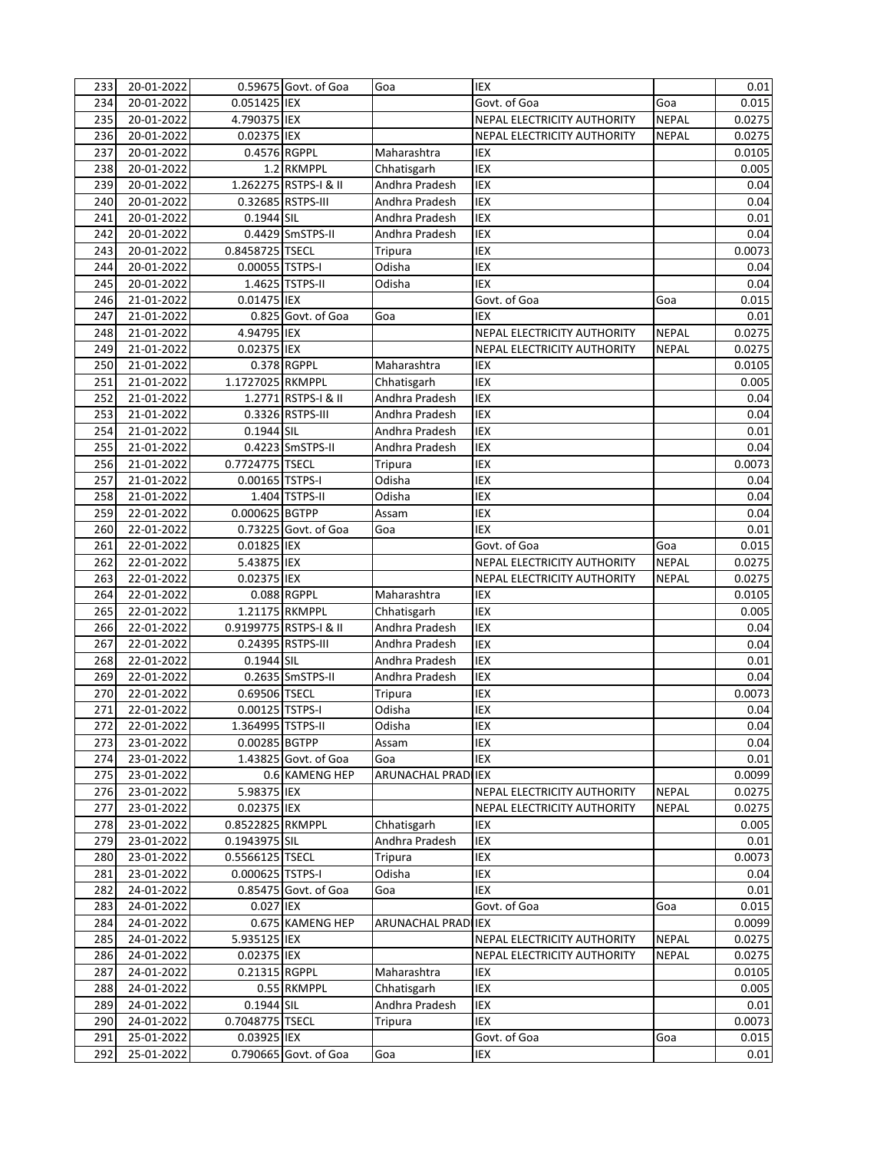| 234<br>20-01-2022<br>0.051425 IEX<br>Govt. of Goa<br>Goa<br>0.015<br>4.790375 IEX<br>235<br>20-01-2022<br>NEPAL ELECTRICITY AUTHORITY<br><b>NEPAL</b><br>0.0275<br>0.02375 IEX<br>236<br>20-01-2022<br>NEPAL ELECTRICITY AUTHORITY<br><b>NEPAL</b><br>0.0275<br>0.4576 RGPPL<br>237<br>20-01-2022<br>Maharashtra<br>IEX<br>0.0105<br>1.2 RKMPPL<br>238<br>20-01-2022<br>Chhatisgarh<br>IEX<br>0.005<br>1.262275 RSTPS-I & II<br>239<br>20-01-2022<br>Andhra Pradesh<br>IEX<br>0.04<br>240<br>0.32685 RSTPS-III<br><b>IEX</b><br>20-01-2022<br>Andhra Pradesh<br>0.04<br>241<br>20-01-2022<br>0.1944 SIL<br>Andhra Pradesh<br><b>IEX</b><br>0.01<br>IEX<br>242<br>20-01-2022<br>0.4429 SmSTPS-II<br>0.04<br>Andhra Pradesh<br>20-01-2022<br>0.8458725 TSECL<br><b>IEX</b><br>0.0073<br>243<br>Tripura<br>20-01-2022<br>0.00055 TSTPS-I<br>Odisha<br><b>IEX</b><br>244<br>0.04<br>20-01-2022<br>1.4625 TSTPS-II<br>Odisha<br><b>IEX</b><br>0.04<br>245<br>21-01-2022<br>0.01475 IEX<br>Govt. of Goa<br>246<br>Goa<br>0.015<br>0.825 Govt. of Goa<br>0.01<br>247<br>21-01-2022<br>Goa<br>IEX<br>4.94795 IEX<br><b>NEPAL</b><br>248<br>21-01-2022<br>NEPAL ELECTRICITY AUTHORITY<br>0.0275<br>249<br>21-01-2022<br>0.02375 IEX<br>NEPAL ELECTRICITY AUTHORITY<br><b>NEPAL</b><br>0.0275<br>250<br>21-01-2022<br>0.378 RGPPL<br>Maharashtra<br>IEX<br>0.0105<br>1.1727025 RKMPPL<br>IEX<br>251<br>21-01-2022<br>Chhatisgarh<br>0.005<br>252<br>21-01-2022<br>1.2771 RSTPS-I & II<br>IEX<br>Andhra Pradesh<br>0.04<br>253<br>21-01-2022<br>0.3326 RSTPS-III<br>Andhra Pradesh<br><b>IEX</b><br>0.04<br>0.1944 SIL<br>254<br>21-01-2022<br>Andhra Pradesh<br><b>IEX</b><br>0.01<br>255<br>21-01-2022<br>0.4223 SmSTPS-II<br>Andhra Pradesh<br>IEX<br>0.04<br>256<br>0.7724775 TSECL<br>IEX<br>21-01-2022<br>Tripura<br>0.0073<br>IEX<br>257<br>21-01-2022<br>0.00165 TSTPS-I<br>Odisha<br>0.04<br>258<br>21-01-2022<br>1.404 TSTPS-II<br>Odisha<br>IEX<br>0.04<br>IEX<br>259<br>22-01-2022<br>0.000625 BGTPP<br>0.04<br>Assam<br>260<br>22-01-2022<br>0.73225 Govt. of Goa<br>Goa<br><b>IEX</b><br>0.01<br>261<br>22-01-2022<br>0.01825 IEX<br>Govt. of Goa<br>Goa<br>0.015<br>5.43875 IEX<br>262<br>22-01-2022<br>NEPAL ELECTRICITY AUTHORITY<br><b>NEPAL</b><br>0.0275<br>263<br>22-01-2022<br>0.02375 IEX<br><b>NEPAL</b><br>0.0275<br>NEPAL ELECTRICITY AUTHORITY<br>264<br>22-01-2022<br>0.088 RGPPL<br>Maharashtra<br><b>IEX</b><br>0.0105<br>265<br>22-01-2022<br>1.21175 RKMPPL<br>IEX<br>Chhatisgarh<br>0.005<br>IEX<br>266<br>22-01-2022<br>0.9199775 RSTPS-I & II<br>Andhra Pradesh<br>0.04<br>IEX<br>0.24395 RSTPS-III<br>267<br>22-01-2022<br>Andhra Pradesh<br>0.04<br>22-01-2022<br>0.1944 SIL<br>IEX<br>0.01<br>268<br>Andhra Pradesh<br>0.2635 SmSTPS-II<br>269<br>22-01-2022<br>Andhra Pradesh<br>IEX<br>0.04<br>22-01-2022<br>0.69506 TSECL<br>IEX<br>0.0073<br>270<br>Tripura<br>Odisha<br>271<br>22-01-2022<br>0.00125 TSTPS-I<br>IEX<br>0.04<br>272<br>1.364995 TSTPS-II<br>IEX<br>0.04<br>22-01-2022<br>Odisha<br>IEX<br>23-01-2022<br>0.00285 BGTPP<br>0.04<br>273<br>Assam<br>23-01-2022<br>1.43825 Govt. of Goa<br>IEX<br>274<br>Goa<br>0.01<br>23-01-2022<br>0.6 KAMENG HEP<br>ARUNACHAL PRADI IEX<br>275<br>0.0099<br>23-01-2022<br>5.98375 IEX<br>276<br>NEPAL ELECTRICITY AUTHORITY<br><b>NEPAL</b><br>0.0275<br>0.02375 IEX<br>23-01-2022<br><b>NEPAL</b><br>0.0275<br>277<br>NEPAL ELECTRICITY AUTHORITY<br>0.8522825 RKMPPL<br>23-01-2022<br>Chhatisgarh<br>278<br>IEX<br>0.005<br>23-01-2022<br>0.1943975 SIL<br>Andhra Pradesh<br>IEX<br>0.01<br>279<br>23-01-2022<br>0.5566125 TSECL<br>Tripura<br>IEX<br>0.0073<br>280<br>281<br>23-01-2022<br>0.000625 TSTPS-I<br>Odisha<br>IEX<br>0.04<br>282<br>24-01-2022<br>IEX<br>0.85475 Govt. of Goa<br>Goa<br>0.01<br>24-01-2022<br>0.027 IEX<br>283<br>Govt. of Goa<br>0.015<br>Goa<br>284<br>24-01-2022<br>0.675 KAMENG HEP<br>ARUNACHAL PRADI IEX<br>0.0099<br>24-01-2022<br>5.935125 IEX<br>0.0275<br>285<br>NEPAL ELECTRICITY AUTHORITY<br><b>NEPAL</b><br>24-01-2022<br>0.02375 IEX<br>0.0275<br>286<br>NEPAL ELECTRICITY AUTHORITY<br><b>NEPAL</b><br>24-01-2022<br>0.21315 RGPPL<br>Maharashtra<br>287<br>IEX<br>0.0105<br>24-01-2022<br>0.55 RKMPPL<br>Chhatisgarh<br>IEX<br>288<br>0.005<br>0.1944 SIL<br>Andhra Pradesh<br>289<br>24-01-2022<br>IEX<br>0.01<br>0.7048775 TSECL<br>IEX<br>290<br>24-01-2022<br>0.0073<br>Tripura<br>291<br>25-01-2022<br>0.03925 IEX<br>Govt. of Goa<br>0.015<br>Goa<br>292<br>25-01-2022<br>0.790665 Govt. of Goa<br>Goa<br>IEX<br>0.01 | 233 | 20-01-2022 | 0.59675 Govt. of Goa | Goa | IEX | 0.01 |
|-----------------------------------------------------------------------------------------------------------------------------------------------------------------------------------------------------------------------------------------------------------------------------------------------------------------------------------------------------------------------------------------------------------------------------------------------------------------------------------------------------------------------------------------------------------------------------------------------------------------------------------------------------------------------------------------------------------------------------------------------------------------------------------------------------------------------------------------------------------------------------------------------------------------------------------------------------------------------------------------------------------------------------------------------------------------------------------------------------------------------------------------------------------------------------------------------------------------------------------------------------------------------------------------------------------------------------------------------------------------------------------------------------------------------------------------------------------------------------------------------------------------------------------------------------------------------------------------------------------------------------------------------------------------------------------------------------------------------------------------------------------------------------------------------------------------------------------------------------------------------------------------------------------------------------------------------------------------------------------------------------------------------------------------------------------------------------------------------------------------------------------------------------------------------------------------------------------------------------------------------------------------------------------------------------------------------------------------------------------------------------------------------------------------------------------------------------------------------------------------------------------------------------------------------------------------------------------------------------------------------------------------------------------------------------------------------------------------------------------------------------------------------------------------------------------------------------------------------------------------------------------------------------------------------------------------------------------------------------------------------------------------------------------------------------------------------------------------------------------------------------------------------------------------------------------------------------------------------------------------------------------------------------------------------------------------------------------------------------------------------------------------------------------------------------------------------------------------------------------------------------------------------------------------------------------------------------------------------------------------------------------------------------------------------------------------------------------------------------------------------------------------------------------------------------------------------------------------------------------------------------------------------------------------------------------------------------------------------------------------------------------------------------------------------------------------------------------------------------------------------------------------------------------------------------------------------------------------------------------------------------------------------------------------------------------------------------------------------------------------------------------------------------------------------------------------------------------------------------------------------------------------------------------------------------------|-----|------------|----------------------|-----|-----|------|
|                                                                                                                                                                                                                                                                                                                                                                                                                                                                                                                                                                                                                                                                                                                                                                                                                                                                                                                                                                                                                                                                                                                                                                                                                                                                                                                                                                                                                                                                                                                                                                                                                                                                                                                                                                                                                                                                                                                                                                                                                                                                                                                                                                                                                                                                                                                                                                                                                                                                                                                                                                                                                                                                                                                                                                                                                                                                                                                                                                                                                                                                                                                                                                                                                                                                                                                                                                                                                                                                                                                                                                                                                                                                                                                                                                                                                                                                                                                                                                                                                                                                                                                                                                                                                                                                                                                                                                                                                                                                                                                                                           |     |            |                      |     |     |      |
|                                                                                                                                                                                                                                                                                                                                                                                                                                                                                                                                                                                                                                                                                                                                                                                                                                                                                                                                                                                                                                                                                                                                                                                                                                                                                                                                                                                                                                                                                                                                                                                                                                                                                                                                                                                                                                                                                                                                                                                                                                                                                                                                                                                                                                                                                                                                                                                                                                                                                                                                                                                                                                                                                                                                                                                                                                                                                                                                                                                                                                                                                                                                                                                                                                                                                                                                                                                                                                                                                                                                                                                                                                                                                                                                                                                                                                                                                                                                                                                                                                                                                                                                                                                                                                                                                                                                                                                                                                                                                                                                                           |     |            |                      |     |     |      |
|                                                                                                                                                                                                                                                                                                                                                                                                                                                                                                                                                                                                                                                                                                                                                                                                                                                                                                                                                                                                                                                                                                                                                                                                                                                                                                                                                                                                                                                                                                                                                                                                                                                                                                                                                                                                                                                                                                                                                                                                                                                                                                                                                                                                                                                                                                                                                                                                                                                                                                                                                                                                                                                                                                                                                                                                                                                                                                                                                                                                                                                                                                                                                                                                                                                                                                                                                                                                                                                                                                                                                                                                                                                                                                                                                                                                                                                                                                                                                                                                                                                                                                                                                                                                                                                                                                                                                                                                                                                                                                                                                           |     |            |                      |     |     |      |
|                                                                                                                                                                                                                                                                                                                                                                                                                                                                                                                                                                                                                                                                                                                                                                                                                                                                                                                                                                                                                                                                                                                                                                                                                                                                                                                                                                                                                                                                                                                                                                                                                                                                                                                                                                                                                                                                                                                                                                                                                                                                                                                                                                                                                                                                                                                                                                                                                                                                                                                                                                                                                                                                                                                                                                                                                                                                                                                                                                                                                                                                                                                                                                                                                                                                                                                                                                                                                                                                                                                                                                                                                                                                                                                                                                                                                                                                                                                                                                                                                                                                                                                                                                                                                                                                                                                                                                                                                                                                                                                                                           |     |            |                      |     |     |      |
|                                                                                                                                                                                                                                                                                                                                                                                                                                                                                                                                                                                                                                                                                                                                                                                                                                                                                                                                                                                                                                                                                                                                                                                                                                                                                                                                                                                                                                                                                                                                                                                                                                                                                                                                                                                                                                                                                                                                                                                                                                                                                                                                                                                                                                                                                                                                                                                                                                                                                                                                                                                                                                                                                                                                                                                                                                                                                                                                                                                                                                                                                                                                                                                                                                                                                                                                                                                                                                                                                                                                                                                                                                                                                                                                                                                                                                                                                                                                                                                                                                                                                                                                                                                                                                                                                                                                                                                                                                                                                                                                                           |     |            |                      |     |     |      |
|                                                                                                                                                                                                                                                                                                                                                                                                                                                                                                                                                                                                                                                                                                                                                                                                                                                                                                                                                                                                                                                                                                                                                                                                                                                                                                                                                                                                                                                                                                                                                                                                                                                                                                                                                                                                                                                                                                                                                                                                                                                                                                                                                                                                                                                                                                                                                                                                                                                                                                                                                                                                                                                                                                                                                                                                                                                                                                                                                                                                                                                                                                                                                                                                                                                                                                                                                                                                                                                                                                                                                                                                                                                                                                                                                                                                                                                                                                                                                                                                                                                                                                                                                                                                                                                                                                                                                                                                                                                                                                                                                           |     |            |                      |     |     |      |
|                                                                                                                                                                                                                                                                                                                                                                                                                                                                                                                                                                                                                                                                                                                                                                                                                                                                                                                                                                                                                                                                                                                                                                                                                                                                                                                                                                                                                                                                                                                                                                                                                                                                                                                                                                                                                                                                                                                                                                                                                                                                                                                                                                                                                                                                                                                                                                                                                                                                                                                                                                                                                                                                                                                                                                                                                                                                                                                                                                                                                                                                                                                                                                                                                                                                                                                                                                                                                                                                                                                                                                                                                                                                                                                                                                                                                                                                                                                                                                                                                                                                                                                                                                                                                                                                                                                                                                                                                                                                                                                                                           |     |            |                      |     |     |      |
|                                                                                                                                                                                                                                                                                                                                                                                                                                                                                                                                                                                                                                                                                                                                                                                                                                                                                                                                                                                                                                                                                                                                                                                                                                                                                                                                                                                                                                                                                                                                                                                                                                                                                                                                                                                                                                                                                                                                                                                                                                                                                                                                                                                                                                                                                                                                                                                                                                                                                                                                                                                                                                                                                                                                                                                                                                                                                                                                                                                                                                                                                                                                                                                                                                                                                                                                                                                                                                                                                                                                                                                                                                                                                                                                                                                                                                                                                                                                                                                                                                                                                                                                                                                                                                                                                                                                                                                                                                                                                                                                                           |     |            |                      |     |     |      |
|                                                                                                                                                                                                                                                                                                                                                                                                                                                                                                                                                                                                                                                                                                                                                                                                                                                                                                                                                                                                                                                                                                                                                                                                                                                                                                                                                                                                                                                                                                                                                                                                                                                                                                                                                                                                                                                                                                                                                                                                                                                                                                                                                                                                                                                                                                                                                                                                                                                                                                                                                                                                                                                                                                                                                                                                                                                                                                                                                                                                                                                                                                                                                                                                                                                                                                                                                                                                                                                                                                                                                                                                                                                                                                                                                                                                                                                                                                                                                                                                                                                                                                                                                                                                                                                                                                                                                                                                                                                                                                                                                           |     |            |                      |     |     |      |
|                                                                                                                                                                                                                                                                                                                                                                                                                                                                                                                                                                                                                                                                                                                                                                                                                                                                                                                                                                                                                                                                                                                                                                                                                                                                                                                                                                                                                                                                                                                                                                                                                                                                                                                                                                                                                                                                                                                                                                                                                                                                                                                                                                                                                                                                                                                                                                                                                                                                                                                                                                                                                                                                                                                                                                                                                                                                                                                                                                                                                                                                                                                                                                                                                                                                                                                                                                                                                                                                                                                                                                                                                                                                                                                                                                                                                                                                                                                                                                                                                                                                                                                                                                                                                                                                                                                                                                                                                                                                                                                                                           |     |            |                      |     |     |      |
|                                                                                                                                                                                                                                                                                                                                                                                                                                                                                                                                                                                                                                                                                                                                                                                                                                                                                                                                                                                                                                                                                                                                                                                                                                                                                                                                                                                                                                                                                                                                                                                                                                                                                                                                                                                                                                                                                                                                                                                                                                                                                                                                                                                                                                                                                                                                                                                                                                                                                                                                                                                                                                                                                                                                                                                                                                                                                                                                                                                                                                                                                                                                                                                                                                                                                                                                                                                                                                                                                                                                                                                                                                                                                                                                                                                                                                                                                                                                                                                                                                                                                                                                                                                                                                                                                                                                                                                                                                                                                                                                                           |     |            |                      |     |     |      |
|                                                                                                                                                                                                                                                                                                                                                                                                                                                                                                                                                                                                                                                                                                                                                                                                                                                                                                                                                                                                                                                                                                                                                                                                                                                                                                                                                                                                                                                                                                                                                                                                                                                                                                                                                                                                                                                                                                                                                                                                                                                                                                                                                                                                                                                                                                                                                                                                                                                                                                                                                                                                                                                                                                                                                                                                                                                                                                                                                                                                                                                                                                                                                                                                                                                                                                                                                                                                                                                                                                                                                                                                                                                                                                                                                                                                                                                                                                                                                                                                                                                                                                                                                                                                                                                                                                                                                                                                                                                                                                                                                           |     |            |                      |     |     |      |
|                                                                                                                                                                                                                                                                                                                                                                                                                                                                                                                                                                                                                                                                                                                                                                                                                                                                                                                                                                                                                                                                                                                                                                                                                                                                                                                                                                                                                                                                                                                                                                                                                                                                                                                                                                                                                                                                                                                                                                                                                                                                                                                                                                                                                                                                                                                                                                                                                                                                                                                                                                                                                                                                                                                                                                                                                                                                                                                                                                                                                                                                                                                                                                                                                                                                                                                                                                                                                                                                                                                                                                                                                                                                                                                                                                                                                                                                                                                                                                                                                                                                                                                                                                                                                                                                                                                                                                                                                                                                                                                                                           |     |            |                      |     |     |      |
|                                                                                                                                                                                                                                                                                                                                                                                                                                                                                                                                                                                                                                                                                                                                                                                                                                                                                                                                                                                                                                                                                                                                                                                                                                                                                                                                                                                                                                                                                                                                                                                                                                                                                                                                                                                                                                                                                                                                                                                                                                                                                                                                                                                                                                                                                                                                                                                                                                                                                                                                                                                                                                                                                                                                                                                                                                                                                                                                                                                                                                                                                                                                                                                                                                                                                                                                                                                                                                                                                                                                                                                                                                                                                                                                                                                                                                                                                                                                                                                                                                                                                                                                                                                                                                                                                                                                                                                                                                                                                                                                                           |     |            |                      |     |     |      |
|                                                                                                                                                                                                                                                                                                                                                                                                                                                                                                                                                                                                                                                                                                                                                                                                                                                                                                                                                                                                                                                                                                                                                                                                                                                                                                                                                                                                                                                                                                                                                                                                                                                                                                                                                                                                                                                                                                                                                                                                                                                                                                                                                                                                                                                                                                                                                                                                                                                                                                                                                                                                                                                                                                                                                                                                                                                                                                                                                                                                                                                                                                                                                                                                                                                                                                                                                                                                                                                                                                                                                                                                                                                                                                                                                                                                                                                                                                                                                                                                                                                                                                                                                                                                                                                                                                                                                                                                                                                                                                                                                           |     |            |                      |     |     |      |
|                                                                                                                                                                                                                                                                                                                                                                                                                                                                                                                                                                                                                                                                                                                                                                                                                                                                                                                                                                                                                                                                                                                                                                                                                                                                                                                                                                                                                                                                                                                                                                                                                                                                                                                                                                                                                                                                                                                                                                                                                                                                                                                                                                                                                                                                                                                                                                                                                                                                                                                                                                                                                                                                                                                                                                                                                                                                                                                                                                                                                                                                                                                                                                                                                                                                                                                                                                                                                                                                                                                                                                                                                                                                                                                                                                                                                                                                                                                                                                                                                                                                                                                                                                                                                                                                                                                                                                                                                                                                                                                                                           |     |            |                      |     |     |      |
|                                                                                                                                                                                                                                                                                                                                                                                                                                                                                                                                                                                                                                                                                                                                                                                                                                                                                                                                                                                                                                                                                                                                                                                                                                                                                                                                                                                                                                                                                                                                                                                                                                                                                                                                                                                                                                                                                                                                                                                                                                                                                                                                                                                                                                                                                                                                                                                                                                                                                                                                                                                                                                                                                                                                                                                                                                                                                                                                                                                                                                                                                                                                                                                                                                                                                                                                                                                                                                                                                                                                                                                                                                                                                                                                                                                                                                                                                                                                                                                                                                                                                                                                                                                                                                                                                                                                                                                                                                                                                                                                                           |     |            |                      |     |     |      |
|                                                                                                                                                                                                                                                                                                                                                                                                                                                                                                                                                                                                                                                                                                                                                                                                                                                                                                                                                                                                                                                                                                                                                                                                                                                                                                                                                                                                                                                                                                                                                                                                                                                                                                                                                                                                                                                                                                                                                                                                                                                                                                                                                                                                                                                                                                                                                                                                                                                                                                                                                                                                                                                                                                                                                                                                                                                                                                                                                                                                                                                                                                                                                                                                                                                                                                                                                                                                                                                                                                                                                                                                                                                                                                                                                                                                                                                                                                                                                                                                                                                                                                                                                                                                                                                                                                                                                                                                                                                                                                                                                           |     |            |                      |     |     |      |
|                                                                                                                                                                                                                                                                                                                                                                                                                                                                                                                                                                                                                                                                                                                                                                                                                                                                                                                                                                                                                                                                                                                                                                                                                                                                                                                                                                                                                                                                                                                                                                                                                                                                                                                                                                                                                                                                                                                                                                                                                                                                                                                                                                                                                                                                                                                                                                                                                                                                                                                                                                                                                                                                                                                                                                                                                                                                                                                                                                                                                                                                                                                                                                                                                                                                                                                                                                                                                                                                                                                                                                                                                                                                                                                                                                                                                                                                                                                                                                                                                                                                                                                                                                                                                                                                                                                                                                                                                                                                                                                                                           |     |            |                      |     |     |      |
|                                                                                                                                                                                                                                                                                                                                                                                                                                                                                                                                                                                                                                                                                                                                                                                                                                                                                                                                                                                                                                                                                                                                                                                                                                                                                                                                                                                                                                                                                                                                                                                                                                                                                                                                                                                                                                                                                                                                                                                                                                                                                                                                                                                                                                                                                                                                                                                                                                                                                                                                                                                                                                                                                                                                                                                                                                                                                                                                                                                                                                                                                                                                                                                                                                                                                                                                                                                                                                                                                                                                                                                                                                                                                                                                                                                                                                                                                                                                                                                                                                                                                                                                                                                                                                                                                                                                                                                                                                                                                                                                                           |     |            |                      |     |     |      |
|                                                                                                                                                                                                                                                                                                                                                                                                                                                                                                                                                                                                                                                                                                                                                                                                                                                                                                                                                                                                                                                                                                                                                                                                                                                                                                                                                                                                                                                                                                                                                                                                                                                                                                                                                                                                                                                                                                                                                                                                                                                                                                                                                                                                                                                                                                                                                                                                                                                                                                                                                                                                                                                                                                                                                                                                                                                                                                                                                                                                                                                                                                                                                                                                                                                                                                                                                                                                                                                                                                                                                                                                                                                                                                                                                                                                                                                                                                                                                                                                                                                                                                                                                                                                                                                                                                                                                                                                                                                                                                                                                           |     |            |                      |     |     |      |
|                                                                                                                                                                                                                                                                                                                                                                                                                                                                                                                                                                                                                                                                                                                                                                                                                                                                                                                                                                                                                                                                                                                                                                                                                                                                                                                                                                                                                                                                                                                                                                                                                                                                                                                                                                                                                                                                                                                                                                                                                                                                                                                                                                                                                                                                                                                                                                                                                                                                                                                                                                                                                                                                                                                                                                                                                                                                                                                                                                                                                                                                                                                                                                                                                                                                                                                                                                                                                                                                                                                                                                                                                                                                                                                                                                                                                                                                                                                                                                                                                                                                                                                                                                                                                                                                                                                                                                                                                                                                                                                                                           |     |            |                      |     |     |      |
|                                                                                                                                                                                                                                                                                                                                                                                                                                                                                                                                                                                                                                                                                                                                                                                                                                                                                                                                                                                                                                                                                                                                                                                                                                                                                                                                                                                                                                                                                                                                                                                                                                                                                                                                                                                                                                                                                                                                                                                                                                                                                                                                                                                                                                                                                                                                                                                                                                                                                                                                                                                                                                                                                                                                                                                                                                                                                                                                                                                                                                                                                                                                                                                                                                                                                                                                                                                                                                                                                                                                                                                                                                                                                                                                                                                                                                                                                                                                                                                                                                                                                                                                                                                                                                                                                                                                                                                                                                                                                                                                                           |     |            |                      |     |     |      |
|                                                                                                                                                                                                                                                                                                                                                                                                                                                                                                                                                                                                                                                                                                                                                                                                                                                                                                                                                                                                                                                                                                                                                                                                                                                                                                                                                                                                                                                                                                                                                                                                                                                                                                                                                                                                                                                                                                                                                                                                                                                                                                                                                                                                                                                                                                                                                                                                                                                                                                                                                                                                                                                                                                                                                                                                                                                                                                                                                                                                                                                                                                                                                                                                                                                                                                                                                                                                                                                                                                                                                                                                                                                                                                                                                                                                                                                                                                                                                                                                                                                                                                                                                                                                                                                                                                                                                                                                                                                                                                                                                           |     |            |                      |     |     |      |
|                                                                                                                                                                                                                                                                                                                                                                                                                                                                                                                                                                                                                                                                                                                                                                                                                                                                                                                                                                                                                                                                                                                                                                                                                                                                                                                                                                                                                                                                                                                                                                                                                                                                                                                                                                                                                                                                                                                                                                                                                                                                                                                                                                                                                                                                                                                                                                                                                                                                                                                                                                                                                                                                                                                                                                                                                                                                                                                                                                                                                                                                                                                                                                                                                                                                                                                                                                                                                                                                                                                                                                                                                                                                                                                                                                                                                                                                                                                                                                                                                                                                                                                                                                                                                                                                                                                                                                                                                                                                                                                                                           |     |            |                      |     |     |      |
|                                                                                                                                                                                                                                                                                                                                                                                                                                                                                                                                                                                                                                                                                                                                                                                                                                                                                                                                                                                                                                                                                                                                                                                                                                                                                                                                                                                                                                                                                                                                                                                                                                                                                                                                                                                                                                                                                                                                                                                                                                                                                                                                                                                                                                                                                                                                                                                                                                                                                                                                                                                                                                                                                                                                                                                                                                                                                                                                                                                                                                                                                                                                                                                                                                                                                                                                                                                                                                                                                                                                                                                                                                                                                                                                                                                                                                                                                                                                                                                                                                                                                                                                                                                                                                                                                                                                                                                                                                                                                                                                                           |     |            |                      |     |     |      |
|                                                                                                                                                                                                                                                                                                                                                                                                                                                                                                                                                                                                                                                                                                                                                                                                                                                                                                                                                                                                                                                                                                                                                                                                                                                                                                                                                                                                                                                                                                                                                                                                                                                                                                                                                                                                                                                                                                                                                                                                                                                                                                                                                                                                                                                                                                                                                                                                                                                                                                                                                                                                                                                                                                                                                                                                                                                                                                                                                                                                                                                                                                                                                                                                                                                                                                                                                                                                                                                                                                                                                                                                                                                                                                                                                                                                                                                                                                                                                                                                                                                                                                                                                                                                                                                                                                                                                                                                                                                                                                                                                           |     |            |                      |     |     |      |
|                                                                                                                                                                                                                                                                                                                                                                                                                                                                                                                                                                                                                                                                                                                                                                                                                                                                                                                                                                                                                                                                                                                                                                                                                                                                                                                                                                                                                                                                                                                                                                                                                                                                                                                                                                                                                                                                                                                                                                                                                                                                                                                                                                                                                                                                                                                                                                                                                                                                                                                                                                                                                                                                                                                                                                                                                                                                                                                                                                                                                                                                                                                                                                                                                                                                                                                                                                                                                                                                                                                                                                                                                                                                                                                                                                                                                                                                                                                                                                                                                                                                                                                                                                                                                                                                                                                                                                                                                                                                                                                                                           |     |            |                      |     |     |      |
|                                                                                                                                                                                                                                                                                                                                                                                                                                                                                                                                                                                                                                                                                                                                                                                                                                                                                                                                                                                                                                                                                                                                                                                                                                                                                                                                                                                                                                                                                                                                                                                                                                                                                                                                                                                                                                                                                                                                                                                                                                                                                                                                                                                                                                                                                                                                                                                                                                                                                                                                                                                                                                                                                                                                                                                                                                                                                                                                                                                                                                                                                                                                                                                                                                                                                                                                                                                                                                                                                                                                                                                                                                                                                                                                                                                                                                                                                                                                                                                                                                                                                                                                                                                                                                                                                                                                                                                                                                                                                                                                                           |     |            |                      |     |     |      |
|                                                                                                                                                                                                                                                                                                                                                                                                                                                                                                                                                                                                                                                                                                                                                                                                                                                                                                                                                                                                                                                                                                                                                                                                                                                                                                                                                                                                                                                                                                                                                                                                                                                                                                                                                                                                                                                                                                                                                                                                                                                                                                                                                                                                                                                                                                                                                                                                                                                                                                                                                                                                                                                                                                                                                                                                                                                                                                                                                                                                                                                                                                                                                                                                                                                                                                                                                                                                                                                                                                                                                                                                                                                                                                                                                                                                                                                                                                                                                                                                                                                                                                                                                                                                                                                                                                                                                                                                                                                                                                                                                           |     |            |                      |     |     |      |
|                                                                                                                                                                                                                                                                                                                                                                                                                                                                                                                                                                                                                                                                                                                                                                                                                                                                                                                                                                                                                                                                                                                                                                                                                                                                                                                                                                                                                                                                                                                                                                                                                                                                                                                                                                                                                                                                                                                                                                                                                                                                                                                                                                                                                                                                                                                                                                                                                                                                                                                                                                                                                                                                                                                                                                                                                                                                                                                                                                                                                                                                                                                                                                                                                                                                                                                                                                                                                                                                                                                                                                                                                                                                                                                                                                                                                                                                                                                                                                                                                                                                                                                                                                                                                                                                                                                                                                                                                                                                                                                                                           |     |            |                      |     |     |      |
|                                                                                                                                                                                                                                                                                                                                                                                                                                                                                                                                                                                                                                                                                                                                                                                                                                                                                                                                                                                                                                                                                                                                                                                                                                                                                                                                                                                                                                                                                                                                                                                                                                                                                                                                                                                                                                                                                                                                                                                                                                                                                                                                                                                                                                                                                                                                                                                                                                                                                                                                                                                                                                                                                                                                                                                                                                                                                                                                                                                                                                                                                                                                                                                                                                                                                                                                                                                                                                                                                                                                                                                                                                                                                                                                                                                                                                                                                                                                                                                                                                                                                                                                                                                                                                                                                                                                                                                                                                                                                                                                                           |     |            |                      |     |     |      |
|                                                                                                                                                                                                                                                                                                                                                                                                                                                                                                                                                                                                                                                                                                                                                                                                                                                                                                                                                                                                                                                                                                                                                                                                                                                                                                                                                                                                                                                                                                                                                                                                                                                                                                                                                                                                                                                                                                                                                                                                                                                                                                                                                                                                                                                                                                                                                                                                                                                                                                                                                                                                                                                                                                                                                                                                                                                                                                                                                                                                                                                                                                                                                                                                                                                                                                                                                                                                                                                                                                                                                                                                                                                                                                                                                                                                                                                                                                                                                                                                                                                                                                                                                                                                                                                                                                                                                                                                                                                                                                                                                           |     |            |                      |     |     |      |
|                                                                                                                                                                                                                                                                                                                                                                                                                                                                                                                                                                                                                                                                                                                                                                                                                                                                                                                                                                                                                                                                                                                                                                                                                                                                                                                                                                                                                                                                                                                                                                                                                                                                                                                                                                                                                                                                                                                                                                                                                                                                                                                                                                                                                                                                                                                                                                                                                                                                                                                                                                                                                                                                                                                                                                                                                                                                                                                                                                                                                                                                                                                                                                                                                                                                                                                                                                                                                                                                                                                                                                                                                                                                                                                                                                                                                                                                                                                                                                                                                                                                                                                                                                                                                                                                                                                                                                                                                                                                                                                                                           |     |            |                      |     |     |      |
|                                                                                                                                                                                                                                                                                                                                                                                                                                                                                                                                                                                                                                                                                                                                                                                                                                                                                                                                                                                                                                                                                                                                                                                                                                                                                                                                                                                                                                                                                                                                                                                                                                                                                                                                                                                                                                                                                                                                                                                                                                                                                                                                                                                                                                                                                                                                                                                                                                                                                                                                                                                                                                                                                                                                                                                                                                                                                                                                                                                                                                                                                                                                                                                                                                                                                                                                                                                                                                                                                                                                                                                                                                                                                                                                                                                                                                                                                                                                                                                                                                                                                                                                                                                                                                                                                                                                                                                                                                                                                                                                                           |     |            |                      |     |     |      |
|                                                                                                                                                                                                                                                                                                                                                                                                                                                                                                                                                                                                                                                                                                                                                                                                                                                                                                                                                                                                                                                                                                                                                                                                                                                                                                                                                                                                                                                                                                                                                                                                                                                                                                                                                                                                                                                                                                                                                                                                                                                                                                                                                                                                                                                                                                                                                                                                                                                                                                                                                                                                                                                                                                                                                                                                                                                                                                                                                                                                                                                                                                                                                                                                                                                                                                                                                                                                                                                                                                                                                                                                                                                                                                                                                                                                                                                                                                                                                                                                                                                                                                                                                                                                                                                                                                                                                                                                                                                                                                                                                           |     |            |                      |     |     |      |
|                                                                                                                                                                                                                                                                                                                                                                                                                                                                                                                                                                                                                                                                                                                                                                                                                                                                                                                                                                                                                                                                                                                                                                                                                                                                                                                                                                                                                                                                                                                                                                                                                                                                                                                                                                                                                                                                                                                                                                                                                                                                                                                                                                                                                                                                                                                                                                                                                                                                                                                                                                                                                                                                                                                                                                                                                                                                                                                                                                                                                                                                                                                                                                                                                                                                                                                                                                                                                                                                                                                                                                                                                                                                                                                                                                                                                                                                                                                                                                                                                                                                                                                                                                                                                                                                                                                                                                                                                                                                                                                                                           |     |            |                      |     |     |      |
|                                                                                                                                                                                                                                                                                                                                                                                                                                                                                                                                                                                                                                                                                                                                                                                                                                                                                                                                                                                                                                                                                                                                                                                                                                                                                                                                                                                                                                                                                                                                                                                                                                                                                                                                                                                                                                                                                                                                                                                                                                                                                                                                                                                                                                                                                                                                                                                                                                                                                                                                                                                                                                                                                                                                                                                                                                                                                                                                                                                                                                                                                                                                                                                                                                                                                                                                                                                                                                                                                                                                                                                                                                                                                                                                                                                                                                                                                                                                                                                                                                                                                                                                                                                                                                                                                                                                                                                                                                                                                                                                                           |     |            |                      |     |     |      |
|                                                                                                                                                                                                                                                                                                                                                                                                                                                                                                                                                                                                                                                                                                                                                                                                                                                                                                                                                                                                                                                                                                                                                                                                                                                                                                                                                                                                                                                                                                                                                                                                                                                                                                                                                                                                                                                                                                                                                                                                                                                                                                                                                                                                                                                                                                                                                                                                                                                                                                                                                                                                                                                                                                                                                                                                                                                                                                                                                                                                                                                                                                                                                                                                                                                                                                                                                                                                                                                                                                                                                                                                                                                                                                                                                                                                                                                                                                                                                                                                                                                                                                                                                                                                                                                                                                                                                                                                                                                                                                                                                           |     |            |                      |     |     |      |
|                                                                                                                                                                                                                                                                                                                                                                                                                                                                                                                                                                                                                                                                                                                                                                                                                                                                                                                                                                                                                                                                                                                                                                                                                                                                                                                                                                                                                                                                                                                                                                                                                                                                                                                                                                                                                                                                                                                                                                                                                                                                                                                                                                                                                                                                                                                                                                                                                                                                                                                                                                                                                                                                                                                                                                                                                                                                                                                                                                                                                                                                                                                                                                                                                                                                                                                                                                                                                                                                                                                                                                                                                                                                                                                                                                                                                                                                                                                                                                                                                                                                                                                                                                                                                                                                                                                                                                                                                                                                                                                                                           |     |            |                      |     |     |      |
|                                                                                                                                                                                                                                                                                                                                                                                                                                                                                                                                                                                                                                                                                                                                                                                                                                                                                                                                                                                                                                                                                                                                                                                                                                                                                                                                                                                                                                                                                                                                                                                                                                                                                                                                                                                                                                                                                                                                                                                                                                                                                                                                                                                                                                                                                                                                                                                                                                                                                                                                                                                                                                                                                                                                                                                                                                                                                                                                                                                                                                                                                                                                                                                                                                                                                                                                                                                                                                                                                                                                                                                                                                                                                                                                                                                                                                                                                                                                                                                                                                                                                                                                                                                                                                                                                                                                                                                                                                                                                                                                                           |     |            |                      |     |     |      |
|                                                                                                                                                                                                                                                                                                                                                                                                                                                                                                                                                                                                                                                                                                                                                                                                                                                                                                                                                                                                                                                                                                                                                                                                                                                                                                                                                                                                                                                                                                                                                                                                                                                                                                                                                                                                                                                                                                                                                                                                                                                                                                                                                                                                                                                                                                                                                                                                                                                                                                                                                                                                                                                                                                                                                                                                                                                                                                                                                                                                                                                                                                                                                                                                                                                                                                                                                                                                                                                                                                                                                                                                                                                                                                                                                                                                                                                                                                                                                                                                                                                                                                                                                                                                                                                                                                                                                                                                                                                                                                                                                           |     |            |                      |     |     |      |
|                                                                                                                                                                                                                                                                                                                                                                                                                                                                                                                                                                                                                                                                                                                                                                                                                                                                                                                                                                                                                                                                                                                                                                                                                                                                                                                                                                                                                                                                                                                                                                                                                                                                                                                                                                                                                                                                                                                                                                                                                                                                                                                                                                                                                                                                                                                                                                                                                                                                                                                                                                                                                                                                                                                                                                                                                                                                                                                                                                                                                                                                                                                                                                                                                                                                                                                                                                                                                                                                                                                                                                                                                                                                                                                                                                                                                                                                                                                                                                                                                                                                                                                                                                                                                                                                                                                                                                                                                                                                                                                                                           |     |            |                      |     |     |      |
|                                                                                                                                                                                                                                                                                                                                                                                                                                                                                                                                                                                                                                                                                                                                                                                                                                                                                                                                                                                                                                                                                                                                                                                                                                                                                                                                                                                                                                                                                                                                                                                                                                                                                                                                                                                                                                                                                                                                                                                                                                                                                                                                                                                                                                                                                                                                                                                                                                                                                                                                                                                                                                                                                                                                                                                                                                                                                                                                                                                                                                                                                                                                                                                                                                                                                                                                                                                                                                                                                                                                                                                                                                                                                                                                                                                                                                                                                                                                                                                                                                                                                                                                                                                                                                                                                                                                                                                                                                                                                                                                                           |     |            |                      |     |     |      |
|                                                                                                                                                                                                                                                                                                                                                                                                                                                                                                                                                                                                                                                                                                                                                                                                                                                                                                                                                                                                                                                                                                                                                                                                                                                                                                                                                                                                                                                                                                                                                                                                                                                                                                                                                                                                                                                                                                                                                                                                                                                                                                                                                                                                                                                                                                                                                                                                                                                                                                                                                                                                                                                                                                                                                                                                                                                                                                                                                                                                                                                                                                                                                                                                                                                                                                                                                                                                                                                                                                                                                                                                                                                                                                                                                                                                                                                                                                                                                                                                                                                                                                                                                                                                                                                                                                                                                                                                                                                                                                                                                           |     |            |                      |     |     |      |
|                                                                                                                                                                                                                                                                                                                                                                                                                                                                                                                                                                                                                                                                                                                                                                                                                                                                                                                                                                                                                                                                                                                                                                                                                                                                                                                                                                                                                                                                                                                                                                                                                                                                                                                                                                                                                                                                                                                                                                                                                                                                                                                                                                                                                                                                                                                                                                                                                                                                                                                                                                                                                                                                                                                                                                                                                                                                                                                                                                                                                                                                                                                                                                                                                                                                                                                                                                                                                                                                                                                                                                                                                                                                                                                                                                                                                                                                                                                                                                                                                                                                                                                                                                                                                                                                                                                                                                                                                                                                                                                                                           |     |            |                      |     |     |      |
|                                                                                                                                                                                                                                                                                                                                                                                                                                                                                                                                                                                                                                                                                                                                                                                                                                                                                                                                                                                                                                                                                                                                                                                                                                                                                                                                                                                                                                                                                                                                                                                                                                                                                                                                                                                                                                                                                                                                                                                                                                                                                                                                                                                                                                                                                                                                                                                                                                                                                                                                                                                                                                                                                                                                                                                                                                                                                                                                                                                                                                                                                                                                                                                                                                                                                                                                                                                                                                                                                                                                                                                                                                                                                                                                                                                                                                                                                                                                                                                                                                                                                                                                                                                                                                                                                                                                                                                                                                                                                                                                                           |     |            |                      |     |     |      |
|                                                                                                                                                                                                                                                                                                                                                                                                                                                                                                                                                                                                                                                                                                                                                                                                                                                                                                                                                                                                                                                                                                                                                                                                                                                                                                                                                                                                                                                                                                                                                                                                                                                                                                                                                                                                                                                                                                                                                                                                                                                                                                                                                                                                                                                                                                                                                                                                                                                                                                                                                                                                                                                                                                                                                                                                                                                                                                                                                                                                                                                                                                                                                                                                                                                                                                                                                                                                                                                                                                                                                                                                                                                                                                                                                                                                                                                                                                                                                                                                                                                                                                                                                                                                                                                                                                                                                                                                                                                                                                                                                           |     |            |                      |     |     |      |
|                                                                                                                                                                                                                                                                                                                                                                                                                                                                                                                                                                                                                                                                                                                                                                                                                                                                                                                                                                                                                                                                                                                                                                                                                                                                                                                                                                                                                                                                                                                                                                                                                                                                                                                                                                                                                                                                                                                                                                                                                                                                                                                                                                                                                                                                                                                                                                                                                                                                                                                                                                                                                                                                                                                                                                                                                                                                                                                                                                                                                                                                                                                                                                                                                                                                                                                                                                                                                                                                                                                                                                                                                                                                                                                                                                                                                                                                                                                                                                                                                                                                                                                                                                                                                                                                                                                                                                                                                                                                                                                                                           |     |            |                      |     |     |      |
|                                                                                                                                                                                                                                                                                                                                                                                                                                                                                                                                                                                                                                                                                                                                                                                                                                                                                                                                                                                                                                                                                                                                                                                                                                                                                                                                                                                                                                                                                                                                                                                                                                                                                                                                                                                                                                                                                                                                                                                                                                                                                                                                                                                                                                                                                                                                                                                                                                                                                                                                                                                                                                                                                                                                                                                                                                                                                                                                                                                                                                                                                                                                                                                                                                                                                                                                                                                                                                                                                                                                                                                                                                                                                                                                                                                                                                                                                                                                                                                                                                                                                                                                                                                                                                                                                                                                                                                                                                                                                                                                                           |     |            |                      |     |     |      |
|                                                                                                                                                                                                                                                                                                                                                                                                                                                                                                                                                                                                                                                                                                                                                                                                                                                                                                                                                                                                                                                                                                                                                                                                                                                                                                                                                                                                                                                                                                                                                                                                                                                                                                                                                                                                                                                                                                                                                                                                                                                                                                                                                                                                                                                                                                                                                                                                                                                                                                                                                                                                                                                                                                                                                                                                                                                                                                                                                                                                                                                                                                                                                                                                                                                                                                                                                                                                                                                                                                                                                                                                                                                                                                                                                                                                                                                                                                                                                                                                                                                                                                                                                                                                                                                                                                                                                                                                                                                                                                                                                           |     |            |                      |     |     |      |
|                                                                                                                                                                                                                                                                                                                                                                                                                                                                                                                                                                                                                                                                                                                                                                                                                                                                                                                                                                                                                                                                                                                                                                                                                                                                                                                                                                                                                                                                                                                                                                                                                                                                                                                                                                                                                                                                                                                                                                                                                                                                                                                                                                                                                                                                                                                                                                                                                                                                                                                                                                                                                                                                                                                                                                                                                                                                                                                                                                                                                                                                                                                                                                                                                                                                                                                                                                                                                                                                                                                                                                                                                                                                                                                                                                                                                                                                                                                                                                                                                                                                                                                                                                                                                                                                                                                                                                                                                                                                                                                                                           |     |            |                      |     |     |      |
|                                                                                                                                                                                                                                                                                                                                                                                                                                                                                                                                                                                                                                                                                                                                                                                                                                                                                                                                                                                                                                                                                                                                                                                                                                                                                                                                                                                                                                                                                                                                                                                                                                                                                                                                                                                                                                                                                                                                                                                                                                                                                                                                                                                                                                                                                                                                                                                                                                                                                                                                                                                                                                                                                                                                                                                                                                                                                                                                                                                                                                                                                                                                                                                                                                                                                                                                                                                                                                                                                                                                                                                                                                                                                                                                                                                                                                                                                                                                                                                                                                                                                                                                                                                                                                                                                                                                                                                                                                                                                                                                                           |     |            |                      |     |     |      |
|                                                                                                                                                                                                                                                                                                                                                                                                                                                                                                                                                                                                                                                                                                                                                                                                                                                                                                                                                                                                                                                                                                                                                                                                                                                                                                                                                                                                                                                                                                                                                                                                                                                                                                                                                                                                                                                                                                                                                                                                                                                                                                                                                                                                                                                                                                                                                                                                                                                                                                                                                                                                                                                                                                                                                                                                                                                                                                                                                                                                                                                                                                                                                                                                                                                                                                                                                                                                                                                                                                                                                                                                                                                                                                                                                                                                                                                                                                                                                                                                                                                                                                                                                                                                                                                                                                                                                                                                                                                                                                                                                           |     |            |                      |     |     |      |
|                                                                                                                                                                                                                                                                                                                                                                                                                                                                                                                                                                                                                                                                                                                                                                                                                                                                                                                                                                                                                                                                                                                                                                                                                                                                                                                                                                                                                                                                                                                                                                                                                                                                                                                                                                                                                                                                                                                                                                                                                                                                                                                                                                                                                                                                                                                                                                                                                                                                                                                                                                                                                                                                                                                                                                                                                                                                                                                                                                                                                                                                                                                                                                                                                                                                                                                                                                                                                                                                                                                                                                                                                                                                                                                                                                                                                                                                                                                                                                                                                                                                                                                                                                                                                                                                                                                                                                                                                                                                                                                                                           |     |            |                      |     |     |      |
|                                                                                                                                                                                                                                                                                                                                                                                                                                                                                                                                                                                                                                                                                                                                                                                                                                                                                                                                                                                                                                                                                                                                                                                                                                                                                                                                                                                                                                                                                                                                                                                                                                                                                                                                                                                                                                                                                                                                                                                                                                                                                                                                                                                                                                                                                                                                                                                                                                                                                                                                                                                                                                                                                                                                                                                                                                                                                                                                                                                                                                                                                                                                                                                                                                                                                                                                                                                                                                                                                                                                                                                                                                                                                                                                                                                                                                                                                                                                                                                                                                                                                                                                                                                                                                                                                                                                                                                                                                                                                                                                                           |     |            |                      |     |     |      |
|                                                                                                                                                                                                                                                                                                                                                                                                                                                                                                                                                                                                                                                                                                                                                                                                                                                                                                                                                                                                                                                                                                                                                                                                                                                                                                                                                                                                                                                                                                                                                                                                                                                                                                                                                                                                                                                                                                                                                                                                                                                                                                                                                                                                                                                                                                                                                                                                                                                                                                                                                                                                                                                                                                                                                                                                                                                                                                                                                                                                                                                                                                                                                                                                                                                                                                                                                                                                                                                                                                                                                                                                                                                                                                                                                                                                                                                                                                                                                                                                                                                                                                                                                                                                                                                                                                                                                                                                                                                                                                                                                           |     |            |                      |     |     |      |
|                                                                                                                                                                                                                                                                                                                                                                                                                                                                                                                                                                                                                                                                                                                                                                                                                                                                                                                                                                                                                                                                                                                                                                                                                                                                                                                                                                                                                                                                                                                                                                                                                                                                                                                                                                                                                                                                                                                                                                                                                                                                                                                                                                                                                                                                                                                                                                                                                                                                                                                                                                                                                                                                                                                                                                                                                                                                                                                                                                                                                                                                                                                                                                                                                                                                                                                                                                                                                                                                                                                                                                                                                                                                                                                                                                                                                                                                                                                                                                                                                                                                                                                                                                                                                                                                                                                                                                                                                                                                                                                                                           |     |            |                      |     |     |      |
|                                                                                                                                                                                                                                                                                                                                                                                                                                                                                                                                                                                                                                                                                                                                                                                                                                                                                                                                                                                                                                                                                                                                                                                                                                                                                                                                                                                                                                                                                                                                                                                                                                                                                                                                                                                                                                                                                                                                                                                                                                                                                                                                                                                                                                                                                                                                                                                                                                                                                                                                                                                                                                                                                                                                                                                                                                                                                                                                                                                                                                                                                                                                                                                                                                                                                                                                                                                                                                                                                                                                                                                                                                                                                                                                                                                                                                                                                                                                                                                                                                                                                                                                                                                                                                                                                                                                                                                                                                                                                                                                                           |     |            |                      |     |     |      |
|                                                                                                                                                                                                                                                                                                                                                                                                                                                                                                                                                                                                                                                                                                                                                                                                                                                                                                                                                                                                                                                                                                                                                                                                                                                                                                                                                                                                                                                                                                                                                                                                                                                                                                                                                                                                                                                                                                                                                                                                                                                                                                                                                                                                                                                                                                                                                                                                                                                                                                                                                                                                                                                                                                                                                                                                                                                                                                                                                                                                                                                                                                                                                                                                                                                                                                                                                                                                                                                                                                                                                                                                                                                                                                                                                                                                                                                                                                                                                                                                                                                                                                                                                                                                                                                                                                                                                                                                                                                                                                                                                           |     |            |                      |     |     |      |
|                                                                                                                                                                                                                                                                                                                                                                                                                                                                                                                                                                                                                                                                                                                                                                                                                                                                                                                                                                                                                                                                                                                                                                                                                                                                                                                                                                                                                                                                                                                                                                                                                                                                                                                                                                                                                                                                                                                                                                                                                                                                                                                                                                                                                                                                                                                                                                                                                                                                                                                                                                                                                                                                                                                                                                                                                                                                                                                                                                                                                                                                                                                                                                                                                                                                                                                                                                                                                                                                                                                                                                                                                                                                                                                                                                                                                                                                                                                                                                                                                                                                                                                                                                                                                                                                                                                                                                                                                                                                                                                                                           |     |            |                      |     |     |      |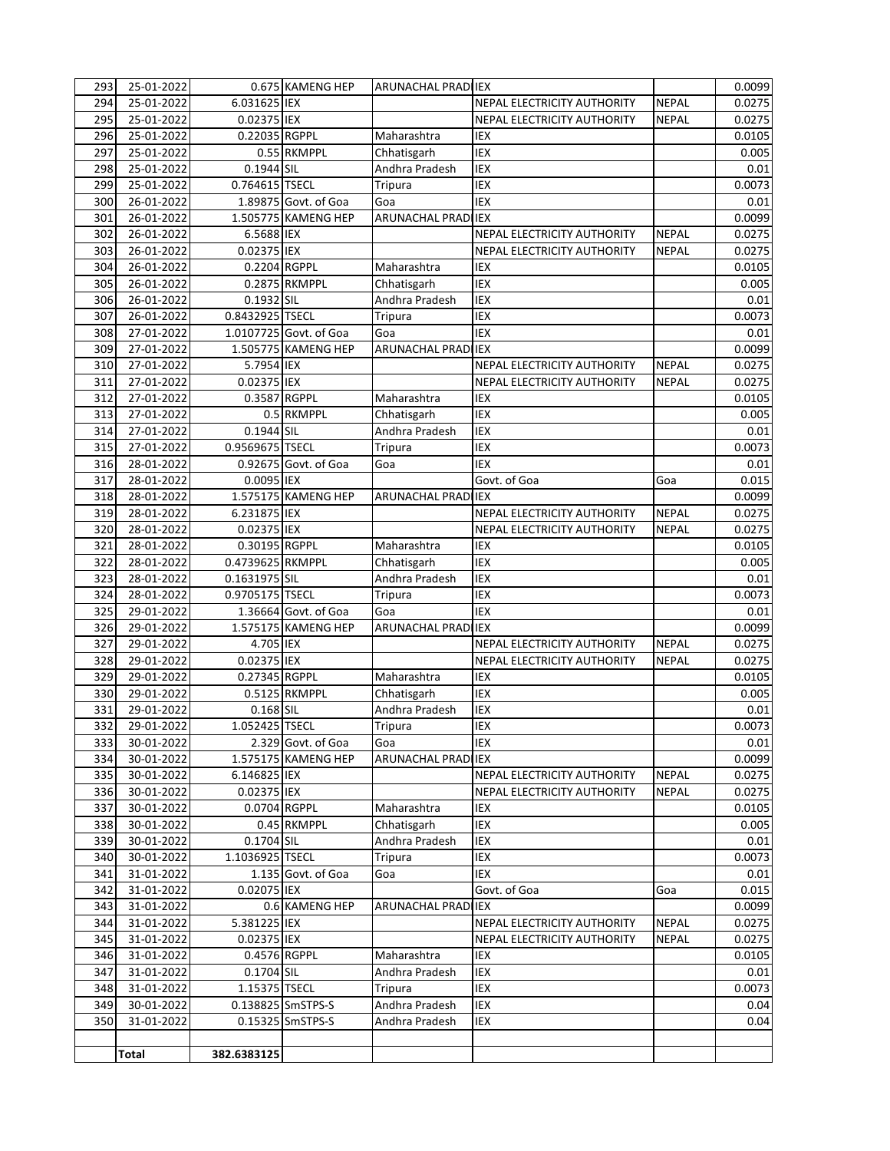| 293 | 25-01-2022               |                  | 0.675 KAMENG HEP       | ARUNACHAL PRADI IEX           |                             |              | 0.0099 |
|-----|--------------------------|------------------|------------------------|-------------------------------|-----------------------------|--------------|--------|
| 294 | 25-01-2022               | 6.031625 IEX     |                        |                               | NEPAL ELECTRICITY AUTHORITY | <b>NEPAL</b> | 0.0275 |
| 295 | 25-01-2022               | 0.02375 IEX      |                        |                               | NEPAL ELECTRICITY AUTHORITY | <b>NEPAL</b> | 0.0275 |
| 296 | 25-01-2022               | 0.22035 RGPPL    |                        | Maharashtra                   | <b>IEX</b>                  |              | 0.0105 |
| 297 | 25-01-2022               |                  | 0.55 RKMPPL            | Chhatisgarh                   | IEX                         |              | 0.005  |
| 298 | 25-01-2022               | 0.1944 SIL       |                        | Andhra Pradesh                | <b>IEX</b>                  |              | 0.01   |
| 299 | 25-01-2022               | 0.764615 TSECL   |                        | Tripura                       | IEX                         |              | 0.0073 |
| 300 | 26-01-2022               |                  | 1.89875 Govt. of Goa   | Goa                           | IEX                         |              | 0.01   |
| 301 | 26-01-2022               |                  | 1.505775 KAMENG HEP    | <b>ARUNACHAL PRADI</b>        | <b>IEX</b>                  |              | 0.0099 |
| 302 | 26-01-2022               | 6.5688 IEX       |                        |                               | NEPAL ELECTRICITY AUTHORITY | <b>NEPAL</b> | 0.0275 |
| 303 | 26-01-2022               | 0.02375 IEX      |                        |                               | NEPAL ELECTRICITY AUTHORITY | <b>NEPAL</b> | 0.0275 |
| 304 | 26-01-2022               | 0.2204 RGPPL     |                        | Maharashtra                   | <b>IEX</b>                  |              | 0.0105 |
| 305 | 26-01-2022               |                  | 0.2875 RKMPPL          | Chhatisgarh                   | <b>IEX</b>                  |              | 0.005  |
| 306 | 26-01-2022               | 0.1932 SIL       |                        | Andhra Pradesh                | <b>IEX</b>                  |              | 0.01   |
| 307 | 26-01-2022               | 0.8432925 TSECL  |                        | Tripura                       | IEX                         |              | 0.0073 |
| 308 | 27-01-2022               |                  | 1.0107725 Govt. of Goa | Goa                           | IEX                         |              | 0.01   |
| 309 | 27-01-2022               |                  | 1.505775 KAMENG HEP    | ARUNACHAL PRADI IEX           |                             |              | 0.0099 |
| 310 | 27-01-2022               | 5.7954 IEX       |                        |                               | NEPAL ELECTRICITY AUTHORITY | <b>NEPAL</b> | 0.0275 |
| 311 | 27-01-2022               | 0.02375 IEX      |                        |                               | NEPAL ELECTRICITY AUTHORITY | <b>NEPAL</b> | 0.0275 |
| 312 | 27-01-2022               | 0.3587 RGPPL     |                        | Maharashtra                   | IEX                         |              | 0.0105 |
| 313 | 27-01-2022               |                  | 0.5 RKMPPL             |                               | <b>IEX</b>                  |              | 0.005  |
| 314 |                          | 0.1944 SIL       |                        | Chhatisgarh<br>Andhra Pradesh | IEX                         |              | 0.01   |
|     | 27-01-2022<br>27-01-2022 | 0.9569675 TSECL  |                        |                               | <b>IEX</b>                  |              |        |
| 315 |                          |                  |                        | Tripura                       |                             |              | 0.0073 |
| 316 | 28-01-2022               |                  | 0.92675 Govt. of Goa   | Goa                           | <b>IEX</b>                  |              | 0.01   |
| 317 | 28-01-2022               | 0.0095 IEX       |                        |                               | Govt. of Goa                | Goa          | 0.015  |
| 318 | 28-01-2022               |                  | 1.575175 KAMENG HEP    | ARUNACHAL PRADI IEX           |                             |              | 0.0099 |
| 319 | 28-01-2022               | 6.231875 IEX     |                        |                               | NEPAL ELECTRICITY AUTHORITY | <b>NEPAL</b> | 0.0275 |
| 320 | 28-01-2022               | 0.02375 IEX      |                        |                               | NEPAL ELECTRICITY AUTHORITY | <b>NEPAL</b> | 0.0275 |
| 321 | 28-01-2022               | 0.30195 RGPPL    |                        | Maharashtra                   | IEX                         |              | 0.0105 |
| 322 | 28-01-2022               | 0.4739625 RKMPPL |                        | Chhatisgarh                   | IEX                         |              | 0.005  |
| 323 | 28-01-2022               | 0.1631975 SIL    |                        | Andhra Pradesh                | IEX                         |              | 0.01   |
| 324 | 28-01-2022               | 0.9705175 TSECL  |                        | Tripura                       | IEX                         |              | 0.0073 |
| 325 | 29-01-2022               |                  | 1.36664 Govt. of Goa   | Goa                           | IEX                         |              | 0.01   |
| 326 | 29-01-2022               |                  | 1.575175 KAMENG HEP    | ARUNACHAL PRADI               | <b>IEX</b>                  |              | 0.0099 |
| 327 | 29-01-2022               | 4.705 IEX        |                        |                               | NEPAL ELECTRICITY AUTHORITY | NEPAL        | 0.0275 |
| 328 | 29-01-2022               | 0.02375 IEX      |                        |                               | NEPAL ELECTRICITY AUTHORITY | <b>NEPAL</b> | 0.0275 |
| 329 | 29-01-2022               | 0.27345 RGPPL    |                        | Maharashtra                   | <b>IEX</b>                  |              | 0.0105 |
| 330 | 29-01-2022               |                  | 0.5125 RKMPPL          | Chhatisgarh                   | IEX                         |              | 0.005  |
| 331 | 29-01-2022               | 0.168 SIL        |                        | Andhra Pradesh                | IEX                         |              | 0.01   |
| 332 | 29-01-2022               | 1.052425 TSECL   |                        | Tripura                       | IEX                         |              | 0.0073 |
| 333 | 30-01-2022               |                  | 2.329 Govt. of Goa     | Goa                           | IEX                         |              | 0.01   |
| 334 | 30-01-2022               |                  | 1.575175 KAMENG HEP    | ARUNACHAL PRADI IEX           |                             |              | 0.0099 |
| 335 | 30-01-2022               | 6.146825 IEX     |                        |                               | NEPAL ELECTRICITY AUTHORITY | <b>NEPAL</b> | 0.0275 |
| 336 | 30-01-2022               | 0.02375 IEX      |                        |                               | NEPAL ELECTRICITY AUTHORITY | <b>NEPAL</b> | 0.0275 |
| 337 | 30-01-2022               | 0.0704 RGPPL     |                        | Maharashtra                   | IEX                         |              | 0.0105 |
| 338 | 30-01-2022               |                  | 0.45 RKMPPL            | Chhatisgarh                   | IEX                         |              | 0.005  |
| 339 | 30-01-2022               | 0.1704 SIL       |                        | Andhra Pradesh                | IEX                         |              | 0.01   |
| 340 | 30-01-2022               | 1.1036925 TSECL  |                        | Tripura                       | IEX                         |              | 0.0073 |
| 341 | 31-01-2022               |                  | 1.135 Govt. of Goa     | Goa                           | IEX                         |              | 0.01   |
| 342 | 31-01-2022               | 0.02075 IEX      |                        |                               | Govt. of Goa                | Goa          | 0.015  |
| 343 | 31-01-2022               |                  | 0.6 KAMENG HEP         | ARUNACHAL PRADI IEX           |                             |              | 0.0099 |
| 344 | 31-01-2022               | 5.381225 IEX     |                        |                               | NEPAL ELECTRICITY AUTHORITY | <b>NEPAL</b> | 0.0275 |
| 345 | 31-01-2022               | 0.02375 IEX      |                        |                               | NEPAL ELECTRICITY AUTHORITY | <b>NEPAL</b> | 0.0275 |
| 346 | 31-01-2022               | 0.4576 RGPPL     |                        | Maharashtra                   | IEX                         |              | 0.0105 |
| 347 | 31-01-2022               | 0.1704 SIL       |                        | Andhra Pradesh                | IEX                         |              | 0.01   |
| 348 | 31-01-2022               | 1.15375 TSECL    |                        | Tripura                       | IEX                         |              | 0.0073 |
| 349 | 30-01-2022               |                  | 0.138825 SmSTPS-S      | Andhra Pradesh                | IEX                         |              | 0.04   |
| 350 | 31-01-2022               |                  | 0.15325 SmSTPS-S       | Andhra Pradesh                | IEX                         |              | 0.04   |
|     |                          |                  |                        |                               |                             |              |        |
|     | <b>Total</b>             | 382.6383125      |                        |                               |                             |              |        |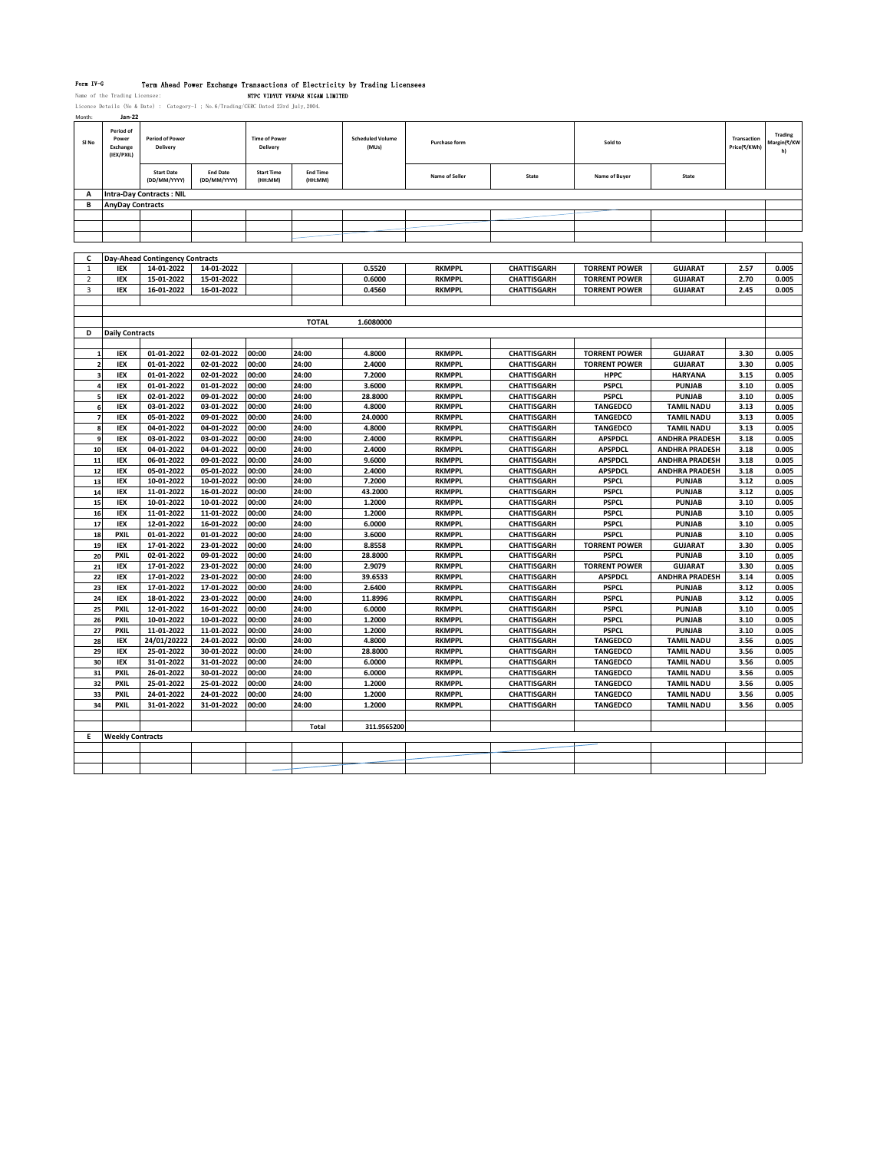Form TV-G Term Ahead Power Exchange Transactions of Electricity by Trading Licensees<br>Name of the Trading Licensee: NTPC VIDYUV VYAPAR NIGAM LIMITED<br>Licence Details (No & Date) : Category-I ; No.6/Trading/CERC Dated 23rd Ju

| montn            | Jan-22                                       |                                        |                                 |                                  |                            |                                  |                                |                                          |                                      |                                 |                             |                              |
|------------------|----------------------------------------------|----------------------------------------|---------------------------------|----------------------------------|----------------------------|----------------------------------|--------------------------------|------------------------------------------|--------------------------------------|---------------------------------|-----------------------------|------------------------------|
| SI <sub>No</sub> | Period of<br>Power<br>Exchange<br>(IEX/PXIL) | <b>Period of Power</b><br>Delivery     |                                 | <b>Time of Power</b><br>Delivery |                            | <b>Scheduled Volume</b><br>(MUs) | <b>Purchase form</b>           |                                          | Sold to                              |                                 | Transaction<br>Price(₹/KWh) | Trading<br>Aargin(₹/KW<br>h) |
|                  |                                              | <b>Start Date</b><br>(DD/MM/YYYY)      | <b>End Date</b><br>(DD/MM/YYYY) | <b>Start Time</b><br>(HH:MM)     | <b>Fnd Time</b><br>(HH:MM) |                                  | Name of Seller                 | State                                    | Name of Buver                        | State                           |                             |                              |
| Δ                |                                              | <b>Intra-Day Contracts: NIL</b>        |                                 |                                  |                            |                                  |                                |                                          |                                      |                                 |                             |                              |
| В                | <b>AnyDay Contracts</b>                      |                                        |                                 |                                  |                            |                                  |                                |                                          |                                      |                                 |                             |                              |
|                  |                                              |                                        |                                 |                                  |                            |                                  |                                |                                          |                                      |                                 |                             |                              |
|                  |                                              |                                        |                                 |                                  |                            |                                  |                                |                                          |                                      |                                 |                             |                              |
|                  |                                              |                                        |                                 |                                  |                            |                                  |                                |                                          |                                      |                                 |                             |                              |
|                  |                                              |                                        |                                 |                                  |                            |                                  |                                |                                          |                                      |                                 |                             |                              |
| c                |                                              | <b>Day-Ahead Contingency Contracts</b> |                                 |                                  |                            |                                  |                                |                                          |                                      |                                 |                             |                              |
| $\mathbf{1}$     | IEX                                          | 14-01-2022                             | 14-01-2022                      |                                  |                            | 0.5520                           | <b>RKMPPL</b>                  | <b>CHATTISGARH</b>                       | <b>TORRENT POWER</b>                 | <b>GUJARAT</b>                  | 2.57                        | 0.005                        |
| $\mathcal{P}$    | <b>IEX</b>                                   | 15-01-2022                             | 15-01-2022                      |                                  |                            | 0.6000                           | <b>RKMPPL</b>                  | <b>CHATTISGARH</b>                       | <b>TORRENT POWER</b>                 | <b>GUJARAT</b>                  | 2.70                        | 0.005                        |
| 3                | <b>IEX</b>                                   | 16-01-2022                             | 16-01-2022                      |                                  |                            | 0.4560                           | <b>RKMPPL</b>                  | <b>CHATTISGARH</b>                       | <b>TORRENT POWER</b>                 | <b>GUJARAT</b>                  | 2.45                        | 0.005                        |
|                  |                                              |                                        |                                 |                                  |                            |                                  |                                |                                          |                                      |                                 |                             |                              |
|                  |                                              |                                        |                                 |                                  |                            |                                  |                                |                                          |                                      |                                 |                             |                              |
|                  |                                              |                                        |                                 |                                  | <b>TOTAL</b>               | 1.6080000                        |                                |                                          |                                      |                                 |                             |                              |
| D                | <b>Daily Contracts</b>                       |                                        |                                 |                                  |                            |                                  |                                |                                          |                                      |                                 |                             |                              |
|                  |                                              |                                        |                                 |                                  |                            |                                  |                                |                                          |                                      |                                 |                             |                              |
| $\mathbf{1}$     | <b>IEX</b>                                   | 01-01-2022                             | 02-01-2022                      | 00:00                            | 24:00                      | 4.8000                           | <b>RKMPPL</b>                  | <b>CHATTISGARH</b>                       | <b>TORRENT POWER</b>                 | <b>GUJARAT</b>                  | 3.30                        | 0.005                        |
| $\overline{2}$   | <b>IEX</b>                                   | 01-01-2022                             | 02-01-2022                      | 00:00                            | 24:00                      | 2.4000                           | <b>RKMPPL</b>                  | <b>CHATTISGARH</b>                       | <b>TORRENT POWER</b>                 | <b>GUJARAT</b>                  | 3.30                        | 0.005                        |
| 3                | IEX                                          | 01-01-2022                             | 02-01-2022                      | 00:00                            | 24:00                      | 7.2000                           | <b>RKMPPL</b>                  | <b>CHATTISGARH</b>                       | <b>HPPC</b>                          | <b>HARYANA</b>                  | 3.15                        | 0.005                        |
|                  | <b>IEX</b>                                   | 01-01-2022                             | 01-01-2022                      | 00:00                            | 24:00                      | 3.6000                           | <b>RKMPPL</b>                  | <b>CHATTISGARH</b>                       | <b>PSPCL</b>                         | PUNJAB                          | 3.10                        | 0.005                        |
|                  | IEX                                          | 02-01-2022                             | 09-01-2022                      | 00:00                            | 24:00                      | 28.8000                          | <b>RKMPPL</b>                  | <b>CHATTISGARH</b>                       | <b>PSPCL</b>                         | <b>PUNJAB</b>                   | 3.10                        | 0.005                        |
| 6                | IEX                                          | 03-01-2022                             | 03-01-2022                      | 00:00                            | 24:00                      | 4.8000                           | <b>RKMPPL</b>                  | <b>CHATTISGARH</b>                       | <b>TANGEDCO</b>                      | <b>TAMIL NADU</b>               | 3.13                        | 0.005                        |
| $\overline{z}$   | IEX                                          | 05-01-2022                             | 09-01-2022                      | 00:00                            | 24:00                      | 24.0000                          | <b>RKMPPL</b>                  | <b>CHATTISGARH</b>                       | <b>TANGEDCO</b>                      | <b>TAMIL NADU</b>               | 3.13                        | 0.005                        |
| 8                | <b>IEX</b>                                   | 04-01-2022                             | 04-01-2022                      | 00:00                            | 24:00                      | 4.8000                           | <b>RKMPPL</b>                  | <b>CHATTISGARH</b>                       | <b>TANGEDCO</b>                      | <b>TAMIL NADU</b>               | 3.13                        | 0.005                        |
| 9                | IEX                                          | 03-01-2022                             | 03-01-2022                      | 00:00                            | 24:00                      | 2.4000                           | <b>RKMPPL</b>                  | <b>CHATTISGARH</b>                       | <b>APSPDCL</b>                       | <b>ANDHRA PRADESH</b>           | 3.18                        | 0.005                        |
| 10               | IEX                                          | 04-01-2022                             | 04-01-2022                      | 00:00                            | 24:00                      | 2.4000                           | <b>RKMPPL</b>                  | <b>CHATTISGARH</b>                       | <b>APSPDCL</b>                       | <b>ANDHRA PRADESH</b>           | 3.18                        | 0.005                        |
| 11               | <b>IEX</b>                                   | 06-01-2022                             | 09-01-2022                      | 00:00                            | 24:00                      | 9.6000                           | <b>RKMPPL</b>                  | <b>CHATTISGARH</b>                       | <b>APSPDCL</b>                       | <b>ANDHRA PRADESH</b>           | 3.18                        | 0.005                        |
| 12               | <b>IEX</b>                                   | 05-01-2022                             | 05-01-2022                      | 00:00                            | 24:00                      | 2.4000                           | <b>RKMPPL</b>                  | <b>CHATTISGARH</b>                       | <b>APSPDCL</b>                       | <b>ANDHRA PRADESH</b>           | 3.18                        | 0.005                        |
| 13               | <b>IEX</b>                                   | 10-01-2022                             | 10-01-2022                      | 00:00                            | 24:00                      | 7.2000                           | <b>RKMPPL</b>                  | <b>CHATTISGARH</b>                       | <b>PSPCL</b>                         | PUNJAB                          | 3.12                        | 0.005                        |
| 14               | <b>IEX</b>                                   | 11-01-2022                             | 16-01-2022                      | 00:00                            | 24:00                      | 43.2000                          | <b>RKMPPL</b>                  | <b>CHATTISGARH</b>                       | <b>PSPCL</b>                         | <b>PUNJAB</b>                   | 3.12                        | 0.005                        |
| 15               | IEX                                          | 10-01-2022                             | 10-01-2022                      | 00:00                            | 24:00                      | 1.2000                           | <b>RKMPPL</b>                  | <b>CHATTISGARH</b>                       | <b>PSPCL</b>                         | <b>PUNJAB</b>                   | 3.10                        | 0.005                        |
| 16               | IEX                                          | 11-01-2022                             | 11-01-2022                      | 00:00                            | 24:00                      | 1.2000                           | <b>RKMPPL</b>                  | <b>CHATTISGARH</b>                       | <b>PSPCL</b><br><b>PSPCL</b>         | <b>PUNJAB</b>                   | 3.10                        | 0.005                        |
| 17               | IEX                                          | 12-01-2022                             | 16-01-2022                      | 00:00                            | 24:00                      | 6.0000                           | <b>RKMPPL</b>                  | <b>CHATTISGARH</b>                       |                                      | <b>PUNJAB</b>                   | 3.10                        | 0.005                        |
| 18               | <b>PXIL</b><br><b>IEX</b>                    | 01-01-2022<br>17-01-2022               | 01-01-2022<br>23-01-2022        | 00:00<br>00:00                   | 24:00<br>24:00             | 3.6000<br>8.8558                 | <b>RKMPPL</b><br><b>RKMPPL</b> | <b>CHATTISGARH</b><br><b>CHATTISGARH</b> | <b>PSPCL</b><br><b>TORRENT POWER</b> | <b>PUNJAB</b><br><b>GUJARAT</b> | 3.10<br>3.30                | 0.005                        |
| 19<br>20         | <b>PXIL</b>                                  | 02-01-2022                             | 09-01-2022                      | 00:00                            | 24:00                      | 28.8000                          | <b>RKMPPL</b>                  | <b>CHATTISGARH</b>                       | <b>PSPCL</b>                         | <b>PUNJAB</b>                   | 3.10                        | 0.005<br>0.005               |
| 21               | <b>IEX</b>                                   | 17-01-2022                             | 23-01-2022                      | 00:00                            | 24:00                      | 2.9079                           | <b>RKMPPL</b>                  | <b>CHATTISGARH</b>                       | <b>TORRENT POWER</b>                 | <b>GUJARAT</b>                  | 3.30                        | 0.005                        |
| 22               | <b>IEX</b>                                   | 17-01-2022                             | 23-01-2022                      | 00:00                            | 24:00                      | 39.6533                          | <b>RKMPPL</b>                  | <b>CHATTISGARH</b>                       | <b>APSPDCL</b>                       | <b>ANDHRA PRADESH</b>           | 3.14                        | 0.005                        |
| 23               | IEX                                          | 17-01-2022                             | 17-01-2022                      | 00:00                            | 24:00                      | 2.6400                           | <b>RKMPPL</b>                  | <b>CHATTISGARH</b>                       | <b>PSPCL</b>                         | <b>PUNJAB</b>                   | 3.12                        | 0.005                        |
| 24               | IEX                                          | 18-01-2022                             | 23-01-2022                      | 00:00                            | 24:00                      | 11.8996                          | <b>RKMPPL</b>                  | <b>CHATTISGARH</b>                       | <b>PSPCL</b>                         | <b>PUNJAB</b>                   | 3.12                        | 0.005                        |
| 25               | <b>PXIL</b>                                  | 12-01-2022                             | 16-01-2022                      | 00:00                            | 24:00                      | 6.0000                           | <b>RKMPPL</b>                  | <b>CHATTISGARH</b>                       | <b>PSPCL</b>                         | <b>PUNJAB</b>                   | 3.10                        | 0.005                        |
| 26               | <b>PXIL</b>                                  | 10-01-2022                             | 10-01-2022                      | 00:00                            | 24:00                      | 1.2000                           | <b>RKMPPL</b>                  | CHATTISGARH                              | <b>PSPCL</b>                         | <b>PUNJAB</b>                   | 3.10                        | 0.005                        |
| 27               | <b>PXIL</b>                                  | 11-01-2022                             | 11-01-2022                      | 00:00                            | 24:00                      | 1.2000                           | <b>RKMPPL</b>                  | <b>CHATTISGARH</b>                       | <b>PSPCL</b>                         | PUNJAB                          | 3.10                        | 0.005                        |
| 28               | IEX                                          | 24/01/20222                            | 24-01-2022                      | 00:00                            | 24:00                      | 4.8000                           | <b>RKMPPL</b>                  | <b>CHATTISGARH</b>                       | <b>TANGEDCO</b>                      | <b>TAMIL NADU</b>               | 3.56                        | 0.005                        |
| 29               | <b>IEX</b>                                   | 25-01-2022                             | 30-01-2022                      | 00:00                            | 24:00                      | 28.8000                          | <b>RKMPPL</b>                  | <b>CHATTISGARH</b>                       | <b>TANGEDCO</b>                      | <b>TAMIL NADU</b>               | 3.56                        | 0.005                        |
| 30               | <b>IEX</b>                                   | 31-01-2022                             | 31-01-2022                      | 00:00                            | 24:00                      | 6.0000                           | <b>RKMPPL</b>                  | <b>CHATTISGARH</b>                       | <b>TANGEDCO</b>                      | <b>TAMIL NADU</b>               | 3.56                        | 0.005                        |
| 31               | <b>PXIL</b>                                  | 26-01-2022                             | 30-01-2022                      | 00:00                            | 24:00                      | 6.0000                           | <b>RKMPPL</b>                  | <b>CHATTISGARH</b>                       | <b>TANGEDCO</b>                      | <b>TAMIL NADU</b>               | 3.56                        | 0.005                        |
| 32               | PXIL                                         | 25-01-2022                             | 25-01-2022                      | 00:00                            | 24:00                      | 1.2000                           | <b>RKMPPL</b>                  | <b>CHATTISGARH</b>                       | <b>TANGEDCO</b>                      | <b>TAMIL NADU</b>               | 3.56                        | 0.005                        |
| 33               | <b>PXIL</b>                                  | 24-01-2022                             | 24-01-2022                      | 00:00                            | 24:00                      | 1.2000                           | <b>RKMPPL</b>                  | <b>CHATTISGARH</b>                       | <b>TANGEDCO</b>                      | <b>TAMIL NADU</b>               | 3.56                        | 0.005                        |
| 34               | <b>PXIL</b>                                  | 31-01-2022                             | 31-01-2022                      | 00:00                            | 24:00                      | 1.2000                           | <b>RKMPPL</b>                  | <b>CHATTISGARH</b>                       | <b>TANGEDCO</b>                      | <b>TAMIL NADU</b>               | 3.56                        | 0.005                        |
|                  |                                              |                                        |                                 |                                  |                            |                                  |                                |                                          |                                      |                                 |                             |                              |
|                  |                                              |                                        |                                 |                                  | Total                      | 311.9565200                      |                                |                                          |                                      |                                 |                             |                              |
| Е                | <b>Weekly Contracts</b>                      |                                        |                                 |                                  |                            |                                  |                                |                                          |                                      |                                 |                             |                              |
|                  |                                              |                                        |                                 |                                  |                            |                                  |                                |                                          |                                      |                                 |                             |                              |
|                  |                                              |                                        |                                 |                                  |                            |                                  |                                |                                          |                                      |                                 |                             |                              |
|                  |                                              |                                        |                                 |                                  |                            |                                  |                                |                                          |                                      |                                 |                             |                              |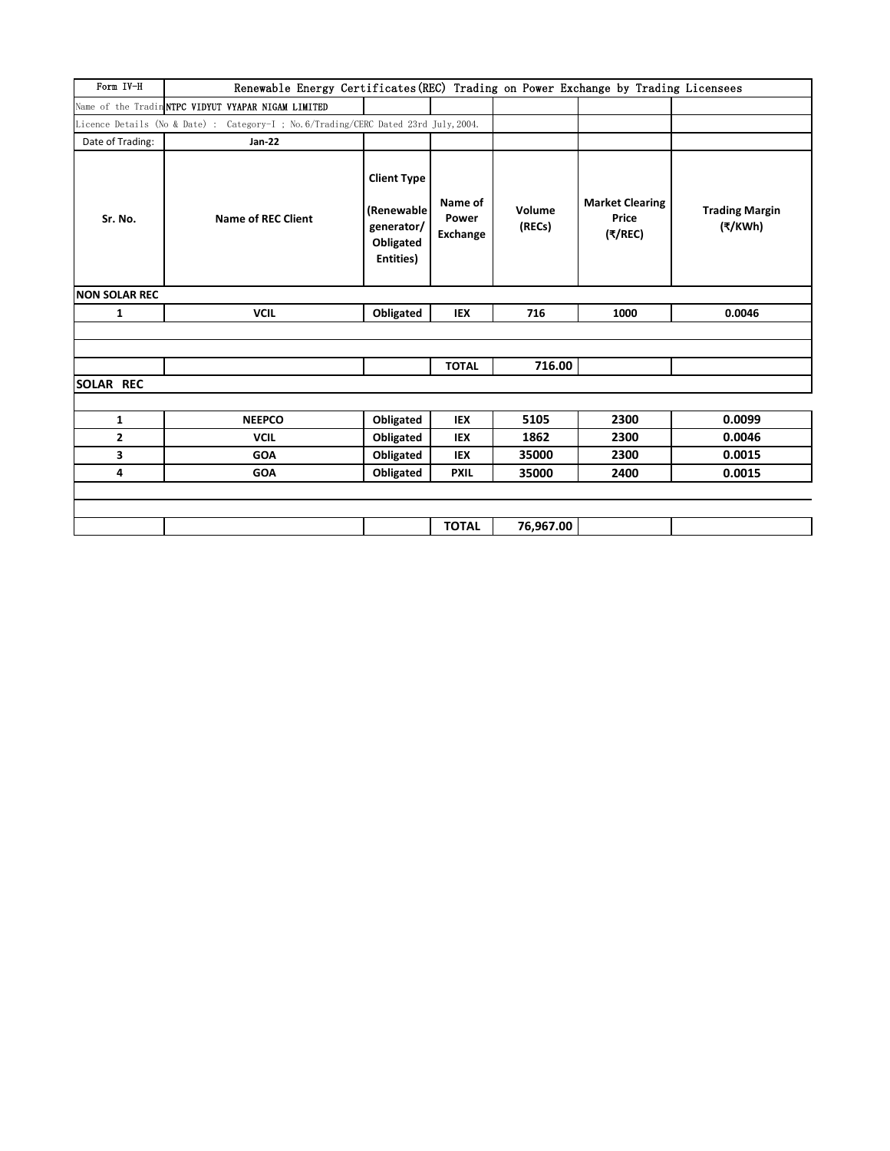| Form IV-H            | Renewable Energy Certificates (REC) Trading on Power Exchange by Trading Licensees   |                                                                           |                              |                  |                                                                   |                                  |  |  |  |  |  |
|----------------------|--------------------------------------------------------------------------------------|---------------------------------------------------------------------------|------------------------------|------------------|-------------------------------------------------------------------|----------------------------------|--|--|--|--|--|
|                      | Name of the Tradin NTPC VIDYUT VYAPAR NIGAM LIMITED                                  |                                                                           |                              |                  |                                                                   |                                  |  |  |  |  |  |
|                      | Licence Details (No & Date) : Category-I ; No. 6/Trading/CERC Dated 23rd July, 2004. |                                                                           |                              |                  |                                                                   |                                  |  |  |  |  |  |
| Date of Trading:     | Jan-22                                                                               |                                                                           |                              |                  |                                                                   |                                  |  |  |  |  |  |
| Sr. No.              | <b>Name of REC Client</b>                                                            | <b>Client Type</b><br>(Renewable)<br>generator/<br>Obligated<br>Entities) | Name of<br>Power<br>Exchange | Volume<br>(RECs) | <b>Market Clearing</b><br>Price<br>$(\overline{\tau}/\text{REC})$ | <b>Trading Margin</b><br>(₹/KWh) |  |  |  |  |  |
| <b>NON SOLAR REC</b> |                                                                                      |                                                                           |                              |                  |                                                                   |                                  |  |  |  |  |  |
| $\mathbf{1}$         | <b>VCIL</b>                                                                          | Obligated                                                                 | <b>IEX</b>                   | 716              | 1000                                                              | 0.0046                           |  |  |  |  |  |
|                      |                                                                                      |                                                                           |                              |                  |                                                                   |                                  |  |  |  |  |  |
|                      |                                                                                      |                                                                           |                              |                  |                                                                   |                                  |  |  |  |  |  |
|                      |                                                                                      |                                                                           | <b>TOTAL</b>                 | 716.00           |                                                                   |                                  |  |  |  |  |  |
| <b>SOLAR REC</b>     |                                                                                      |                                                                           |                              |                  |                                                                   |                                  |  |  |  |  |  |
|                      |                                                                                      |                                                                           |                              |                  |                                                                   |                                  |  |  |  |  |  |
| $\mathbf{1}$         | <b>NEEPCO</b>                                                                        | Obligated                                                                 | <b>IEX</b>                   | 5105             | 2300                                                              | 0.0099                           |  |  |  |  |  |
| $\mathbf{2}$         | <b>VCIL</b>                                                                          | Obligated                                                                 | <b>IEX</b>                   | 1862             | 2300                                                              | 0.0046                           |  |  |  |  |  |
| 3                    | <b>GOA</b>                                                                           | Obligated                                                                 | <b>IEX</b>                   | 35000            | 2300                                                              | 0.0015                           |  |  |  |  |  |
| 4                    | <b>GOA</b>                                                                           | Obligated                                                                 | <b>PXIL</b>                  | 35000            | 2400                                                              | 0.0015                           |  |  |  |  |  |
|                      |                                                                                      |                                                                           |                              |                  |                                                                   |                                  |  |  |  |  |  |
|                      |                                                                                      |                                                                           |                              |                  |                                                                   |                                  |  |  |  |  |  |
|                      |                                                                                      |                                                                           | <b>TOTAL</b>                 | 76,967.00        |                                                                   |                                  |  |  |  |  |  |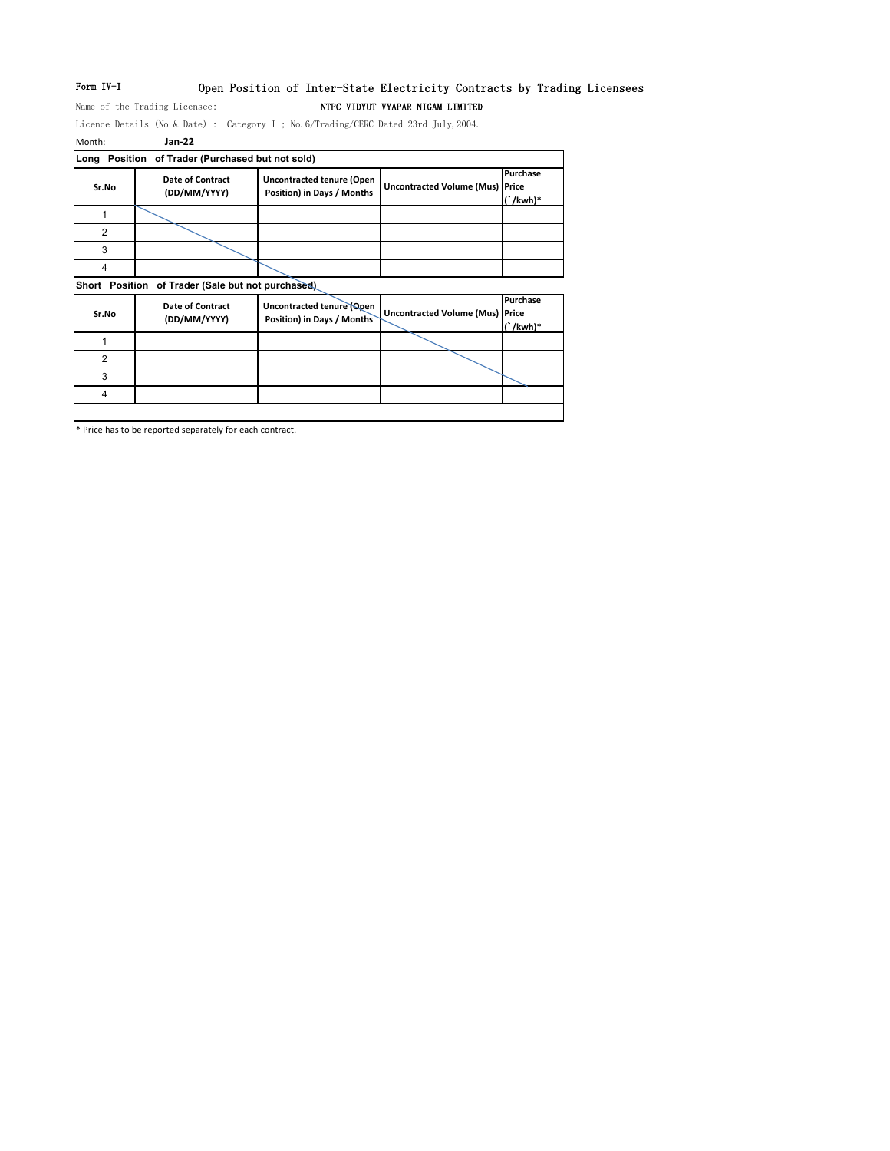# Form IV-I Open Position of Inter-State Electricity Contracts by Trading Licensees

Name of the Trading Licensee: NTPC VIDYUT VYAPAR NIGAM LIMITED

Licence Details (No & Date) : Category-I ; No.6/Trading/CERC Dated 23rd July,2004.

| Month:         | Jan-22                                      |                                                                |                                        |                           |
|----------------|---------------------------------------------|----------------------------------------------------------------|----------------------------------------|---------------------------|
| Long           | Position of Trader (Purchased but not sold) |                                                                |                                        |                           |
| Sr.No          | Date of Contract<br>(DD/MM/YYYY)            | <b>Uncontracted tenure (Open</b><br>Position) in Days / Months | <b>Uncontracted Volume (Mus) Price</b> | Purchase<br>$\int$ /kwh)* |
| 1              |                                             |                                                                |                                        |                           |
| $\overline{2}$ |                                             |                                                                |                                        |                           |
| 3              |                                             |                                                                |                                        |                           |
| 4              |                                             |                                                                |                                        |                           |
| Short Position | of Trader (Sale but not purchased)          |                                                                |                                        |                           |
| Sr.No          | <b>Date of Contract</b><br>(DD/MM/YYYY)     | Uncontracted tenure (Open<br>Position) in Days / Months        | <b>Uncontracted Volume (Mus) Price</b> | Purchase<br>$\int$ /kwh)* |
| 1              |                                             |                                                                |                                        |                           |
|                |                                             |                                                                |                                        |                           |
| $\overline{2}$ |                                             |                                                                |                                        |                           |
| 3              |                                             |                                                                |                                        |                           |

\* Price has to be reported separately for each contract.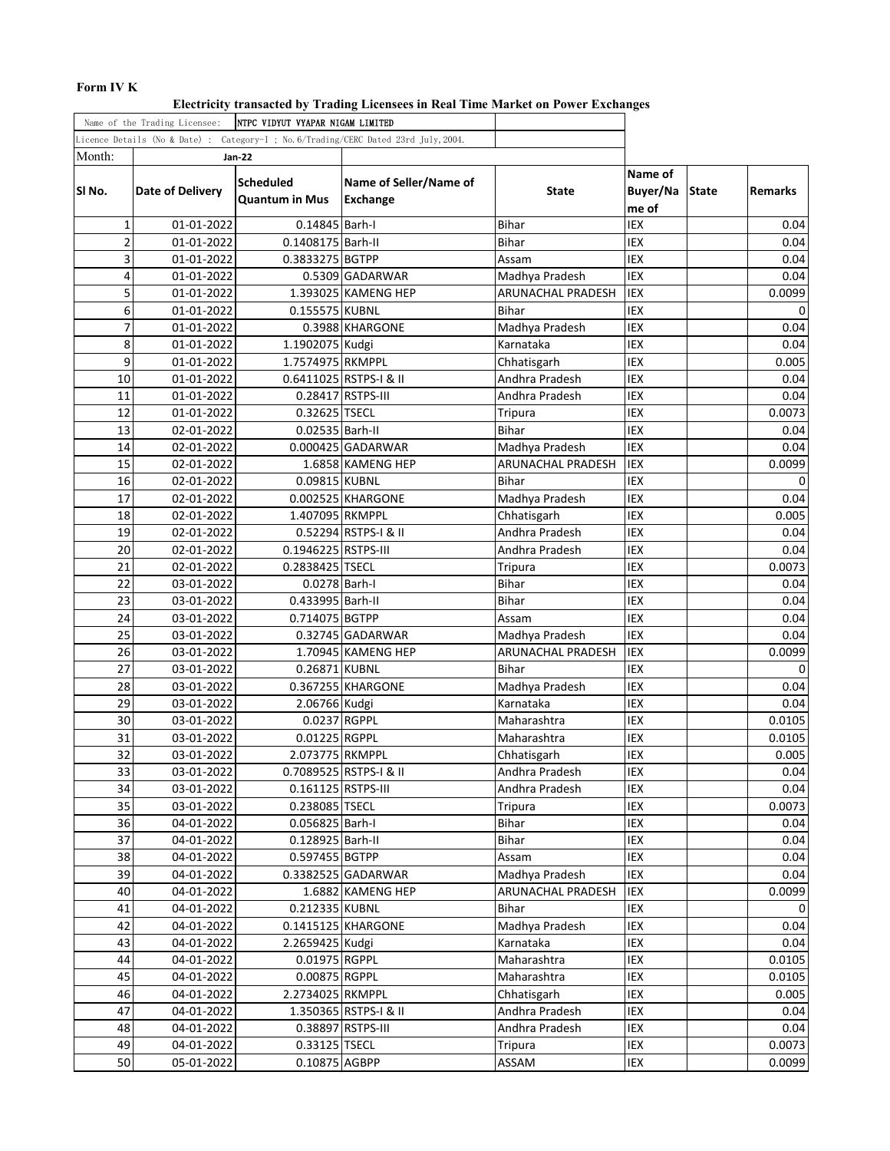# **Form IV K**

**Electricity transacted by Trading Licensees in Real Time Market on Power Exchanges**

| Name of the Trading Licensee:<br><b>NTPC VIDYUT VYAPAR NIGAM LIMITED</b> |                  |                       |                                                                                     |                   |            |              |                |
|--------------------------------------------------------------------------|------------------|-----------------------|-------------------------------------------------------------------------------------|-------------------|------------|--------------|----------------|
|                                                                          |                  |                       | Licence Details (No & Date) : Category-I ; No.6/Trading/CERC Dated 23rd July, 2004. |                   |            |              |                |
| Month:                                                                   |                  | <b>Jan-22</b>         |                                                                                     |                   |            |              |                |
|                                                                          |                  |                       |                                                                                     |                   | Name of    |              |                |
| SINo.                                                                    | Date of Delivery | <b>Scheduled</b>      | Name of Seller/Name of                                                              | State             | Buyer/Na   | <b>State</b> | <b>Remarks</b> |
|                                                                          |                  | <b>Quantum in Mus</b> | Exchange                                                                            |                   | me of      |              |                |
| $\mathbf 1$                                                              | 01-01-2022       | 0.14845 Barh-I        |                                                                                     | <b>Bihar</b>      | IEX        |              | 0.04           |
| $\overline{2}$                                                           | 01-01-2022       | 0.1408175 Barh-II     |                                                                                     | <b>Bihar</b>      | IEX        |              | 0.04           |
| 3                                                                        | 01-01-2022       | 0.3833275 BGTPP       |                                                                                     | Assam             | IEX        |              | 0.04           |
| 4                                                                        | 01-01-2022       |                       | 0.5309 GADARWAR                                                                     | Madhya Pradesh    | <b>IEX</b> |              | 0.04           |
| 5                                                                        | 01-01-2022       |                       | 1.393025 KAMENG HEP                                                                 | ARUNACHAL PRADESH | IEX        |              | 0.0099         |
| 6                                                                        | 01-01-2022       | 0.155575 KUBNL        |                                                                                     | Bihar             | IEX        |              | 0              |
| $\overline{7}$                                                           | 01-01-2022       |                       | 0.3988 KHARGONE                                                                     | Madhya Pradesh    | IEX        |              | 0.04           |
| 8                                                                        | 01-01-2022       | 1.1902075 Kudgi       |                                                                                     | Karnataka         | IEX        |              | 0.04           |
| 9                                                                        | 01-01-2022       | 1.7574975 RKMPPL      |                                                                                     | Chhatisgarh       | IEX        |              | 0.005          |
| 10                                                                       | 01-01-2022       |                       | 0.6411025 RSTPS-I & II                                                              | Andhra Pradesh    | <b>IEX</b> |              | 0.04           |
| 11                                                                       | 01-01-2022       |                       | 0.28417 RSTPS-III                                                                   | Andhra Pradesh    | IEX        |              | 0.04           |
| 12                                                                       | 01-01-2022       | 0.32625 TSECL         |                                                                                     | Tripura           | IEX        |              | 0.0073         |
| 13                                                                       | 02-01-2022       | 0.02535 Barh-II       |                                                                                     | <b>Bihar</b>      | IEX        |              | 0.04           |
| 14                                                                       | 02-01-2022       |                       | $0.000425$ GADARWAR                                                                 | Madhya Pradesh    | IEX        |              | 0.04           |
| 15                                                                       | 02-01-2022       |                       | 1.6858 KAMENG HEP                                                                   | ARUNACHAL PRADESH | IEX        |              | 0.0099         |
| 16                                                                       | 02-01-2022       | 0.09815 KUBNL         |                                                                                     | <b>Bihar</b>      | IEX        |              | 0              |
| 17                                                                       | 02-01-2022       |                       | 0.002525 KHARGONE                                                                   | Madhya Pradesh    | IEX        |              | 0.04           |
| 18                                                                       | 02-01-2022       | 1.407095 RKMPPL       |                                                                                     | Chhatisgarh       | IEX        |              | 0.005          |
| 19                                                                       | 02-01-2022       |                       | 0.52294 RSTPS-I & II                                                                | Andhra Pradesh    | IEX        |              | 0.04           |
| 20                                                                       | 02-01-2022       | 0.1946225 RSTPS-III   |                                                                                     | Andhra Pradesh    | IEX        |              | 0.04           |
| 21                                                                       | 02-01-2022       | 0.2838425 TSECL       |                                                                                     | <b>Tripura</b>    | IEX        |              | 0.0073         |
| 22                                                                       | 03-01-2022       | 0.0278 Barh-I         |                                                                                     | <b>Bihar</b>      | IEX        |              | 0.04           |
| 23                                                                       | 03-01-2022       | 0.433995 Barh-II      |                                                                                     | Bihar             | IEX        |              | 0.04           |
| 24                                                                       | 03-01-2022       | 0.714075 BGTPP        |                                                                                     | Assam             | IEX        |              | 0.04           |
| 25                                                                       | 03-01-2022       |                       | 0.32745 GADARWAR                                                                    | Madhya Pradesh    | IEX        |              | 0.04           |
| 26                                                                       | 03-01-2022       |                       | 1.70945 KAMENG HEP                                                                  | ARUNACHAL PRADESH | IEX        |              | 0.0099         |
| 27                                                                       | 03-01-2022       | 0.26871 KUBNL         |                                                                                     | Bihar             | IEX        |              | 0              |
| 28                                                                       | 03-01-2022       |                       | 0.367255 KHARGONE                                                                   | Madhya Pradesh    | IEX        |              | 0.04           |
| 29                                                                       | 03-01-2022       | 2.06766 Kudgi         |                                                                                     | Karnataka         | IEX        |              | 0.04           |
| 30                                                                       | 03-01-2022       | 0.0237 RGPPL          |                                                                                     | Maharashtra       | IEX        |              | 0.0105         |
| 31                                                                       | 03-01-2022       | 0.01225 RGPPL         |                                                                                     | Maharashtra       | IEX        |              | 0.0105         |
| 32                                                                       | 03-01-2022       | 2.073775 RKMPPL       |                                                                                     | Chhatisgarh       | IEX        |              | 0.005          |
| 33                                                                       | 03-01-2022       |                       | 0.7089525 RSTPS-I & II                                                              | Andhra Pradesh    | <b>IEX</b> |              | 0.04           |
| 34                                                                       | 03-01-2022       | 0.161125 RSTPS-III    |                                                                                     | Andhra Pradesh    | IEX        |              | 0.04           |
| 35                                                                       | 03-01-2022       | 0.238085 TSECL        |                                                                                     | Tripura           | IEX        |              | 0.0073         |
| 36                                                                       | 04-01-2022       | 0.056825 Barh-I       |                                                                                     | Bihar             | IEX        |              | 0.04           |
| 37                                                                       | 04-01-2022       | 0.128925 Barh-II      |                                                                                     | <b>Bihar</b>      | IEX        |              | 0.04           |
| 38                                                                       | 04-01-2022       | 0.597455 BGTPP        |                                                                                     | Assam             | IEX        |              | 0.04           |
| 39                                                                       | 04-01-2022       |                       | 0.3382525 GADARWAR                                                                  | Madhya Pradesh    | IEX        |              | 0.04           |
| 40                                                                       | 04-01-2022       |                       | 1.6882 KAMENG HEP                                                                   | ARUNACHAL PRADESH | IEX        |              | 0.0099         |
| 41                                                                       | 04-01-2022       | 0.212335 KUBNL        |                                                                                     | Bihar             | IEX        |              | 0              |
| 42                                                                       | 04-01-2022       |                       | 0.1415125 KHARGONE                                                                  | Madhya Pradesh    | IEX        |              | 0.04           |
| 43                                                                       | 04-01-2022       | 2.2659425 Kudgi       |                                                                                     | Karnataka         | IEX        |              | 0.04           |
| 44                                                                       | 04-01-2022       | 0.01975 RGPPL         |                                                                                     | Maharashtra       | IEX        |              | 0.0105         |
| 45                                                                       | 04-01-2022       | 0.00875 RGPPL         |                                                                                     | Maharashtra       | IEX        |              | 0.0105         |
| 46                                                                       | 04-01-2022       | 2.2734025 RKMPPL      |                                                                                     | Chhatisgarh       | IEX        |              | 0.005          |
| 47                                                                       | 04-01-2022       |                       | 1.350365 RSTPS-I & II                                                               | Andhra Pradesh    | IEX        |              | 0.04           |
| 48                                                                       | 04-01-2022       |                       | 0.38897 RSTPS-III                                                                   | Andhra Pradesh    | IEX        |              | 0.04           |
| 49                                                                       | 04-01-2022       | 0.33125 TSECL         |                                                                                     | Tripura           | IEX        |              | 0.0073         |
| 50                                                                       | 05-01-2022       | 0.10875 AGBPP         |                                                                                     | ASSAM             | IEX        |              | 0.0099         |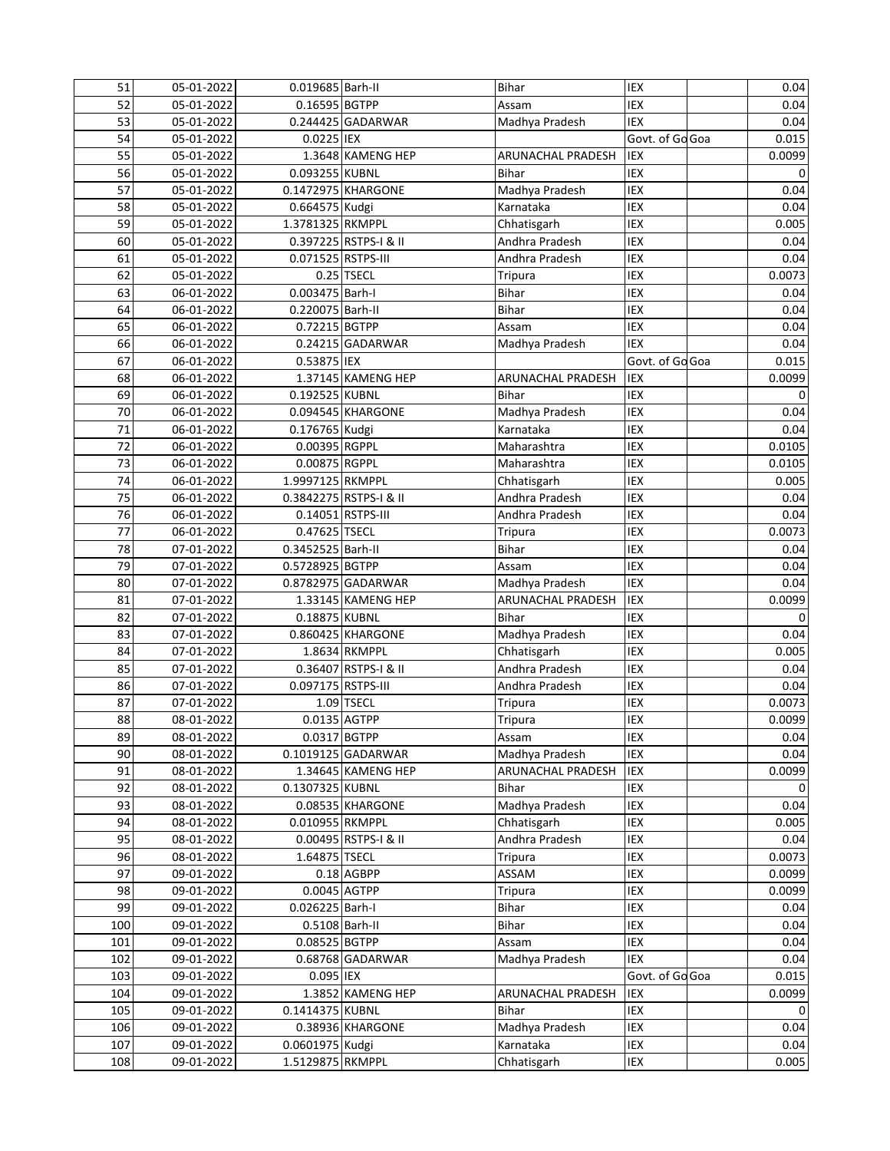| 51  | 05-01-2022 | 0.019685 Barh-II   |                        | <b>Bihar</b>      | IEX             | 0.04   |
|-----|------------|--------------------|------------------------|-------------------|-----------------|--------|
| 52  | 05-01-2022 | 0.16595 BGTPP      |                        | Assam             | IEX             | 0.04   |
| 53  | 05-01-2022 |                    | 0.244425 GADARWAR      | Madhya Pradesh    | <b>IEX</b>      | 0.04   |
| 54  | 05-01-2022 | 0.0225 IEX         |                        |                   | Govt. of Go Goa | 0.015  |
| 55  | 05-01-2022 |                    | 1.3648 KAMENG HEP      | ARUNACHAL PRADESH | IEX             | 0.0099 |
| 56  | 05-01-2022 | 0.093255 KUBNL     |                        | <b>Bihar</b>      | IEX             | 0      |
| 57  | 05-01-2022 |                    | 0.1472975 KHARGONE     | Madhya Pradesh    | IEX             | 0.04   |
| 58  | 05-01-2022 | 0.664575 Kudgi     |                        | Karnataka         | IEX             | 0.04   |
| 59  | 05-01-2022 | 1.3781325 RKMPPL   |                        | Chhatisgarh       | IEX             | 0.005  |
| 60  | 05-01-2022 |                    | 0.397225 RSTPS-I & II  | Andhra Pradesh    | IEX             | 0.04   |
| 61  | 05-01-2022 | 0.071525 RSTPS-III |                        | Andhra Pradesh    | IEX             | 0.04   |
| 62  | 05-01-2022 |                    | 0.25 TSECL             | <b>Tripura</b>    | IEX             | 0.0073 |
| 63  | 06-01-2022 | 0.003475 Barh-I    |                        | <b>Bihar</b>      | <b>IEX</b>      | 0.04   |
| 64  | 06-01-2022 | 0.220075 Barh-II   |                        | <b>Bihar</b>      | IEX             | 0.04   |
| 65  | 06-01-2022 | 0.72215 BGTPP      |                        | Assam             | IEX             | 0.04   |
| 66  | 06-01-2022 |                    | 0.24215 GADARWAR       | Madhya Pradesh    | <b>IEX</b>      | 0.04   |
| 67  | 06-01-2022 | 0.53875 IEX        |                        |                   | Govt. of Go Goa | 0.015  |
| 68  | 06-01-2022 |                    | 1.37145 KAMENG HEP     | ARUNACHAL PRADESH | <b>IEX</b>      | 0.0099 |
| 69  |            | 0.192525 KUBNL     |                        | <b>Bihar</b>      | IEX             |        |
|     | 06-01-2022 |                    | 0.094545 KHARGONE      |                   |                 | 0      |
| 70  | 06-01-2022 |                    |                        | Madhya Pradesh    | IEX             | 0.04   |
| 71  | 06-01-2022 | 0.176765 Kudgi     |                        | Karnataka         | IEX             | 0.04   |
| 72  | 06-01-2022 | 0.00395 RGPPL      |                        | Maharashtra       | IEX             | 0.0105 |
| 73  | 06-01-2022 | 0.00875 RGPPL      |                        | Maharashtra       | IEX             | 0.0105 |
| 74  | 06-01-2022 | 1.9997125 RKMPPL   |                        | Chhatisgarh       | IEX             | 0.005  |
| 75  | 06-01-2022 |                    | 0.3842275 RSTPS-I & II | Andhra Pradesh    | <b>IEX</b>      | 0.04   |
| 76  | 06-01-2022 |                    | 0.14051 RSTPS-III      | Andhra Pradesh    | IEX             | 0.04   |
| 77  | 06-01-2022 | 0.47625 TSECL      |                        | <b>Tripura</b>    | IEX             | 0.0073 |
| 78  | 07-01-2022 | 0.3452525 Barh-II  |                        | <b>Bihar</b>      | <b>IEX</b>      | 0.04   |
| 79  | 07-01-2022 | 0.5728925 BGTPP    |                        | Assam             | IEX             | 0.04   |
| 80  | 07-01-2022 |                    | 0.8782975 GADARWAR     | Madhya Pradesh    | IEX             | 0.04   |
| 81  | 07-01-2022 |                    | 1.33145 KAMENG HEP     | ARUNACHAL PRADESH | IEX             | 0.0099 |
| 82  | 07-01-2022 | 0.18875 KUBNL      |                        | <b>Bihar</b>      | IEX             | 0      |
| 83  | 07-01-2022 |                    | 0.860425 KHARGONE      | Madhya Pradesh    | IEX             | 0.04   |
| 84  | 07-01-2022 |                    | 1.8634 RKMPPL          | Chhatisgarh       | IEX             | 0.005  |
| 85  | 07-01-2022 |                    | 0.36407 RSTPS-I & II   | Andhra Pradesh    | IEX             | 0.04   |
| 86  | 07-01-2022 | 0.097175 RSTPS-III |                        | Andhra Pradesh    | IEX             | 0.04   |
| 87  | 07-01-2022 |                    | $1.09$ TSECL           | <b>Tripura</b>    | IEX             | 0.0073 |
| 88  | 08-01-2022 | 0.0135 AGTPP       |                        | <b>Tripura</b>    | IEX             | 0.0099 |
| 89  | 08-01-2022 | 0.0317 BGTPP       |                        | Assam             | IEX             | 0.04   |
| 90  | 08-01-2022 |                    | 0.1019125 GADARWAR     | Madhya Pradesh    | IEX             | 0.04   |
| 91  | 08-01-2022 |                    | 1.34645 KAMENG HEP     | ARUNACHAL PRADESH | IEX             | 0.0099 |
| 92  | 08-01-2022 | 0.1307325 KUBNL    |                        | <b>Bihar</b>      | IEX             | 0      |
| 93  | 08-01-2022 |                    | 0.08535 KHARGONE       | Madhya Pradesh    | IEX             | 0.04   |
| 94  | 08-01-2022 | 0.010955 RKMPPL    |                        | Chhatisgarh       | IEX             | 0.005  |
| 95  | 08-01-2022 |                    | 0.00495 RSTPS-I & II   | Andhra Pradesh    | IEX             | 0.04   |
| 96  | 08-01-2022 | 1.64875 TSECL      |                        | <b>Tripura</b>    | IEX             | 0.0073 |
| 97  | 09-01-2022 |                    | 0.18 AGBPP             | ASSAM             | IEX             | 0.0099 |
| 98  | 09-01-2022 |                    | 0.0045 AGTPP           | Tripura           | IEX             | 0.0099 |
| 99  | 09-01-2022 | 0.026225 Barh-I    |                        | <b>Bihar</b>      | IEX             | 0.04   |
| 100 | 09-01-2022 | 0.5108 Barh-II     |                        | <b>Bihar</b>      | IEX             | 0.04   |
| 101 | 09-01-2022 | 0.08525 BGTPP      |                        | Assam             | IEX             | 0.04   |
| 102 | 09-01-2022 |                    | 0.68768 GADARWAR       | Madhya Pradesh    | IEX             | 0.04   |
| 103 | 09-01-2022 | 0.095 IEX          |                        |                   | Govt. of Go Goa | 0.015  |
| 104 | 09-01-2022 |                    | 1.3852 KAMENG HEP      | ARUNACHAL PRADESH | IEX             | 0.0099 |
| 105 | 09-01-2022 | 0.1414375 KUBNL    |                        | Bihar             | IEX             | 0      |
| 106 | 09-01-2022 |                    | 0.38936 KHARGONE       | Madhya Pradesh    | IEX             | 0.04   |
| 107 | 09-01-2022 | 0.0601975 Kudgi    |                        | Karnataka         | IEX             | 0.04   |
| 108 | 09-01-2022 | 1.5129875 RKMPPL   |                        | Chhatisgarh       | IEX             | 0.005  |
|     |            |                    |                        |                   |                 |        |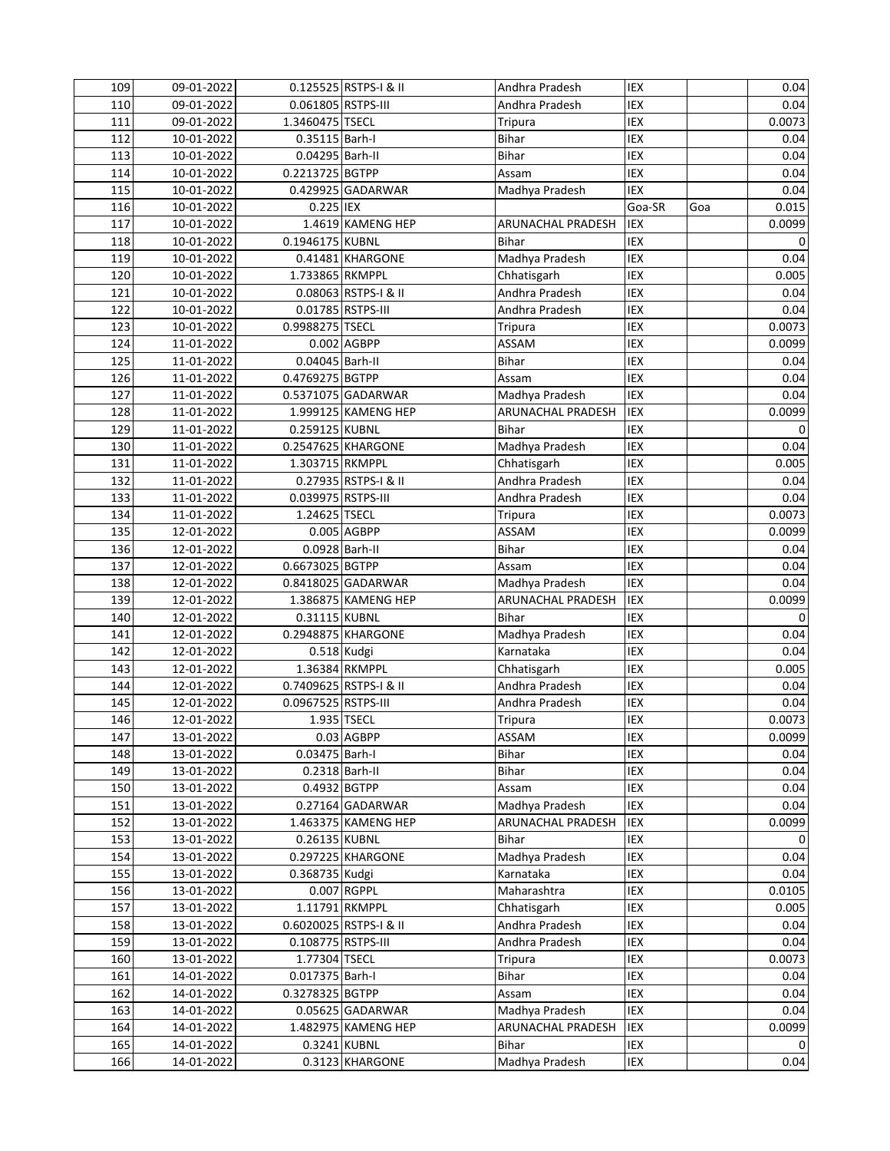| 109 | 09-01-2022 |                     | 0.125525 RSTPS-I & II  | Andhra Pradesh           | IEX        |     | 0.04   |
|-----|------------|---------------------|------------------------|--------------------------|------------|-----|--------|
| 110 | 09-01-2022 | 0.061805 RSTPS-III  |                        | Andhra Pradesh           | IEX        |     | 0.04   |
| 111 | 09-01-2022 | 1.3460475 TSECL     |                        | Tripura                  | <b>IEX</b> |     | 0.0073 |
| 112 | 10-01-2022 | 0.35115 Barh-I      |                        | Bihar                    | IEX        |     | 0.04   |
| 113 | 10-01-2022 | 0.04295 Barh-II     |                        | Bihar                    | IEX        |     | 0.04   |
| 114 | 10-01-2022 | 0.2213725 BGTPP     |                        | Assam                    | IEX        |     | 0.04   |
| 115 | 10-01-2022 |                     | 0.429925 GADARWAR      | Madhya Pradesh           | <b>IEX</b> |     | 0.04   |
| 116 | 10-01-2022 | 0.225 IEX           |                        |                          | Goa-SR     | Goa | 0.015  |
| 117 | 10-01-2022 |                     | 1.4619 KAMENG HEP      | ARUNACHAL PRADESH        | IEX        |     | 0.0099 |
| 118 | 10-01-2022 | 0.1946175 KUBNL     |                        | <b>Bihar</b>             | IEX        |     | 0      |
| 119 | 10-01-2022 |                     | 0.41481 KHARGONE       | Madhya Pradesh           | IEX        |     | 0.04   |
| 120 | 10-01-2022 | 1.733865 RKMPPL     |                        | Chhatisgarh              | IEX        |     | 0.005  |
| 121 | 10-01-2022 |                     | 0.08063 RSTPS-I & II   | Andhra Pradesh           | <b>IEX</b> |     | 0.04   |
| 122 | 10-01-2022 |                     | 0.01785 RSTPS-III      | Andhra Pradesh           | IEX        |     | 0.04   |
| 123 | 10-01-2022 | 0.9988275 TSECL     |                        | <b>Tripura</b>           | IEX        |     | 0.0073 |
| 124 | 11-01-2022 |                     | 0.002 AGBPP            | ASSAM                    | IEX        |     | 0.0099 |
| 125 | 11-01-2022 | 0.04045 Barh-II     |                        | <b>Bihar</b>             | IEX        |     | 0.04   |
| 126 | 11-01-2022 | 0.4769275 BGTPP     |                        | Assam                    | IEX        |     | 0.04   |
| 127 | 11-01-2022 |                     | 0.5371075 GADARWAR     | Madhya Pradesh           | IEX        |     | 0.04   |
| 128 | 11-01-2022 |                     | 1.999125 KAMENG HEP    | <b>ARUNACHAL PRADESH</b> | IEX        |     | 0.0099 |
| 129 | 11-01-2022 | 0.259125 KUBNL      |                        | <b>Bihar</b>             | IEX        |     | 0      |
| 130 | 11-01-2022 |                     | 0.2547625 KHARGONE     | Madhya Pradesh           | IEX        |     | 0.04   |
| 131 | 11-01-2022 | 1.303715 RKMPPL     |                        | Chhatisgarh              | IEX        |     | 0.005  |
| 132 | 11-01-2022 |                     | 0.27935 RSTPS-I & II   | Andhra Pradesh           | IEX        |     | 0.04   |
| 133 | 11-01-2022 | 0.039975 RSTPS-III  |                        | Andhra Pradesh           | IEX        |     | 0.04   |
| 134 | 11-01-2022 | 1.24625 TSECL       |                        | <b>Tripura</b>           | IEX        |     | 0.0073 |
| 135 | 12-01-2022 |                     | 0.005 AGBPP            | ASSAM                    | IEX        |     | 0.0099 |
| 136 | 12-01-2022 | 0.0928 Barh-II      |                        | <b>Bihar</b>             | IEX        |     | 0.04   |
| 137 | 12-01-2022 | 0.6673025 BGTPP     |                        | Assam                    | IEX        |     | 0.04   |
| 138 | 12-01-2022 |                     | 0.8418025 GADARWAR     | Madhya Pradesh           | IEX        |     | 0.04   |
| 139 | 12-01-2022 |                     | 1.386875 KAMENG HEP    | ARUNACHAL PRADESH        | <b>IEX</b> |     | 0.0099 |
| 140 | 12-01-2022 | 0.31115 KUBNL       |                        | Bihar                    | IEX        |     | 0      |
| 141 | 12-01-2022 |                     | 0.2948875 KHARGONE     | Madhya Pradesh           | IEX        |     | 0.04   |
| 142 | 12-01-2022 |                     | 0.518 Kudgi            | Karnataka                | IEX        |     | 0.04   |
| 143 | 12-01-2022 |                     | 1.36384 RKMPPL         | Chhatisgarh              | IEX        |     | 0.005  |
| 144 | 12-01-2022 |                     | 0.7409625 RSTPS-I & II | Andhra Pradesh           | IEX        |     | 0.04   |
| 145 | 12-01-2022 | 0.0967525 RSTPS-III |                        | Andhra Pradesh           | IEX        |     | 0.04   |
| 146 | 12-01-2022 |                     | 1.935 TSECL            | <b>Tripura</b>           | IEX        |     | 0.0073 |
| 147 | 13-01-2022 |                     | $0.03$ AGBPP           | <b>ASSAM</b>             | IEX        |     | 0.0099 |
| 148 | 13-01-2022 | 0.03475 Barh-I      |                        | <b>Bihar</b>             | IEX        |     | 0.04   |
| 149 | 13-01-2022 |                     | 0.2318 Barh-II         | Bihar                    | IEX        |     | 0.04   |
| 150 | 13-01-2022 |                     | 0.4932 BGTPP           | Assam                    | IEX        |     | 0.04   |
| 151 | 13-01-2022 |                     | 0.27164 GADARWAR       | Madhya Pradesh           | IEX        |     | 0.04   |
| 152 | 13-01-2022 |                     | 1.463375 KAMENG HEP    | ARUNACHAL PRADESH        | IEX        |     | 0.0099 |
| 153 | 13-01-2022 | 0.26135 KUBNL       |                        | Bihar                    | IEX        |     | 0      |
| 154 | 13-01-2022 |                     | 0.297225 KHARGONE      | Madhya Pradesh           | IEX        |     | 0.04   |
| 155 | 13-01-2022 | 0.368735 Kudgi      |                        | Karnataka                | IEX        |     | 0.04   |
| 156 | 13-01-2022 |                     | 0.007 RGPPL            | Maharashtra              | IEX        |     | 0.0105 |
| 157 | 13-01-2022 |                     | 1.11791 RKMPPL         | Chhatisgarh              | IEX        |     | 0.005  |
| 158 | 13-01-2022 |                     | 0.6020025 RSTPS-I & II | Andhra Pradesh           | IEX        |     | 0.04   |
| 159 | 13-01-2022 | 0.108775 RSTPS-III  |                        | Andhra Pradesh           | IEX        |     | 0.04   |
| 160 | 13-01-2022 | 1.77304 TSECL       |                        | Tripura                  | IEX        |     | 0.0073 |
| 161 | 14-01-2022 | 0.017375 Barh-I     |                        | Bihar                    | IEX        |     | 0.04   |
| 162 | 14-01-2022 | 0.3278325 BGTPP     |                        | Assam                    | IEX        |     | 0.04   |
| 163 | 14-01-2022 |                     | 0.05625 GADARWAR       | Madhya Pradesh           | IEX        |     | 0.04   |
| 164 | 14-01-2022 |                     | 1.482975 KAMENG HEP    | ARUNACHAL PRADESH        | IEX        |     | 0.0099 |
| 165 | 14-01-2022 |                     | 0.3241 KUBNL           | Bihar                    | IEX        |     | 0      |
| 166 | 14-01-2022 |                     | 0.3123 KHARGONE        | Madhya Pradesh           | IEX        |     | 0.04   |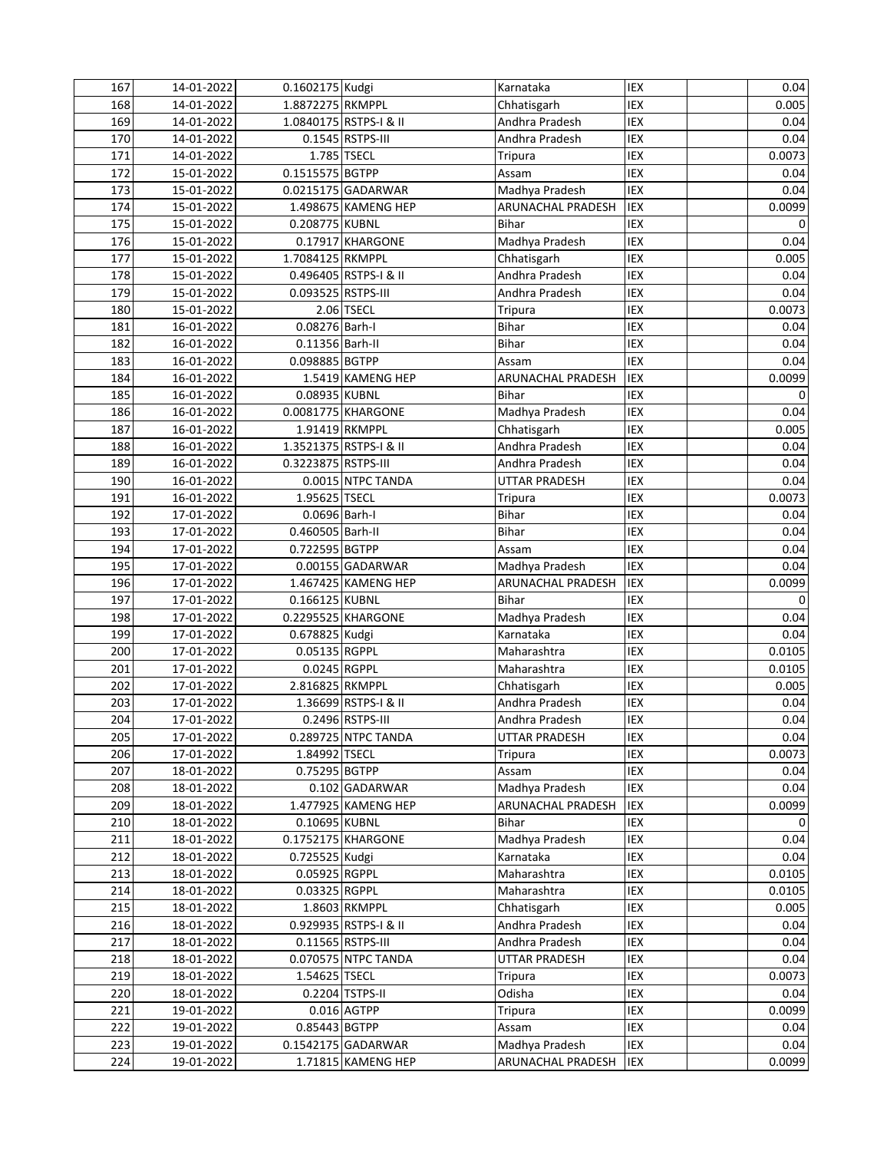| 167 | 14-01-2022 | 0.1602175 Kudgi     |                        | Karnataka            | IEX        | 0.04   |
|-----|------------|---------------------|------------------------|----------------------|------------|--------|
| 168 | 14-01-2022 | 1.8872275 RKMPPL    |                        | Chhatisgarh          | IEX        | 0.005  |
| 169 | 14-01-2022 |                     | 1.0840175 RSTPS-I & II | Andhra Pradesh       | IEX        | 0.04   |
| 170 | 14-01-2022 |                     | 0.1545 RSTPS-III       | Andhra Pradesh       | IEX        | 0.04   |
| 171 | 14-01-2022 |                     | 1.785 TSECL            | Tripura              | <b>IEX</b> | 0.0073 |
| 172 | 15-01-2022 | 0.1515575 BGTPP     |                        | Assam                | IEX        | 0.04   |
| 173 | 15-01-2022 |                     | 0.0215175 GADARWAR     | Madhya Pradesh       | IEX        | 0.04   |
| 174 | 15-01-2022 |                     | 1.498675 KAMENG HEP    | ARUNACHAL PRADESH    | <b>IEX</b> | 0.0099 |
| 175 | 15-01-2022 | 0.208775 KUBNL      |                        | <b>Bihar</b>         | IEX        | 0      |
| 176 | 15-01-2022 |                     | 0.17917 KHARGONE       | Madhya Pradesh       | IEX        | 0.04   |
| 177 | 15-01-2022 | 1.7084125 RKMPPL    |                        | Chhatisgarh          | IEX        | 0.005  |
| 178 | 15-01-2022 |                     | 0.496405 RSTPS-I & II  | Andhra Pradesh       | IEX        | 0.04   |
| 179 | 15-01-2022 | 0.093525 RSTPS-III  |                        | Andhra Pradesh       | IEX        | 0.04   |
| 180 | 15-01-2022 |                     | 2.06 TSECL             | Tripura              | IEX        | 0.0073 |
| 181 | 16-01-2022 | 0.08276 Barh-I      |                        | <b>Bihar</b>         | IEX        | 0.04   |
| 182 | 16-01-2022 | 0.11356 Barh-II     |                        | <b>Bihar</b>         | IEX        | 0.04   |
| 183 | 16-01-2022 | 0.098885 BGTPP      |                        | Assam                | IEX        | 0.04   |
| 184 | 16-01-2022 |                     | 1.5419 KAMENG HEP      | ARUNACHAL PRADESH    | IEX        | 0.0099 |
| 185 | 16-01-2022 | 0.08935 KUBNL       |                        | <b>Bihar</b>         | IEX        | 0      |
| 186 | 16-01-2022 |                     | 0.0081775 KHARGONE     | Madhya Pradesh       | IEX        | 0.04   |
| 187 | 16-01-2022 |                     | 1.91419 RKMPPL         | Chhatisgarh          | IEX        | 0.005  |
| 188 | 16-01-2022 |                     | 1.3521375 RSTPS-I & II | Andhra Pradesh       | IEX        | 0.04   |
| 189 | 16-01-2022 | 0.3223875 RSTPS-III |                        | Andhra Pradesh       | IEX        | 0.04   |
| 190 | 16-01-2022 |                     | 0.0015 NTPC TANDA      | UTTAR PRADESH        | IEX        | 0.04   |
| 191 | 16-01-2022 | 1.95625 TSECL       |                        | Tripura              | IEX        | 0.0073 |
| 192 | 17-01-2022 | 0.0696 Barh-I       |                        | <b>Bihar</b>         | IEX        | 0.04   |
| 193 | 17-01-2022 | 0.460505 Barh-II    |                        | <b>Bihar</b>         | IEX        | 0.04   |
| 194 | 17-01-2022 | 0.722595 BGTPP      |                        | Assam                | IEX        | 0.04   |
| 195 | 17-01-2022 |                     | 0.00155 GADARWAR       | Madhya Pradesh       | IEX        | 0.04   |
| 196 | 17-01-2022 |                     | 1.467425 KAMENG HEP    | ARUNACHAL PRADESH    | IEX        | 0.0099 |
| 197 | 17-01-2022 | 0.166125 KUBNL      |                        | <b>Bihar</b>         | IEX        | 0      |
| 198 | 17-01-2022 |                     | 0.2295525 KHARGONE     | Madhya Pradesh       | IEX        | 0.04   |
| 199 | 17-01-2022 | 0.678825 Kudgi      |                        | Karnataka            | IEX        | 0.04   |
| 200 | 17-01-2022 | 0.05135 RGPPL       |                        | Maharashtra          | IEX        | 0.0105 |
| 201 | 17-01-2022 | 0.0245 RGPPL        |                        | Maharashtra          | IEX        | 0.0105 |
| 202 | 17-01-2022 | 2.816825 RKMPPL     |                        | Chhatisgarh          | IEX        | 0.005  |
| 203 | 17-01-2022 |                     | 1.36699 RSTPS-I & II   | Andhra Pradesh       | IEX        | 0.04   |
| 204 | 17-01-2022 |                     | 0.2496 RSTPS-III       | Andhra Pradesh       | IEX        | 0.04   |
| 205 | 17-01-2022 |                     | 0.289725 NTPC TANDA    | <b>UTTAR PRADESH</b> | IEX        | 0.04   |
| 206 | 17-01-2022 | 1.84992 TSECL       |                        | Tripura              | IEX        | 0.0073 |
| 207 | 18-01-2022 | 0.75295 BGTPP       |                        | Assam                | IEX        | 0.04   |
| 208 | 18-01-2022 |                     | 0.102 GADARWAR         | Madhya Pradesh       | IEX        | 0.04   |
| 209 | 18-01-2022 |                     | 1.477925 KAMENG HEP    | ARUNACHAL PRADESH    | IEX        | 0.0099 |
| 210 | 18-01-2022 | 0.10695 KUBNL       |                        | <b>Bihar</b>         | IEX        | 0      |
| 211 | 18-01-2022 |                     | 0.1752175 KHARGONE     | Madhya Pradesh       | IEX        | 0.04   |
| 212 | 18-01-2022 | 0.725525 Kudgi      |                        | Karnataka            | IEX        | 0.04   |
| 213 | 18-01-2022 | 0.05925 RGPPL       |                        | Maharashtra          | IEX        | 0.0105 |
| 214 | 18-01-2022 | 0.03325 RGPPL       |                        | Maharashtra          | IEX        | 0.0105 |
| 215 | 18-01-2022 |                     | 1.8603 RKMPPL          | Chhatisgarh          | IEX        | 0.005  |
| 216 | 18-01-2022 |                     | 0.929935 RSTPS-I & II  | Andhra Pradesh       | IEX        | 0.04   |
| 217 | 18-01-2022 |                     | 0.11565 RSTPS-III      | Andhra Pradesh       | IEX        | 0.04   |
| 218 | 18-01-2022 |                     | 0.070575 NTPC TANDA    | <b>UTTAR PRADESH</b> | IEX        | 0.04   |
| 219 | 18-01-2022 | 1.54625 TSECL       |                        | <b>Tripura</b>       | IEX        | 0.0073 |
| 220 | 18-01-2022 |                     | 0.2204 TSTPS-II        | Odisha               | IEX        | 0.04   |
| 221 | 19-01-2022 |                     | 0.016 AGTPP            | Tripura              | IEX        | 0.0099 |
| 222 | 19-01-2022 | 0.85443 BGTPP       |                        | Assam                | IEX        | 0.04   |
| 223 | 19-01-2022 |                     | 0.1542175 GADARWAR     | Madhya Pradesh       | IEX        | 0.04   |
| 224 | 19-01-2022 |                     | 1.71815 KAMENG HEP     | ARUNACHAL PRADESH    | <b>IEX</b> | 0.0099 |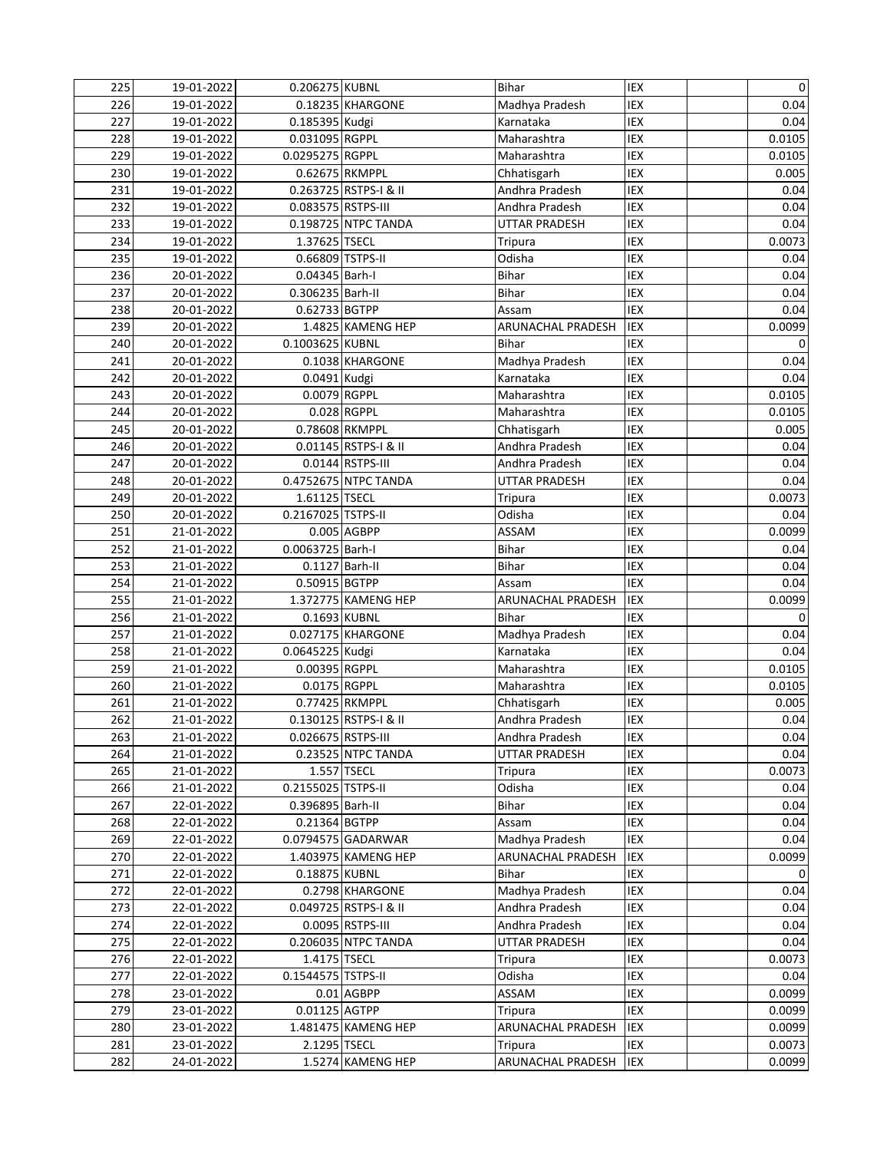| 225 | 19-01-2022 | 0.206275 KUBNL     |                       | <b>Bihar</b>         | IEX        | $\mathbf 0$ |
|-----|------------|--------------------|-----------------------|----------------------|------------|-------------|
| 226 | 19-01-2022 |                    | 0.18235 KHARGONE      | Madhya Pradesh       | IEX        | 0.04        |
| 227 | 19-01-2022 | 0.185395 Kudgi     |                       | Karnataka            | IEX        | 0.04        |
| 228 | 19-01-2022 | 0.031095 RGPPL     |                       | Maharashtra          | IEX        | 0.0105      |
| 229 | 19-01-2022 | 0.0295275 RGPPL    |                       | Maharashtra          | <b>IEX</b> | 0.0105      |
| 230 | 19-01-2022 | 0.62675 RKMPPL     |                       | Chhatisgarh          | IEX        | 0.005       |
| 231 | 19-01-2022 |                    | 0.263725 RSTPS-I & II | Andhra Pradesh       | IEX        | 0.04        |
| 232 | 19-01-2022 | 0.083575 RSTPS-III |                       | Andhra Pradesh       | IEX        | 0.04        |
| 233 | 19-01-2022 |                    | 0.198725 NTPC TANDA   | <b>UTTAR PRADESH</b> | IEX        | 0.04        |
| 234 | 19-01-2022 | 1.37625 TSECL      |                       | Tripura              | IEX        | 0.0073      |
| 235 | 19-01-2022 | 0.66809 TSTPS-II   |                       | Odisha               | IEX        | 0.04        |
| 236 | 20-01-2022 | 0.04345 Barh-I     |                       | Bihar                | IEX        | 0.04        |
| 237 | 20-01-2022 | 0.306235 Barh-II   |                       | Bihar                | IEX        | 0.04        |
| 238 | 20-01-2022 | 0.62733 BGTPP      |                       | Assam                | <b>IEX</b> | 0.04        |
| 239 | 20-01-2022 |                    | 1.4825 KAMENG HEP     | ARUNACHAL PRADESH    | <b>IEX</b> | 0.0099      |
| 240 | 20-01-2022 | 0.1003625 KUBNL    |                       | <b>Bihar</b>         | IEX        | 0           |
| 241 | 20-01-2022 |                    | 0.1038 KHARGONE       | Madhya Pradesh       | IEX        | 0.04        |
| 242 | 20-01-2022 | 0.0491 Kudgi       |                       | Karnataka            | IEX        | 0.04        |
| 243 | 20-01-2022 | 0.0079 RGPPL       |                       | Maharashtra          | IEX        | 0.0105      |
| 244 | 20-01-2022 |                    | 0.028 RGPPL           | Maharashtra          | IEX        | 0.0105      |
| 245 | 20-01-2022 | 0.78608 RKMPPL     |                       | Chhatisgarh          | IEX        | 0.005       |
| 246 | 20-01-2022 |                    | 0.01145 RSTPS-I & II  | Andhra Pradesh       | IEX        | 0.04        |
| 247 | 20-01-2022 |                    | 0.0144 RSTPS-III      | Andhra Pradesh       | IEX        | 0.04        |
| 248 | 20-01-2022 |                    | 0.4752675 NTPC TANDA  | <b>UTTAR PRADESH</b> | IEX        | 0.04        |
| 249 | 20-01-2022 | 1.61125 TSECL      |                       | Tripura              | IEX        | 0.0073      |
| 250 | 20-01-2022 | 0.2167025 TSTPS-II |                       | Odisha               | IEX        | 0.04        |
| 251 | 21-01-2022 |                    | 0.005 AGBPP           | ASSAM                | IEX        | 0.0099      |
| 252 | 21-01-2022 | 0.0063725 Barh-I   |                       | <b>Bihar</b>         | IEX        | 0.04        |
| 253 | 21-01-2022 | 0.1127 Barh-II     |                       | <b>Bihar</b>         | IEX        | 0.04        |
| 254 | 21-01-2022 | 0.50915 BGTPP      |                       | Assam                | IEX        | 0.04        |
| 255 | 21-01-2022 |                    | 1.372775 KAMENG HEP   | ARUNACHAL PRADESH    | IEX        | 0.0099      |
| 256 | 21-01-2022 | 0.1693 KUBNL       |                       | Bihar                | IEX        | 0           |
| 257 | 21-01-2022 |                    | 0.027175 KHARGONE     | Madhya Pradesh       | IEX        | 0.04        |
| 258 | 21-01-2022 | 0.0645225 Kudgi    |                       | Karnataka            | IEX        | 0.04        |
| 259 | 21-01-2022 | 0.00395 RGPPL      |                       | Maharashtra          | IEX        | 0.0105      |
| 260 | 21-01-2022 | 0.0175 RGPPL       |                       | Maharashtra          | IEX        | 0.0105      |
| 261 | 21-01-2022 | 0.77425 RKMPPL     |                       | Chhatisgarh          | IEX        | 0.005       |
| 262 | 21-01-2022 |                    | 0.130125 RSTPS-I & II | Andhra Pradesh       | IEX        | 0.04        |
| 263 | 21-01-2022 | 0.026675 RSTPS-III |                       | Andhra Pradesh       | IEX        | 0.04        |
| 264 | 21-01-2022 |                    | 0.23525 NTPC TANDA    | <b>UTTAR PRADESH</b> | IEX        | 0.04        |
| 265 | 21-01-2022 |                    | 1.557 TSECL           | Tripura              | IEX        | 0.0073      |
| 266 | 21-01-2022 | 0.2155025 TSTPS-II |                       | Odisha               | IEX        | 0.04        |
| 267 | 22-01-2022 | 0.396895 Barh-II   |                       | Bihar                | IEX        | 0.04        |
| 268 | 22-01-2022 | 0.21364 BGTPP      |                       | Assam                | IEX        | 0.04        |
| 269 | 22-01-2022 |                    | 0.0794575 GADARWAR    | Madhya Pradesh       | IEX        | 0.04        |
| 270 | 22-01-2022 |                    | 1.403975 KAMENG HEP   | ARUNACHAL PRADESH    | IEX        | 0.0099      |
| 271 | 22-01-2022 | 0.18875 KUBNL      |                       | Bihar                | IEX        | 0           |
| 272 | 22-01-2022 |                    | 0.2798 KHARGONE       | Madhya Pradesh       | IEX        | 0.04        |
| 273 | 22-01-2022 |                    | 0.049725 RSTPS-I & II | Andhra Pradesh       | IEX        | 0.04        |
| 274 | 22-01-2022 |                    | 0.0095 RSTPS-III      | Andhra Pradesh       | IEX        | 0.04        |
| 275 | 22-01-2022 |                    | 0.206035 NTPC TANDA   | UTTAR PRADESH        | IEX        | 0.04        |
| 276 | 22-01-2022 | 1.4175 TSECL       |                       | Tripura              | IEX        | 0.0073      |
| 277 | 22-01-2022 | 0.1544575 TSTPS-II |                       | Odisha               | IEX        | 0.04        |
| 278 | 23-01-2022 |                    | $0.01$ AGBPP          | ASSAM                | IEX        | 0.0099      |
| 279 | 23-01-2022 | 0.01125 AGTPP      |                       | Tripura              | IEX        | 0.0099      |
| 280 | 23-01-2022 |                    | 1.481475 KAMENG HEP   | ARUNACHAL PRADESH    | IEX        | 0.0099      |
| 281 | 23-01-2022 | 2.1295 TSECL       |                       | <b>Tripura</b>       | IEX        | 0.0073      |
| 282 | 24-01-2022 |                    | 1.5274 KAMENG HEP     | ARUNACHAL PRADESH    | IEX        | 0.0099      |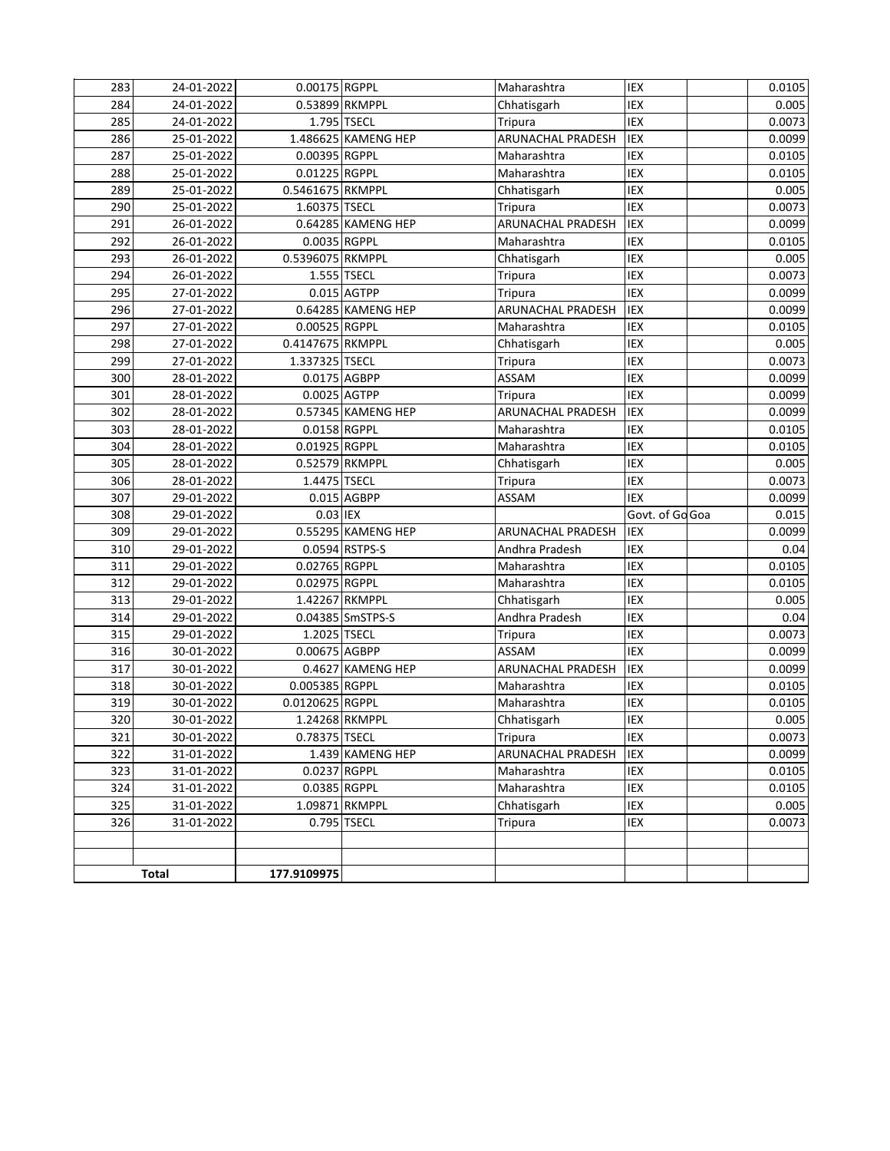| 283        | 24-01-2022               | 0.00175 RGPPL    |                     | Maharashtra                   | IEX             | 0.0105           |
|------------|--------------------------|------------------|---------------------|-------------------------------|-----------------|------------------|
| 284        | 24-01-2022               | 0.53899 RKMPPL   |                     | Chhatisgarh                   | IEX             | 0.005            |
| 285        | 24-01-2022               | 1.795 TSECL      |                     | Tripura                       | IEX             | 0.0073           |
| 286        | 25-01-2022               |                  | 1.486625 KAMENG HEP | ARUNACHAL PRADESH             | IEX             | 0.0099           |
| 287        | 25-01-2022               | 0.00395 RGPPL    |                     | Maharashtra                   | IEX             | 0.0105           |
| 288        | 25-01-2022               | 0.01225 RGPPL    |                     | Maharashtra                   | IEX             | 0.0105           |
| 289        | 25-01-2022               | 0.5461675 RKMPPL |                     | Chhatisgarh                   | IEX             | 0.005            |
| 290        | 25-01-2022               | 1.60375 TSECL    |                     | Tripura                       | IEX             | 0.0073           |
| 291        | 26-01-2022               |                  | 0.64285 KAMENG HEP  | <b>ARUNACHAL PRADESH</b>      | IEX             | 0.0099           |
| 292        | 26-01-2022               | 0.0035 RGPPL     |                     | Maharashtra                   | IEX             | 0.0105           |
| 293        | 26-01-2022               | 0.5396075 RKMPPL |                     | Chhatisgarh                   | IEX             | 0.005            |
| 294        | 26-01-2022               | 1.555 TSECL      |                     | Tripura                       | IEX             | 0.0073           |
| 295        | 27-01-2022               |                  | 0.015 AGTPP         | Tripura                       | <b>IEX</b>      | 0.0099           |
| 296        | 27-01-2022               |                  | 0.64285 KAMENG HEP  | <b>ARUNACHAL PRADESH</b>      | IEX             | 0.0099           |
| 297        | 27-01-2022               | 0.00525 RGPPL    |                     | Maharashtra                   | IEX             | 0.0105           |
| 298        | 27-01-2022               | 0.4147675 RKMPPL |                     | Chhatisgarh                   | IEX             | 0.005            |
| 299        | 27-01-2022               | 1.337325 TSECL   |                     | <b>Tripura</b>                | IEX             | 0.0073           |
| 300        | 28-01-2022               | 0.0175 AGBPP     |                     | ASSAM                         | IEX             | 0.0099           |
| 301        | 28-01-2022               | 0.0025 AGTPP     |                     | Tripura                       | IEX             | 0.0099           |
| 302        | 28-01-2022               |                  | 0.57345 KAMENG HEP  | ARUNACHAL PRADESH             | IEX             | 0.0099           |
| 303        | 28-01-2022               | 0.0158 RGPPL     |                     | Maharashtra                   | IEX             | 0.0105           |
| 304        | 28-01-2022               | 0.01925 RGPPL    |                     | Maharashtra                   | IEX             | 0.0105           |
| 305        | 28-01-2022               | 0.52579 RKMPPL   |                     | Chhatisgarh                   | IEX             | 0.005            |
| 306        | 28-01-2022               | 1.4475 TSECL     |                     | Tripura                       | IEX             | 0.0073           |
| 307        | 29-01-2022               |                  | $0.015$ AGBPP       | ASSAM                         | IEX             | 0.0099           |
| 308        | 29-01-2022               | 0.03 IEX         |                     |                               | Govt. of Go Goa | 0.015            |
| 309        | 29-01-2022               |                  | 0.55295 KAMENG HEP  | ARUNACHAL PRADESH             | IEX             | 0.0099           |
| 310        | 29-01-2022               | 0.02765 RGPPL    | 0.0594 RSTPS-S      | Andhra Pradesh<br>Maharashtra | IEX<br>IEX      | 0.04             |
| 311<br>312 | 29-01-2022<br>29-01-2022 | 0.02975 RGPPL    |                     | Maharashtra                   | <b>IEX</b>      | 0.0105<br>0.0105 |
| 313        | 29-01-2022               | 1.42267 RKMPPL   |                     | Chhatisgarh                   | IEX             | 0.005            |
| 314        | 29-01-2022               |                  | 0.04385 SmSTPS-S    | Andhra Pradesh                | IEX             | 0.04             |
| 315        | 29-01-2022               | 1.2025 TSECL     |                     | <b>Tripura</b>                | IEX             | 0.0073           |
| 316        | 30-01-2022               | 0.00675 AGBPP    |                     | ASSAM                         | IEX             | 0.0099           |
| 317        | 30-01-2022               |                  | 0.4627 KAMENG HEP   | <b>ARUNACHAL PRADESH</b>      | IEX             | 0.0099           |
| 318        | 30-01-2022               | 0.005385 RGPPL   |                     | Maharashtra                   | IEX             | 0.0105           |
| 319        | 30-01-2022               | 0.0120625 RGPPL  |                     | Maharashtra                   | IEX             | 0.0105           |
| 320        | 30-01-2022               | 1.24268 RKMPPL   |                     | Chhatisgarh                   | IEX             | 0.005            |
| 321        | 30-01-2022               | 0.78375 TSECL    |                     | Tripura                       | IEX             | 0.0073           |
| 322        | 31-01-2022               |                  | 1.439 KAMENG HEP    | ARUNACHAL PRADESH             | IEX             | 0.0099           |
| 323        | 31-01-2022               | 0.0237 RGPPL     |                     | Maharashtra                   | IEX             | 0.0105           |
| 324        | 31-01-2022               | 0.0385 RGPPL     |                     | Maharashtra                   | IEX             | 0.0105           |
| 325        | 31-01-2022               |                  | 1.09871 RKMPPL      | Chhatisgarh                   | IEX             | 0.005            |
| 326        | 31-01-2022               | 0.795 TSECL      |                     | Tripura                       | IEX             | 0.0073           |
|            |                          |                  |                     |                               |                 |                  |
|            |                          |                  |                     |                               |                 |                  |
|            | <b>Total</b>             | 177.9109975      |                     |                               |                 |                  |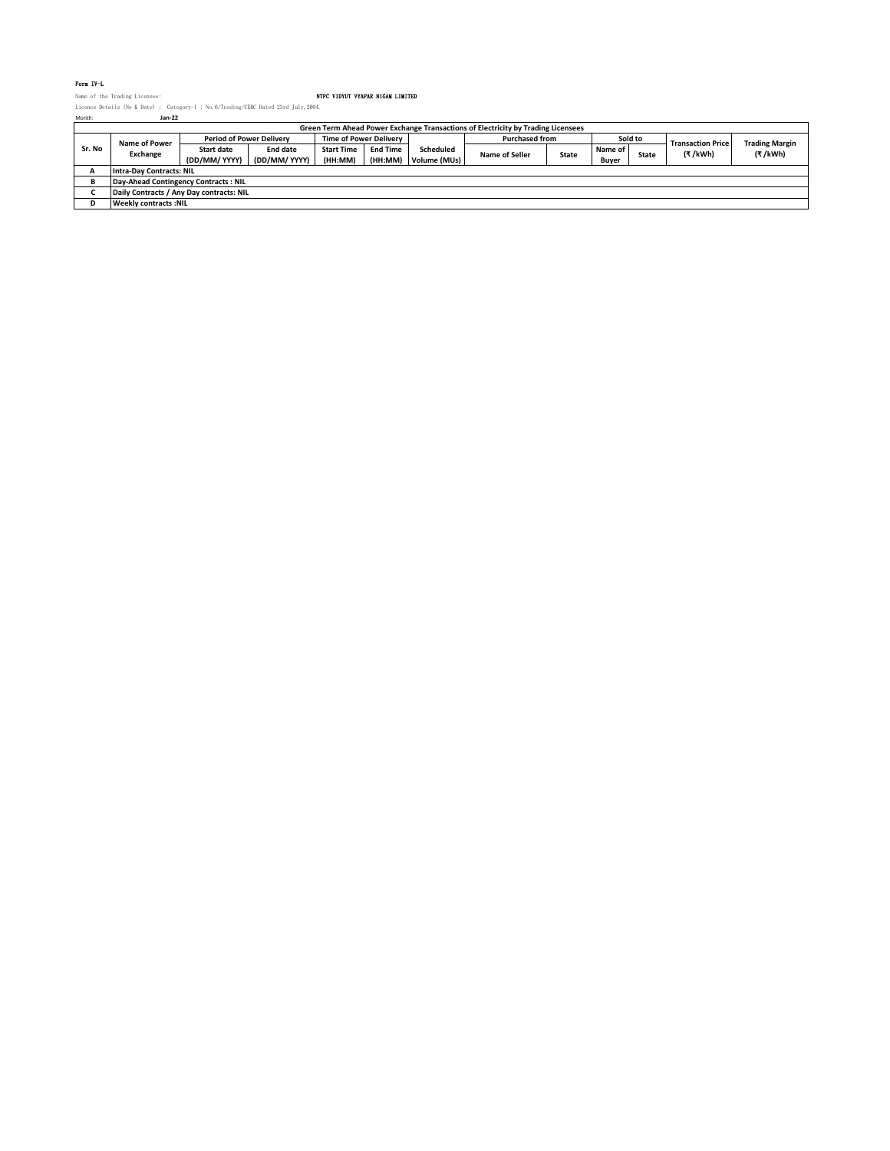## Form IV-L

Name of the Trading Licensee: NTPC VIDYUT VYAPAR NIGAM LIMITED Licence Details (No & Date) : Category-I ; No.6/Trading/CERC Dated 23rd July,2004. Month: **Jan-22**

| Name of Power                   |                                                   |  |  |  |  |  |  |  |
|---------------------------------|---------------------------------------------------|--|--|--|--|--|--|--|
|                                 |                                                   |  |  |  |  |  |  |  |
|                                 | <b>Trading Margin</b><br><b>Transaction Price</b> |  |  |  |  |  |  |  |
| Sr. No                          | (₹/kWh)<br>(₹/kWh)                                |  |  |  |  |  |  |  |
|                                 |                                                   |  |  |  |  |  |  |  |
| <b>Intra-Day Contracts: NIL</b> |                                                   |  |  |  |  |  |  |  |
|                                 | Day-Ahead Contingency Contracts: NIL              |  |  |  |  |  |  |  |
|                                 | Daily Contracts / Any Day contracts: NIL          |  |  |  |  |  |  |  |
|                                 | <b>Weekly contracts: NIL</b>                      |  |  |  |  |  |  |  |
|                                 |                                                   |  |  |  |  |  |  |  |